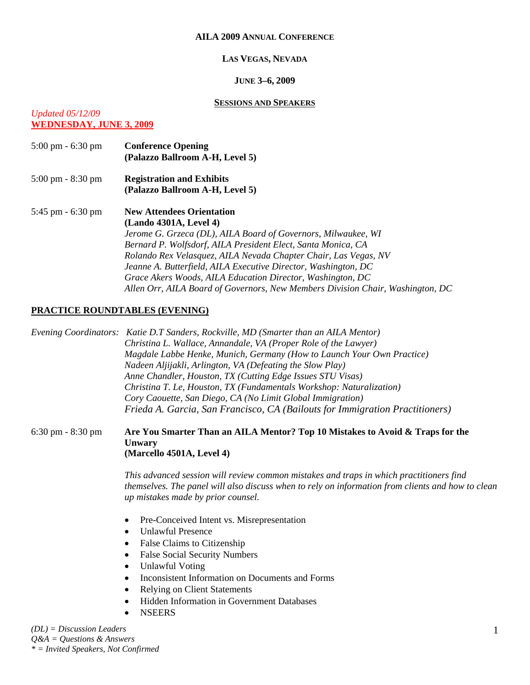#### **AILA 2009 ANNUAL CONFERENCE**

#### **LAS VEGAS, NEVADA**

#### **JUNE 3–6, 2009**

#### **SESSIONS AND SPEAKERS**

# *Updated 05/12/09*

**WEDNESDAY, JUNE 3, 2009**

5:00 pm - 6:30 pm **Conference Opening (Palazzo Ballroom A-H, Level 5)**  5:00 pm - 8:30 pm **Registration and Exhibits (Palazzo Ballroom A-H, Level 5)**  5:45 pm - 6:30 pm **New Attendees Orientation (Lando 4301A, Level 4)** *Jerome G. Grzeca (DL), AILA Board of Governors, Milwaukee, WI Bernard P. Wolfsdorf, AILA President Elect, Santa Monica, CA Rolando Rex Velasquez, AILA Nevada Chapter Chair, Las Vegas, NV Jeanne A. Butterfield, AILA Executive Director, Washington, DC Grace Akers Woods, AILA Education Director, Washington, DC Allen Orr, AILA Board of Governors, New Members Division Chair, Washington, DC* 

## **PRACTICE ROUNDTABLES (EVENING)**

*Evening Coordinators: Katie D.T Sanders, Rockville, MD (Smarter than an AILA Mentor) Christina L. Wallace, Annandale, VA (Proper Role of the Lawyer) Magdale Labbe Henke, Munich, Germany (How to Launch Your Own Practice) Nadeen Aljijakli, Arlington, VA (Defeating the Slow Play) Anne Chandler, Houston, TX (Cutting Edge Issues STU Visas) Christina T. Le, Houston, TX (Fundamentals Workshop: Naturalization) Cory Caouette, San Diego, CA (No Limit Global Immigration) Frieda A. Garcia, San Francisco, CA (Bailouts for Immigration Practitioners)* 

#### 6:30 pm - 8:30 pm **Are You Smarter Than an AILA Mentor? Top 10 Mistakes to Avoid & Traps for the Unwary (Marcello 4501A, Level 4)**

*This advanced session will review common mistakes and traps in which practitioners find themselves. The panel will also discuss when to rely on information from clients and how to clean up mistakes made by prior counsel.* 

- Pre-Conceived Intent vs. Misrepresentation
- Unlawful Presence
- False Claims to Citizenship
- False Social Security Numbers
- Unlawful Voting
- Inconsistent Information on Documents and Forms
- Relying on Client Statements
- Hidden Information in Government Databases
- **NSEERS**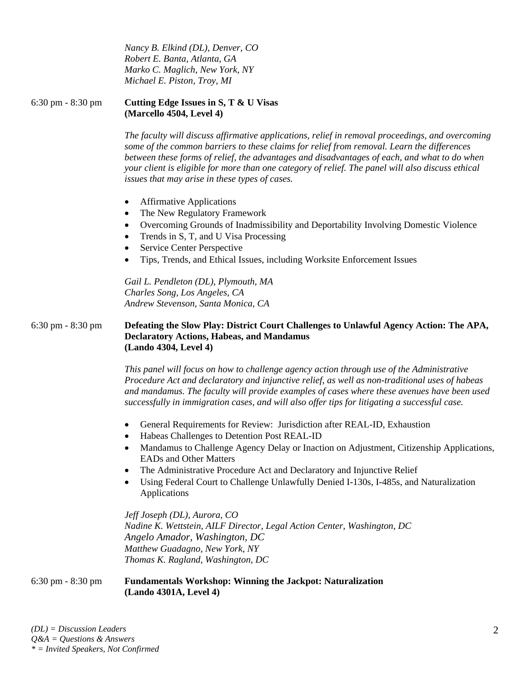*Nancy B. Elkind (DL), Denver, CO Robert E. Banta, Atlanta, GA Marko C. Maglich, New York, NY Michael E. Piston, Troy, MI* 

6:30 pm - 8:30 pm **Cutting Edge Issues in S, T & U Visas (Marcello 4504, Level 4)** 

> *The faculty will discuss affirmative applications, relief in removal proceedings, and overcoming some of the common barriers to these claims for relief from removal. Learn the differences between these forms of relief, the advantages and disadvantages of each, and what to do when your client is eligible for more than one category of relief. The panel will also discuss ethical issues that may arise in these types of cases.*

- Affirmative Applications
- The New Regulatory Framework
- Overcoming Grounds of Inadmissibility and Deportability Involving Domestic Violence
- Trends in S, T, and U Visa Processing
- Service Center Perspective
- Tips, Trends, and Ethical Issues, including Worksite Enforcement Issues

*Gail L. Pendleton (DL), Plymouth, MA Charles Song, Los Angeles, CA Andrew Stevenson, Santa Monica, CA* 

### 6:30 pm - 8:30 pm **Defeating the Slow Play: District Court Challenges to Unlawful Agency Action: The APA, Declaratory Actions, Habeas, and Mandamus (Lando 4304, Level 4)**

*This panel will focus on how to challenge agency action through use of the Administrative Procedure Act and declaratory and injunctive relief, as well as non-traditional uses of habeas and mandamus. The faculty will provide examples of cases where these avenues have been used successfully in immigration cases, and will also offer tips for litigating a successful case.* 

- General Requirements for Review: Jurisdiction after REAL-ID, Exhaustion
- Habeas Challenges to Detention Post REAL-ID
- Mandamus to Challenge Agency Delay or Inaction on Adjustment, Citizenship Applications, EADs and Other Matters
- The Administrative Procedure Act and Declaratory and Injunctive Relief
- Using Federal Court to Challenge Unlawfully Denied I-130s, I-485s, and Naturalization Applications

*Jeff Joseph (DL), Aurora, CO Nadine K. Wettstein, AILF Director, Legal Action Center, Washington, DC Angelo Amador, Washington, DC Matthew Guadagno, New York, NY Thomas K. Ragland, Washington, DC* 

## 6:30 pm - 8:30 pm **Fundamentals Workshop: Winning the Jackpot: Naturalization (Lando 4301A, Level 4)**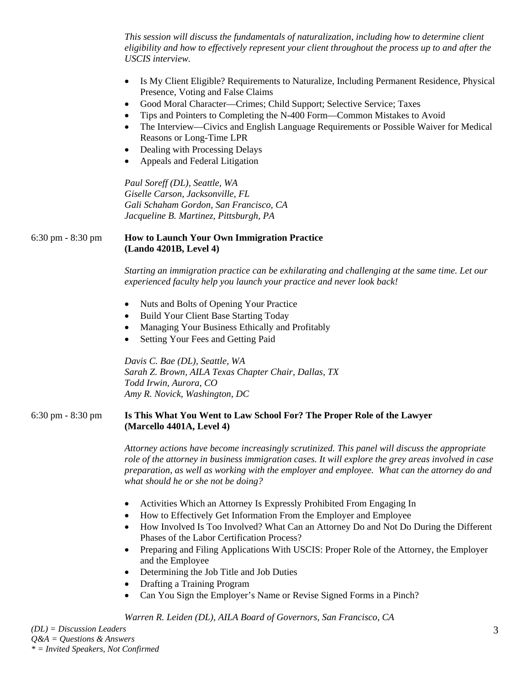*This session will discuss the fundamentals of naturalization, including how to determine client eligibility and how to effectively represent your client throughout the process up to and after the USCIS interview.* 

- Is My Client Eligible? Requirements to Naturalize, Including Permanent Residence, Physical Presence, Voting and False Claims
- Good Moral Character—Crimes; Child Support; Selective Service; Taxes
- Tips and Pointers to Completing the N-400 Form—Common Mistakes to Avoid
- The Interview—Civics and English Language Requirements or Possible Waiver for Medical Reasons or Long-Time LPR
- Dealing with Processing Delays
- Appeals and Federal Litigation

*Paul Soreff (DL), Seattle, WA Giselle Carson, Jacksonville, FL Gali Schaham Gordon, San Francisco, CA Jacqueline B. Martinez, Pittsburgh, PA* 

#### 6:30 pm - 8:30 pm **How to Launch Your Own Immigration Practice (Lando 4201B, Level 4)**

*Starting an immigration practice can be exhilarating and challenging at the same time. Let our experienced faculty help you launch your practice and never look back!* 

- Nuts and Bolts of Opening Your Practice
- Build Your Client Base Starting Today
- Managing Your Business Ethically and Profitably
- Setting Your Fees and Getting Paid

*Davis C. Bae (DL), Seattle, WA Sarah Z. Brown, AILA Texas Chapter Chair, Dallas, TX Todd Irwin, Aurora, CO Amy R. Novick, Washington, DC* 

#### 6:30 pm - 8:30 pm **Is This What You Went to Law School For? The Proper Role of the Lawyer (Marcello 4401A, Level 4)**

*Attorney actions have become increasingly scrutinized. This panel will discuss the appropriate role of the attorney in business immigration cases. It will explore the grey areas involved in case preparation, as well as working with the employer and employee. What can the attorney do and what should he or she not be doing?* 

- Activities Which an Attorney Is Expressly Prohibited From Engaging In
- How to Effectively Get Information From the Employer and Employee
- How Involved Is Too Involved? What Can an Attorney Do and Not Do During the Different Phases of the Labor Certification Process?
- Preparing and Filing Applications With USCIS: Proper Role of the Attorney, the Employer and the Employee
- Determining the Job Title and Job Duties
- Drafting a Training Program
- Can You Sign the Employer's Name or Revise Signed Forms in a Pinch?

*Warren R. Leiden (DL), AILA Board of Governors, San Francisco, CA*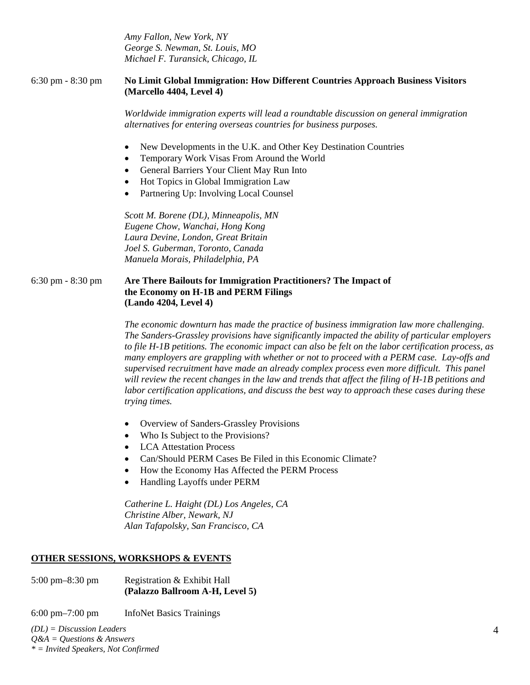*Amy Fallon, New York, NY George S. Newman, St. Louis, MO Michael F. Turansick, Chicago, IL* 

#### 6:30 pm - 8:30 pm **No Limit Global Immigration: How Different Countries Approach Business Visitors (Marcello 4404, Level 4)**

*Worldwide immigration experts will lead a roundtable discussion on general immigration alternatives for entering overseas countries for business purposes.* 

- New Developments in the U.K. and Other Key Destination Countries
- Temporary Work Visas From Around the World
- General Barriers Your Client May Run Into
- Hot Topics in Global Immigration Law
- Partnering Up: Involving Local Counsel

*Scott M. Borene (DL), Minneapolis, MN Eugene Chow, Wanchai, Hong Kong Laura Devine, London, Great Britain Joel S. Guberman, Toronto, Canada Manuela Morais, Philadelphia, PA* 

#### 6:30 pm - 8:30 pm **Are There Bailouts for Immigration Practitioners? The Impact of the Economy on H-1B and PERM Filings (Lando 4204, Level 4)**

*The economic downturn has made the practice of business immigration law more challenging. The Sanders-Grassley provisions have significantly impacted the ability of particular employers to file H-1B petitions. The economic impact can also be felt on the labor certification process, as many employers are grappling with whether or not to proceed with a PERM case. Lay-offs and supervised recruitment have made an already complex process even more difficult. This panel will review the recent changes in the law and trends that affect the filing of H-1B petitions and labor certification applications, and discuss the best way to approach these cases during these trying times.* 

- Overview of Sanders-Grassley Provisions
- Who Is Subject to the Provisions?
- LCA Attestation Process
- Can/Should PERM Cases Be Filed in this Economic Climate?
- How the Economy Has Affected the PERM Process
- Handling Layoffs under PERM

*Catherine L. Haight (DL) Los Angeles, CA Christine Alber, Newark, NJ Alan Tafapolsky, San Francisco, CA* 

#### **OTHER SESSIONS, WORKSHOPS & EVENTS**

5:00 pm–8:30 pm Registration & Exhibit Hall **(Palazzo Ballroom A-H, Level 5)** 

6:00 pm–7:00 pm InfoNet Basics Trainings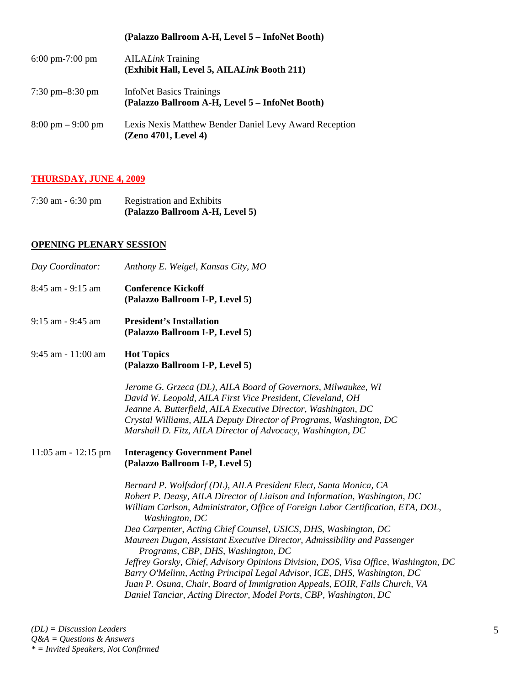# **(Palazzo Ballroom A-H, Level 5 – InfoNet Booth)**

| $6:00 \text{ pm} - 7:00 \text{ pm}$ | <b>AILALink Training</b><br>(Exhibit Hall, Level 5, AILALink Booth 211)            |
|-------------------------------------|------------------------------------------------------------------------------------|
| $7:30 \text{ pm} - 8:30 \text{ pm}$ | <b>InfoNet Basics Trainings</b><br>(Palazzo Ballroom A-H, Level 5 – InfoNet Booth) |
| $8:00 \text{ pm} - 9:00 \text{ pm}$ | Lexis Nexis Matthew Bender Daniel Levy Award Reception<br>(Zeno 4701, Level 4)     |

#### **THURSDAY, JUNE 4, 2009**

| $7:30$ am $-6:30$ pm | <b>Registration and Exhibits</b> |
|----------------------|----------------------------------|
|                      | (Palazzo Ballroom A-H, Level 5)  |

#### **OPENING PLENARY SESSION**

| Day Coordinator:        | Anthony E. Weigel, Kansas City, MO                                                                                                                                                                                                                                                                                                                                                                                                                                                                                                                                                                                                                                                                                                                              |  |  |
|-------------------------|-----------------------------------------------------------------------------------------------------------------------------------------------------------------------------------------------------------------------------------------------------------------------------------------------------------------------------------------------------------------------------------------------------------------------------------------------------------------------------------------------------------------------------------------------------------------------------------------------------------------------------------------------------------------------------------------------------------------------------------------------------------------|--|--|
| 8:45 am - 9:15 am       | <b>Conference Kickoff</b><br>(Palazzo Ballroom I-P, Level 5)                                                                                                                                                                                                                                                                                                                                                                                                                                                                                                                                                                                                                                                                                                    |  |  |
| $9:15$ am - $9:45$ am   | <b>President's Installation</b><br>(Palazzo Ballroom I-P, Level 5)                                                                                                                                                                                                                                                                                                                                                                                                                                                                                                                                                                                                                                                                                              |  |  |
| 9:45 am - 11:00 am      | <b>Hot Topics</b><br>(Palazzo Ballroom I-P, Level 5)                                                                                                                                                                                                                                                                                                                                                                                                                                                                                                                                                                                                                                                                                                            |  |  |
|                         | Jerome G. Grzeca (DL), AILA Board of Governors, Milwaukee, WI<br>David W. Leopold, AILA First Vice President, Cleveland, OH<br>Jeanne A. Butterfield, AILA Executive Director, Washington, DC<br>Crystal Williams, AILA Deputy Director of Programs, Washington, DC<br>Marshall D. Fitz, AILA Director of Advocacy, Washington, DC                                                                                                                                                                                                                                                                                                                                                                                                                              |  |  |
| $11:05$ am - $12:15$ pm | <b>Interagency Government Panel</b><br>(Palazzo Ballroom I-P, Level 5)                                                                                                                                                                                                                                                                                                                                                                                                                                                                                                                                                                                                                                                                                          |  |  |
|                         | Bernard P. Wolfsdorf (DL), AILA President Elect, Santa Monica, CA<br>Robert P. Deasy, AILA Director of Liaison and Information, Washington, DC<br>William Carlson, Administrator, Office of Foreign Labor Certification, ETA, DOL,<br>Washington, DC<br>Dea Carpenter, Acting Chief Counsel, USICS, DHS, Washington, DC<br>Maureen Dugan, Assistant Executive Director, Admissibility and Passenger<br>Programs, CBP, DHS, Washington, DC<br>Jeffrey Gorsky, Chief, Advisory Opinions Division, DOS, Visa Office, Washington, DC<br>Barry O'Melinn, Acting Principal Legal Advisor, ICE, DHS, Washington, DC<br>Juan P. Osuna, Chair, Board of Immigration Appeals, EOIR, Falls Church, VA<br>Daniel Tanciar, Acting Director, Model Ports, CBP, Washington, DC |  |  |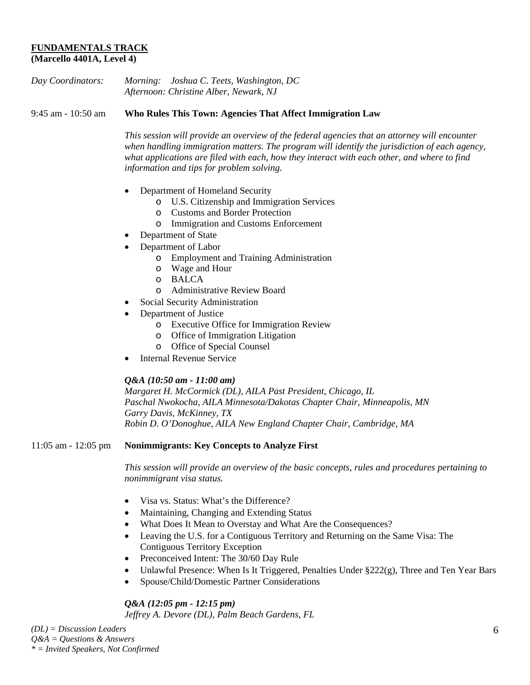## **FUNDAMENTALS TRACK (Marcello 4401A, Level 4)**

| Day Coordinators: | Morning: Joshua C. Teets, Washington, DC |
|-------------------|------------------------------------------|
|                   | Afternoon: Christine Alber, Newark, NJ   |

9:45 am - 10:50 am **Who Rules This Town: Agencies That Affect Immigration Law** 

*This session will provide an overview of the federal agencies that an attorney will encounter when handling immigration matters. The program will identify the jurisdiction of each agency, what applications are filed with each, how they interact with each other, and where to find information and tips for problem solving.* 

- Department of Homeland Security
	- o U.S. Citizenship and Immigration Services
	- o Customs and Border Protection
	- o Immigration and Customs Enforcement
- Department of State
- Department of Labor
	- o Employment and Training Administration
	- o Wage and Hour
	- o BALCA
	- o Administrative Review Board
- Social Security Administration
- Department of Justice
	- o Executive Office for Immigration Review
	- o Office of Immigration Litigation
	- o Office of Special Counsel
- Internal Revenue Service

#### *Q&A (10:50 am - 11:00 am)*

*Margaret H. McCormick (DL), AILA Past President, Chicago, IL Paschal Nwokocha, AILA Minnesota/Dakotas Chapter Chair, Minneapolis, MN Garry Davis, McKinney, TX Robin D. O'Donoghue, AILA New England Chapter Chair, Cambridge, MA* 

11:05 am - 12:05 pm **Nonimmigrants: Key Concepts to Analyze First** 

*This session will provide an overview of the basic concepts, rules and procedures pertaining to nonimmigrant visa status.* 

- Visa vs. Status: What's the Difference?
- Maintaining, Changing and Extending Status
- What Does It Mean to Overstay and What Are the Consequences?
- Leaving the U.S. for a Contiguous Territory and Returning on the Same Visa: The Contiguous Territory Exception
- Preconceived Intent: The 30/60 Day Rule
- Unlawful Presence: When Is It Triggered, Penalties Under §222(g), Three and Ten Year Bars
- Spouse/Child/Domestic Partner Considerations

# *Q&A (12:05 pm - 12:15 pm)*

*Jeffrey A. Devore (DL), Palm Beach Gardens, FL*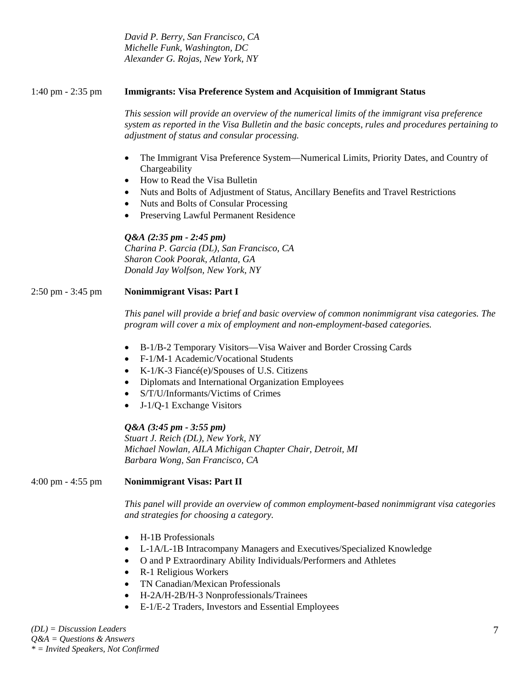*David P. Berry, San Francisco, CA Michelle Funk, Washington, DC Alexander G. Rojas, New York, NY* 

### 1:40 pm - 2:35 pm **Immigrants: Visa Preference System and Acquisition of Immigrant Status**

*This session will provide an overview of the numerical limits of the immigrant visa preference system as reported in the Visa Bulletin and the basic concepts, rules and procedures pertaining to adjustment of status and consular processing.* 

- The Immigrant Visa Preference System—Numerical Limits, Priority Dates, and Country of Chargeability
- How to Read the Visa Bulletin
- Nuts and Bolts of Adjustment of Status, Ancillary Benefits and Travel Restrictions
- Nuts and Bolts of Consular Processing
- Preserving Lawful Permanent Residence

## *Q&A (2:35 pm - 2:45 pm)*

*Charina P. Garcia (DL), San Francisco, CA Sharon Cook Poorak, Atlanta, GA Donald Jay Wolfson, New York, NY* 

## 2:50 pm - 3:45 pm **Nonimmigrant Visas: Part I**

*This panel will provide a brief and basic overview of common nonimmigrant visa categories. The program will cover a mix of employment and non-employment-based categories.* 

- B-1/B-2 Temporary Visitors—Visa Waiver and Border Crossing Cards
- F-1/M-1 Academic/Vocational Students
- K-1/K-3 Fiancé(e)/Spouses of U.S. Citizens
- Diplomats and International Organization Employees
- S/T/U/Informants/Victims of Crimes
- J-1/Q-1 Exchange Visitors

# *Q&A (3:45 pm - 3:55 pm)*

*Stuart J. Reich (DL), New York, NY Michael Nowlan, AILA Michigan Chapter Chair, Detroit, MI Barbara Wong, San Francisco, CA* 

4:00 pm - 4:55 pm **Nonimmigrant Visas: Part II** 

*This panel will provide an overview of common employment-based nonimmigrant visa categories and strategies for choosing a category.* 

- H-1B Professionals
- L-1A/L-1B Intracompany Managers and Executives/Specialized Knowledge
- O and P Extraordinary Ability Individuals/Performers and Athletes
- R-1 Religious Workers
- TN Canadian/Mexican Professionals
- H-2A/H-2B/H-3 Nonprofessionals/Trainees
- E-1/E-2 Traders, Investors and Essential Employees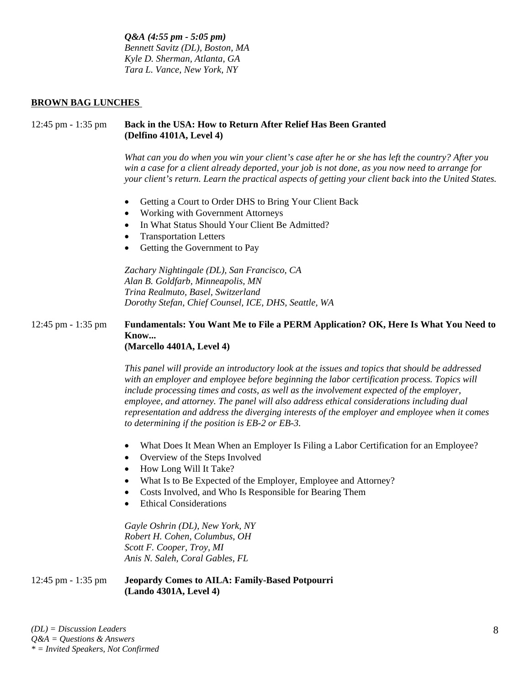*Q&A (4:55 pm - 5:05 pm) Bennett Savitz (DL), Boston, MA Kyle D. Sherman, Atlanta, GA Tara L. Vance, New York, NY* 

#### **BROWN BAG LUNCHES**

### 12:45 pm - 1:35 pm **Back in the USA: How to Return After Relief Has Been Granted (Delfino 4101A, Level 4)**

*What can you do when you win your client's case after he or she has left the country? After you win a case for a client already deported, your job is not done, as you now need to arrange for your client's return. Learn the practical aspects of getting your client back into the United States.* 

- Getting a Court to Order DHS to Bring Your Client Back
- Working with Government Attorneys
- In What Status Should Your Client Be Admitted?
- Transportation Letters
- Getting the Government to Pay

*Zachary Nightingale (DL), San Francisco, CA Alan B. Goldfarb, Minneapolis, MN Trina Realmuto, Basel, Switzerland Dorothy Stefan, Chief Counsel, ICE, DHS, Seattle, WA* 

#### 12:45 pm - 1:35 pm **Fundamentals: You Want Me to File a PERM Application? OK, Here Is What You Need to Know... (Marcello 4401A, Level 4)**

*This panel will provide an introductory look at the issues and topics that should be addressed with an employer and employee before beginning the labor certification process. Topics will include processing times and costs, as well as the involvement expected of the employer, employee, and attorney. The panel will also address ethical considerations including dual representation and address the diverging interests of the employer and employee when it comes to determining if the position is EB-2 or EB-3.* 

- What Does It Mean When an Employer Is Filing a Labor Certification for an Employee?
- Overview of the Steps Involved
- How Long Will It Take?
- What Is to Be Expected of the Employer, Employee and Attorney?
- Costs Involved, and Who Is Responsible for Bearing Them
- **Ethical Considerations**

*Gayle Oshrin (DL), New York, NY Robert H. Cohen, Columbus, OH Scott F. Cooper, Troy, MI Anis N. Saleh, Coral Gables, FL* 

#### 12:45 pm - 1:35 pm **Jeopardy Comes to AILA: Family-Based Potpourri (Lando 4301A, Level 4)**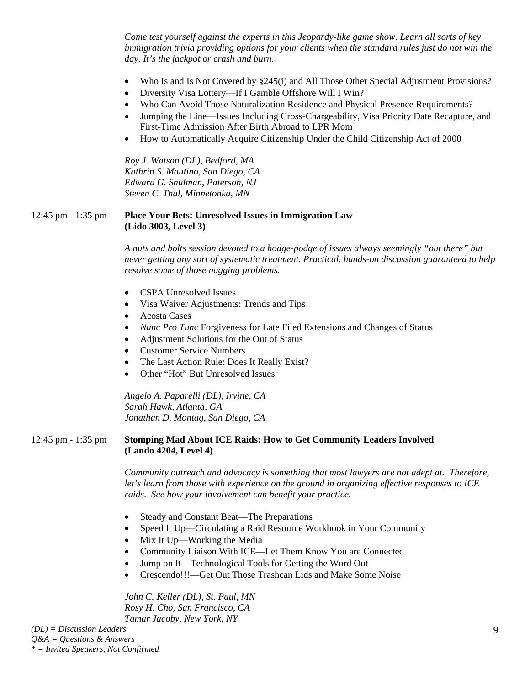*Come test yourself against the experts in this Jeopardy-like game show. Learn all sorts of key immigration trivia providing options for your clients when the standard rules just do not win the day. It's the jackpot or crash and burn.* 

- Who Is and Is Not Covered by §245(i) and All Those Other Special Adjustment Provisions?
- Diversity Visa Lottery—If I Gamble Offshore Will I Win?
- Who Can Avoid Those Naturalization Residence and Physical Presence Requirements?
- Jumping the Line—Issues Including Cross-Chargeability, Visa Priority Date Recapture, and First-Time Admission After Birth Abroad to LPR Mom
- How to Automatically Acquire Citizenship Under the Child Citizenship Act of 2000

*Roy J. Watson (DL), Bedford, MA Kathrin S. Mautino, San Diego, CA Edward G. Shulman, Paterson, NJ Steven C. Thal, Minnetonka, MN* 

#### 12:45 pm - 1:35 pm **Place Your Bets: Unresolved Issues in Immigration Law (Lido 3003, Level 3)**

*A nuts and bolts session devoted to a hodge-podge of issues always seemingly "out there" but never getting any sort of systematic treatment. Practical, hands-on discussion guaranteed to help resolve some of those nagging problems.* 

- CSPA Unresolved Issues
- Visa Waiver Adjustments: Trends and Tips
- Acosta Cases
- *Nunc Pro Tunc Forgiveness for Late Filed Extensions and Changes of Status*
- Adjustment Solutions for the Out of Status
- Customer Service Numbers
- The Last Action Rule: Does It Really Exist?
- Other "Hot" But Unresolved Issues

*Angelo A. Paparelli (DL), Irvine, CA Sarah Hawk, Atlanta, GA Jonathan D. Montag, San Diego, CA* 

#### 12:45 pm - 1:35 pm **Stomping Mad About ICE Raids: How to Get Community Leaders Involved (Lando 4204, Level 4)**

*Community outreach and advocacy is something that most lawyers are not adept at. Therefore, let's learn from those with experience on the ground in organizing effective responses to ICE raids. See how your involvement can benefit your practice.* 

- Steady and Constant Beat—The Preparations
- Speed It Up—Circulating a Raid Resource Workbook in Your Community
- Mix It Up—Working the Media
- Community Liaison With ICE—Let Them Know You are Connected
- Jump on It—Technological Tools for Getting the Word Out
- Crescendo!!!—Get Out Those Trashcan Lids and Make Some Noise

*John C. Keller (DL), St. Paul, MN Rosy H. Cho, San Francisco, CA Tamar Jacoby, New York, NY*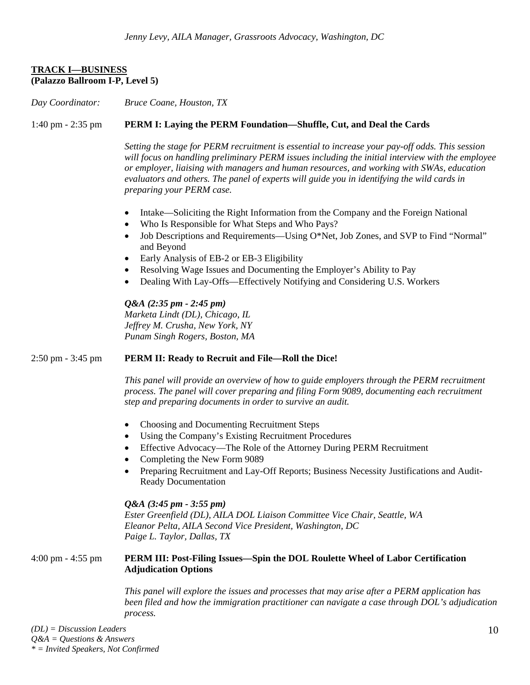# **TRACK I—BUSINESS (Palazzo Ballroom I-P, Level 5)**

*Day Coordinator: Bruce Coane, Houston, TX*

## 1:40 pm - 2:35 pm **PERM I: Laying the PERM Foundation—Shuffle, Cut, and Deal the Cards**

*Setting the stage for PERM recruitment is essential to increase your pay-off odds. This session will focus on handling preliminary PERM issues including the initial interview with the employee or employer, liaising with managers and human resources, and working with SWAs, education evaluators and others. The panel of experts will guide you in identifying the wild cards in preparing your PERM case.* 

- Intake—Soliciting the Right Information from the Company and the Foreign National
- Who Is Responsible for What Steps and Who Pays?
- Job Descriptions and Requirements—Using O\*Net, Job Zones, and SVP to Find "Normal" and Beyond
- Early Analysis of EB-2 or EB-3 Eligibility
- Resolving Wage Issues and Documenting the Employer's Ability to Pay
- Dealing With Lay-Offs—Effectively Notifying and Considering U.S. Workers

*Q&A (2:35 pm - 2:45 pm) Marketa Lindt (DL), Chicago, IL Jeffrey M. Crusha, New York, NY Punam Singh Rogers, Boston, MA* 

#### 2:50 pm - 3:45 pm **PERM II: Ready to Recruit and File—Roll the Dice!**

*This panel will provide an overview of how to guide employers through the PERM recruitment process. The panel will cover preparing and filing Form 9089, documenting each recruitment step and preparing documents in order to survive an audit.* 

- Choosing and Documenting Recruitment Steps
- Using the Company's Existing Recruitment Procedures
- Effective Advocacy—The Role of the Attorney During PERM Recruitment
- Completing the New Form 9089
- Preparing Recruitment and Lay-Off Reports; Business Necessity Justifications and Audit-Ready Documentation

#### *Q&A (3:45 pm - 3:55 pm)*

*Ester Greenfield (DL), AILA DOL Liaison Committee Vice Chair, Seattle, WA Eleanor Pelta, AILA Second Vice President, Washington, DC Paige L. Taylor, Dallas, TX* 

#### 4:00 pm - 4:55 pm **PERM III: Post-Filing Issues—Spin the DOL Roulette Wheel of Labor Certification Adjudication Options**

*This panel will explore the issues and processes that may arise after a PERM application has been filed and how the immigration practitioner can navigate a case through DOL's adjudication process.*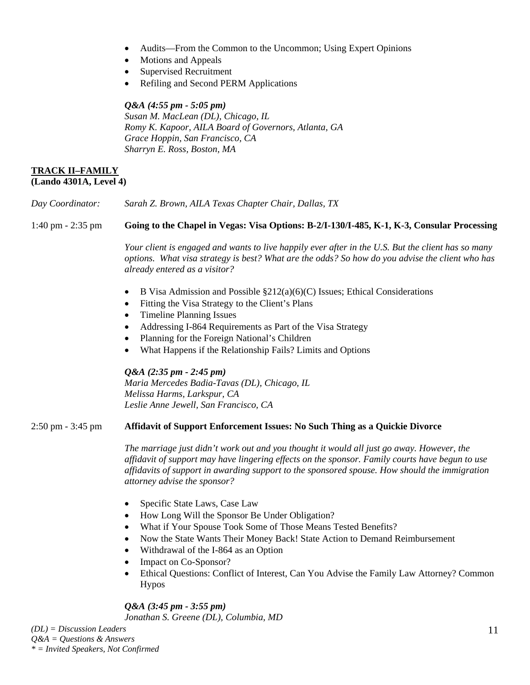- Audits—From the Common to the Uncommon; Using Expert Opinions
- Motions and Appeals
- Supervised Recruitment
- Refiling and Second PERM Applications

#### *Q&A (4:55 pm - 5:05 pm)*

*Susan M. MacLean (DL), Chicago, IL Romy K. Kapoor, AILA Board of Governors, Atlanta, GA Grace Hoppin, San Francisco, CA Sharryn E. Ross, Boston, MA* 

#### **TRACK II–FAMILY (Lando 4301A, Level 4)**

| Day Coordinator:                    | Sarah Z. Brown, AILA Texas Chapter Chair, Dallas, TX                                                                                                                                                                                                                                                                          |  |  |
|-------------------------------------|-------------------------------------------------------------------------------------------------------------------------------------------------------------------------------------------------------------------------------------------------------------------------------------------------------------------------------|--|--|
| $1:40$ pm $- 2:35$ pm               | Going to the Chapel in Vegas: Visa Options: B-2/I-130/I-485, K-1, K-3, Consular Processing                                                                                                                                                                                                                                    |  |  |
|                                     | Your client is engaged and wants to live happily ever after in the U.S. But the client has so many<br>options. What visa strategy is best? What are the odds? So how do you advise the client who has<br>already entered as a visitor?                                                                                        |  |  |
|                                     | B Visa Admission and Possible §212(a)(6)(C) Issues; Ethical Considerations<br>$\bullet$<br>Fitting the Visa Strategy to the Client's Plans<br>$\bullet$<br><b>Timeline Planning Issues</b><br>$\bullet$                                                                                                                       |  |  |
|                                     | Addressing I-864 Requirements as Part of the Visa Strategy<br>$\bullet$                                                                                                                                                                                                                                                       |  |  |
|                                     | Planning for the Foreign National's Children<br>$\bullet$                                                                                                                                                                                                                                                                     |  |  |
|                                     | What Happens if the Relationship Fails? Limits and Options<br>$\bullet$                                                                                                                                                                                                                                                       |  |  |
|                                     | $Q&A(2:35 \, pm - 2:45 \, pm)$<br>Maria Mercedes Badia-Tavas (DL), Chicago, IL<br>Melissa Harms, Larkspur, CA<br>Leslie Anne Jewell, San Francisco, CA                                                                                                                                                                        |  |  |
| $2:50 \text{ pm} - 3:45 \text{ pm}$ | Affidavit of Support Enforcement Issues: No Such Thing as a Quickie Divorce                                                                                                                                                                                                                                                   |  |  |
|                                     | The marriage just didn't work out and you thought it would all just go away. However, the<br>affidavit of support may have lingering effects on the sponsor. Family courts have begun to use<br>affidavits of support in awarding support to the sponsored spouse. How should the immigration<br>attorney advise the sponsor? |  |  |
|                                     | Specific State Laws, Case Law<br>$\bullet$                                                                                                                                                                                                                                                                                    |  |  |
|                                     | How Long Will the Sponsor Be Under Obligation?<br>$\bullet$                                                                                                                                                                                                                                                                   |  |  |
|                                     | What if Your Spouse Took Some of Those Means Tested Benefits?<br>$\bullet$                                                                                                                                                                                                                                                    |  |  |
|                                     | Now the State Wants Their Money Back! State Action to Demand Reimbursement<br>$\bullet$                                                                                                                                                                                                                                       |  |  |
|                                     | Withdrawal of the I-864 as an Option<br>$\bullet$                                                                                                                                                                                                                                                                             |  |  |
|                                     | Impact on Co-Sponsor?<br>$\bullet$                                                                                                                                                                                                                                                                                            |  |  |
|                                     | Ethical Questions: Conflict of Interest, Can You Advise the Family Law Attorney? Common<br>$\bullet$<br><b>Hypos</b>                                                                                                                                                                                                          |  |  |
|                                     | $Q&A(3:45 \, pm - 3:55 \, pm)$<br>Jonathan S. Greene (DL), Columbia, MD                                                                                                                                                                                                                                                       |  |  |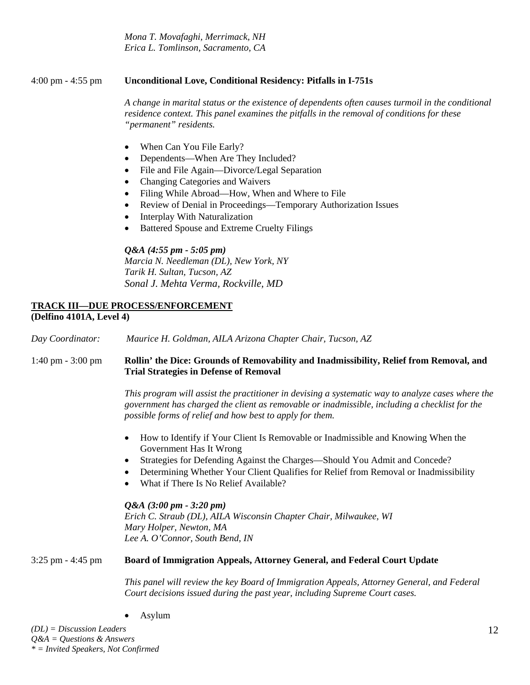*Mona T. Movafaghi, Merrimack, NH Erica L. Tomlinson, Sacramento, CA* 

## 4:00 pm - 4:55 pm **Unconditional Love, Conditional Residency: Pitfalls in I-751s**

*A change in marital status or the existence of dependents often causes turmoil in the conditional residence context. This panel examines the pitfalls in the removal of conditions for these "permanent" residents.* 

- When Can You File Early?
- Dependents—When Are They Included?
- File and File Again—Divorce/Legal Separation
- Changing Categories and Waivers
- Filing While Abroad—How, When and Where to File
- Review of Denial in Proceedings—Temporary Authorization Issues
- Interplay With Naturalization
- Battered Spouse and Extreme Cruelty Filings

#### *Q&A (4:55 pm - 5:05 pm)*

*Marcia N. Needleman (DL), New York, NY Tarik H. Sultan, Tucson, AZ Sonal J. Mehta Verma, Rockville, MD*

## **TRACK III—DUE PROCESS/ENFORCEMENT (Delfino 4101A, Level 4)**

*Day Coordinator: Maurice H. Goldman, AILA Arizona Chapter Chair, Tucson, AZ*

## 1:40 pm - 3:00 pm **Rollin' the Dice: Grounds of Removability and Inadmissibility, Relief from Removal, and Trial Strategies in Defense of Removal**

*This program will assist the practitioner in devising a systematic way to analyze cases where the government has charged the client as removable or inadmissible, including a checklist for the possible forms of relief and how best to apply for them.* 

- How to Identify if Your Client Is Removable or Inadmissible and Knowing When the Government Has It Wrong
- Strategies for Defending Against the Charges—Should You Admit and Concede?
- Determining Whether Your Client Qualifies for Relief from Removal or Inadmissibility
- What if There Is No Relief Available?

#### *Q&A (3:00 pm - 3:20 pm)*

*Erich C. Straub (DL), AILA Wisconsin Chapter Chair, Milwaukee, WI Mary Holper, Newton, MA Lee A. O'Connor, South Bend, IN*

#### 3:25 pm - 4:45 pm **Board of Immigration Appeals, Attorney General, and Federal Court Update**

*This panel will review the key Board of Immigration Appeals, Attorney General, and Federal Court decisions issued during the past year, including Supreme Court cases.* 

• Asylum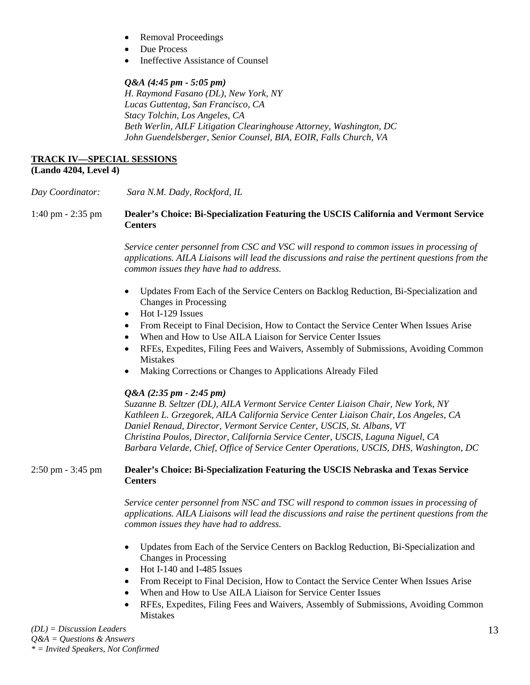- Removal Proceedings
- Due Process
- Ineffective Assistance of Counsel

## *Q&A (4:45 pm - 5:05 pm)*

*H. Raymond Fasano (DL), New York, NY Lucas Guttentag, San Francisco, CA Stacy Tolchin, Los Angeles, CA Beth Werlin, AILF Litigation Clearinghouse Attorney, Washington, DC John Guendelsberger, Senior Counsel, BIA, EOIR, Falls Church, VA* 

#### **TRACK IV—SPECIAL SESSIONS (Lando 4204, Level 4)**

*Day Coordinator: Sara N.M. Dady, Rockford, IL*  1:40 pm - 2:35 pm **Dealer's Choice: Bi-Specialization Featuring the USCIS California and Vermont Service Centers** 

> *Service center personnel from CSC and VSC will respond to common issues in processing of applications. AILA Liaisons will lead the discussions and raise the pertinent questions from the common issues they have had to address.*

- Updates From Each of the Service Centers on Backlog Reduction, Bi-Specialization and Changes in Processing
- Hot I-129 Issues
- From Receipt to Final Decision, How to Contact the Service Center When Issues Arise
- When and How to Use AILA Liaison for Service Center Issues
- RFEs, Expedites, Filing Fees and Waivers, Assembly of Submissions, Avoiding Common Mistakes
- Making Corrections or Changes to Applications Already Filed

# *Q&A (2:35 pm - 2:45 pm)*

*Suzanne B. Seltzer (DL), AILA Vermont Service Center Liaison Chair, New York, NY Kathleen L. Grzegorek, AILA California Service Center Liaison Chair, Los Angeles, CA Daniel Renaud, Director, Vermont Service Center, USCIS, St. Albans, VT Christina Poulos, Director, California Service Center, USCIS, Laguna Niguel, CA Barbara Velarde, Chief, Office of Service Center Operations, USCIS, DHS, Washington, DC* 

## 2:50 pm - 3:45 pm **Dealer's Choice: Bi-Specialization Featuring the USCIS Nebraska and Texas Service Centers**

*Service center personnel from NSC and TSC will respond to common issues in processing of applications. AILA Liaisons will lead the discussions and raise the pertinent questions from the common issues they have had to address.* 

- Updates from Each of the Service Centers on Backlog Reduction, Bi-Specialization and Changes in Processing
- Hot I-140 and I-485 Issues
- From Receipt to Final Decision, How to Contact the Service Center When Issues Arise
- When and How to Use AILA Liaison for Service Center Issues
- RFEs, Expedites, Filing Fees and Waivers, Assembly of Submissions, Avoiding Common Mistakes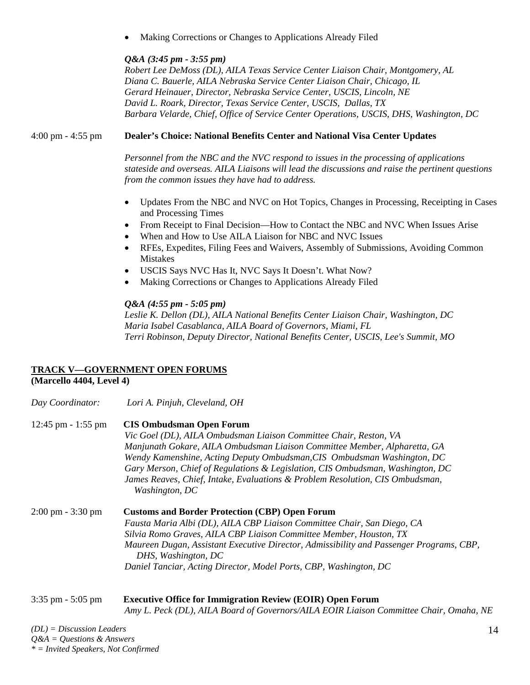• Making Corrections or Changes to Applications Already Filed

## *Q&A (3:45 pm - 3:55 pm)*

*Robert Lee DeMoss (DL), AILA Texas Service Center Liaison Chair, Montgomery, AL Diana C. Bauerle, AILA Nebraska Service Center Liaison Chair, Chicago, IL Gerard Heinauer, Director, Nebraska Service Center, USCIS, Lincoln, NE David L. Roark, Director, Texas Service Center, USCIS, Dallas, TX Barbara Velarde, Chief, Office of Service Center Operations, USCIS, DHS, Washington, DC* 

## 4:00 pm - 4:55 pm **Dealer's Choice: National Benefits Center and National Visa Center Updates**

*Personnel from the NBC and the NVC respond to issues in the processing of applications stateside and overseas. AILA Liaisons will lead the discussions and raise the pertinent questions from the common issues they have had to address.* 

- Updates From the NBC and NVC on Hot Topics, Changes in Processing, Receipting in Cases and Processing Times
- From Receipt to Final Decision—How to Contact the NBC and NVC When Issues Arise
- When and How to Use AILA Liaison for NBC and NVC Issues
- RFEs, Expedites, Filing Fees and Waivers, Assembly of Submissions, Avoiding Common Mistakes
- USCIS Says NVC Has It, NVC Says It Doesn't. What Now?
- Making Corrections or Changes to Applications Already Filed

## *Q&A (4:55 pm - 5:05 pm)*

*Leslie K. Dellon (DL), AILA National Benefits Center Liaison Chair, Washington, DC Maria Isabel Casablanca, AILA Board of Governors, Miami, FL Terri Robinson, Deputy Director, National Benefits Center, USCIS, Lee's Summit, MO* 

# **TRACK V—GOVERNMENT OPEN FORUMS**

**(Marcello 4404, Level 4)** 

| Day Coordinator:                    | Lori A. Pinjuh, Cleveland, OH                                                                                  |  |  |
|-------------------------------------|----------------------------------------------------------------------------------------------------------------|--|--|
| $12:45$ pm - 1:55 pm                | <b>CIS Ombudsman Open Forum</b>                                                                                |  |  |
|                                     | Vic Goel (DL), AILA Ombudsman Liaison Committee Chair, Reston, VA                                              |  |  |
|                                     | Manjunath Gokare, AILA Ombudsman Liaison Committee Member, Alpharetta, GA                                      |  |  |
|                                     | Wendy Kamenshine, Acting Deputy Ombudsman, CIS Ombudsman Washington, DC                                        |  |  |
|                                     | Gary Merson, Chief of Regulations & Legislation, CIS Ombudsman, Washington, DC                                 |  |  |
|                                     | James Reaves, Chief, Intake, Evaluations & Problem Resolution, CIS Ombudsman,<br>Washington, DC                |  |  |
| $2:00 \text{ pm} - 3:30 \text{ pm}$ | <b>Customs and Border Protection (CBP) Open Forum</b>                                                          |  |  |
|                                     | Fausta Maria Albi (DL), AILA CBP Liaison Committee Chair, San Diego, CA                                        |  |  |
|                                     | Silvia Romo Graves, AILA CBP Liaison Committee Member, Houston, TX                                             |  |  |
|                                     | Maureen Dugan, Assistant Executive Director, Admissibility and Passenger Programs, CBP,<br>DHS, Washington, DC |  |  |
|                                     | Daniel Tanciar, Acting Director, Model Ports, CBP, Washington, DC                                              |  |  |
|                                     |                                                                                                                |  |  |

#### 3:35 pm - 5:05 pm **Executive Office for Immigration Review (EOIR) Open Forum**  *Amy L. Peck (DL), AILA Board of Governors/AILA EOIR Liaison Committee Chair, Omaha, NE*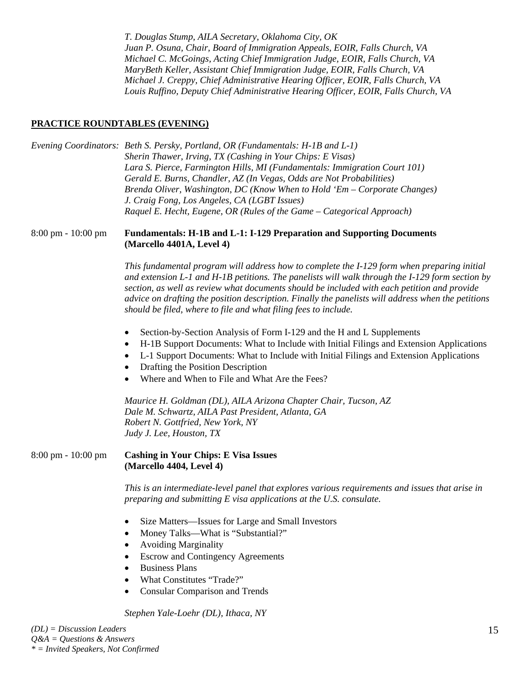*T. Douglas Stump, AILA Secretary, Oklahoma City, OK Juan P. Osuna, Chair, Board of Immigration Appeals, EOIR, Falls Church, VA Michael C. McGoings, Acting Chief Immigration Judge, EOIR, Falls Church, VA MaryBeth Keller, Assistant Chief Immigration Judge, EOIR, Falls Church, VA Michael J. Creppy, Chief Administrative Hearing Officer, EOIR, Falls Church, VA Louis Ruffino, Deputy Chief Administrative Hearing Officer, EOIR, Falls Church, VA* 

### **PRACTICE ROUNDTABLES (EVENING)**

|                                      | Evening Coordinators: Beth S. Persky, Portland, OR (Fundamentals: H-1B and L-1)<br>Sherin Thawer, Irving, TX (Cashing in Your Chips: E Visas)<br>Lara S. Pierce, Farmington Hills, MI (Fundamentals: Immigration Court 101)<br>Gerald E. Burns, Chandler, AZ (In Vegas, Odds are Not Probabilities)<br>Brenda Oliver, Washington, DC (Know When to Hold 'Em – Corporate Changes)<br>J. Craig Fong, Los Angeles, CA (LGBT Issues)<br>Raquel E. Hecht, Eugene, OR (Rules of the Game - Categorical Approach) |
|--------------------------------------|------------------------------------------------------------------------------------------------------------------------------------------------------------------------------------------------------------------------------------------------------------------------------------------------------------------------------------------------------------------------------------------------------------------------------------------------------------------------------------------------------------|
| $8:00 \text{ pm} - 10:00 \text{ pm}$ | <b>Fundamentals: H-1B and L-1: I-129 Preparation and Supporting Documents</b><br>(Marcello 4401A, Level 4)                                                                                                                                                                                                                                                                                                                                                                                                 |
|                                      | This fundamental program will address how to complete the I-129 form when preparing initial<br>and extension L-1 and H-1B petitions. The panelists will walk through the $I-129$ form section by<br>section, as well as review what documents should be included with each petition and provide<br>advice on drafting the position description. Finally the panelists will address when the petitions<br>should be filed, where to file and what filing fees to include.                                   |
|                                      | Section-by-Section Analysis of Form I-129 and the H and L Supplements<br>$\bullet$<br>H-1B Support Documents: What to Include with Initial Filings and Extension Applications<br>٠<br>L-1 Support Documents: What to Include with Initial Filings and Extension Applications<br>٠<br>Drafting the Position Description<br>$\bullet$<br>Where and When to File and What Are the Fees?<br>$\bullet$                                                                                                          |
|                                      | Maurice H. Goldman (DL), AILA Arizona Chapter Chair, Tucson, AZ<br>Dale M. Schwartz, AILA Past President, Atlanta, GA<br>Robert N. Gottfried, New York, NY<br>Judy J. Lee, Houston, TX                                                                                                                                                                                                                                                                                                                     |
| $8:00 \text{ pm} - 10:00 \text{ pm}$ | <b>Cashing in Your Chips: E Visa Issues</b><br>(Marcello 4404, Level 4)                                                                                                                                                                                                                                                                                                                                                                                                                                    |
|                                      | This is an intermediate-level panel that explores various requirements and issues that arise in<br>preparing and submitting E visa applications at the U.S. consulate.                                                                                                                                                                                                                                                                                                                                     |
|                                      | Size Matters-Issues for Large and Small Investors<br>٠<br>Money Talks—What is "Substantial?"<br>٠<br><b>Avoiding Marginality</b><br><b>Escrow and Contingency Agreements</b><br><b>Business Plans</b><br>$\bullet$<br>What Constitutes "Trade?"<br><b>Consular Comparison and Trends</b><br>٠                                                                                                                                                                                                              |
|                                      | Stephen Yale-Loehr (DL), Ithaca, NY                                                                                                                                                                                                                                                                                                                                                                                                                                                                        |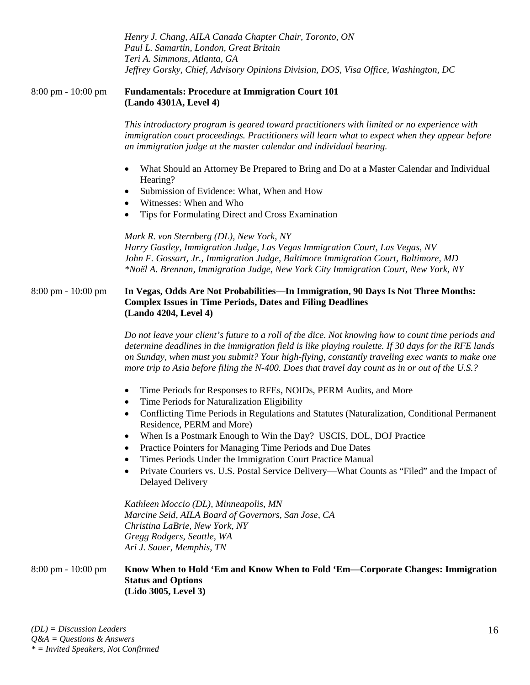*Henry J. Chang, AILA Canada Chapter Chair, Toronto, ON Paul L. Samartin, London, Great Britain Teri A. Simmons, Atlanta, GA Jeffrey Gorsky, Chief, Advisory Opinions Division, DOS, Visa Office, Washington, DC* 

#### 8:00 pm - 10:00 pm **Fundamentals: Procedure at Immigration Court 101 (Lando 4301A, Level 4)**

*This introductory program is geared toward practitioners with limited or no experience with immigration court proceedings. Practitioners will learn what to expect when they appear before an immigration judge at the master calendar and individual hearing.* 

- What Should an Attorney Be Prepared to Bring and Do at a Master Calendar and Individual Hearing?
- Submission of Evidence: What, When and How
- Witnesses: When and Who
- Tips for Formulating Direct and Cross Examination

*Mark R. von Sternberg (DL), New York, NY Harry Gastley, Immigration Judge, Las Vegas Immigration Court, Las Vegas, NV John F. Gossart, Jr., Immigration Judge, Baltimore Immigration Court, Baltimore, MD \*Noël A. Brennan, Immigration Judge, New York City Immigration Court, New York, NY* 

#### 8:00 pm - 10:00 pm **In Vegas, Odds Are Not Probabilities—In Immigration, 90 Days Is Not Three Months: Complex Issues in Time Periods, Dates and Filing Deadlines (Lando 4204, Level 4)**

*Do not leave your client's future to a roll of the dice. Not knowing how to count time periods and determine deadlines in the immigration field is like playing roulette. If 30 days for the RFE lands on Sunday, when must you submit? Your high-flying, constantly traveling exec wants to make one more trip to Asia before filing the N-400. Does that travel day count as in or out of the U.S.?* 

- Time Periods for Responses to RFEs, NOIDs, PERM Audits, and More
- Time Periods for Naturalization Eligibility
- Conflicting Time Periods in Regulations and Statutes (Naturalization, Conditional Permanent Residence, PERM and More)
- When Is a Postmark Enough to Win the Day? USCIS, DOL, DOJ Practice
- Practice Pointers for Managing Time Periods and Due Dates
- Times Periods Under the Immigration Court Practice Manual
- Private Couriers vs. U.S. Postal Service Delivery—What Counts as "Filed" and the Impact of Delayed Delivery

*Kathleen Moccio (DL), Minneapolis, MN Marcine Seid, AILA Board of Governors, San Jose, CA Christina LaBrie, New York, NY Gregg Rodgers, Seattle, WA Ari J. Sauer, Memphis, TN* 

#### 8:00 pm - 10:00 pm **Know When to Hold 'Em and Know When to Fold 'Em—Corporate Changes: Immigration Status and Options (Lido 3005, Level 3)**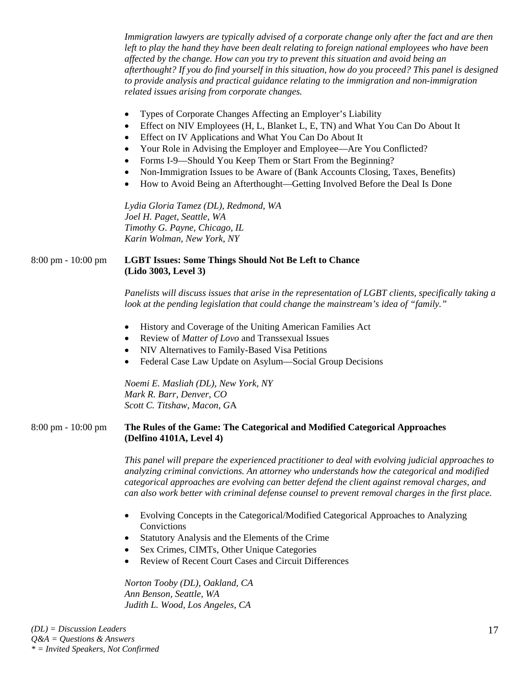*Immigration lawyers are typically advised of a corporate change only after the fact and are then left to play the hand they have been dealt relating to foreign national employees who have been affected by the change. How can you try to prevent this situation and avoid being an afterthought? If you do find yourself in this situation, how do you proceed? This panel is designed to provide analysis and practical guidance relating to the immigration and non-immigration related issues arising from corporate changes.* 

- Types of Corporate Changes Affecting an Employer's Liability
- Effect on NIV Employees (H, L, Blanket L, E, TN) and What You Can Do About It
- Effect on IV Applications and What You Can Do About It
- Your Role in Advising the Employer and Employee—Are You Conflicted?
- Forms I-9—Should You Keep Them or Start From the Beginning?
- Non-Immigration Issues to be Aware of (Bank Accounts Closing, Taxes, Benefits)
- How to Avoid Being an Afterthought—Getting Involved Before the Deal Is Done

*Lydia Gloria Tamez (DL), Redmond, WA Joel H. Paget, Seattle, WA Timothy G. Payne, Chicago, IL Karin Wolman, New York, NY* 

### 8:00 pm - 10:00 pm **LGBT Issues: Some Things Should Not Be Left to Chance (Lido 3003, Level 3)**

*Panelists will discuss issues that arise in the representation of LGBT clients, specifically taking a look at the pending legislation that could change the mainstream's idea of "family."* 

- History and Coverage of the Uniting American Families Act
- Review of *Matter of Lovo* and Transsexual Issues
- NIV Alternatives to Family-Based Visa Petitions
- Federal Case Law Update on Asylum—Social Group Decisions

*Noemi E. Masliah (DL), New York, NY Mark R. Barr, Denver, CO Scott C. Titshaw, Macon, G*A

#### 8:00 pm - 10:00 pm **The Rules of the Game: The Categorical and Modified Categorical Approaches (Delfino 4101A, Level 4)**

*This panel will prepare the experienced practitioner to deal with evolving judicial approaches to analyzing criminal convictions. An attorney who understands how the categorical and modified categorical approaches are evolving can better defend the client against removal charges, and can also work better with criminal defense counsel to prevent removal charges in the first place.* 

- Evolving Concepts in the Categorical/Modified Categorical Approaches to Analyzing Convictions
- Statutory Analysis and the Elements of the Crime
- Sex Crimes, CIMTs, Other Unique Categories
- Review of Recent Court Cases and Circuit Differences

*Norton Tooby (DL), Oakland, CA Ann Benson, Seattle, WA Judith L. Wood, Los Angeles, CA*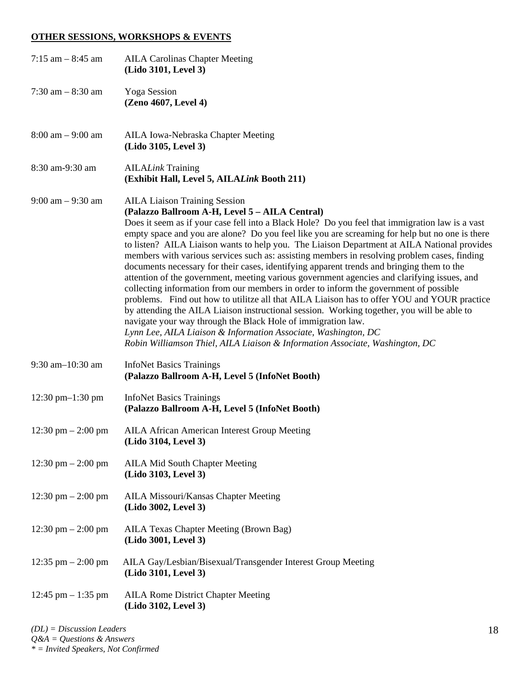#### **OTHER SESSIONS, WORKSHOPS & EVENTS**

| 7:15 am $-$ 8:45 am                  | <b>AILA Carolinas Chapter Meeting</b><br>(Lido 3101, Level 3)                                                                                                                                                                                                                                                                                                                                                                                                                                                                                                                                                                                                                                                                                                                                                                                                                                                                                                                                                                                                                                                                                                                                  |
|--------------------------------------|------------------------------------------------------------------------------------------------------------------------------------------------------------------------------------------------------------------------------------------------------------------------------------------------------------------------------------------------------------------------------------------------------------------------------------------------------------------------------------------------------------------------------------------------------------------------------------------------------------------------------------------------------------------------------------------------------------------------------------------------------------------------------------------------------------------------------------------------------------------------------------------------------------------------------------------------------------------------------------------------------------------------------------------------------------------------------------------------------------------------------------------------------------------------------------------------|
| 7:30 am $-$ 8:30 am                  | <b>Yoga Session</b><br>(Zeno 4607, Level 4)                                                                                                                                                                                                                                                                                                                                                                                                                                                                                                                                                                                                                                                                                                                                                                                                                                                                                                                                                                                                                                                                                                                                                    |
| $8:00$ am $-9:00$ am                 | AILA Iowa-Nebraska Chapter Meeting<br>(Lido 3105, Level 3)                                                                                                                                                                                                                                                                                                                                                                                                                                                                                                                                                                                                                                                                                                                                                                                                                                                                                                                                                                                                                                                                                                                                     |
| 8:30 am-9:30 am                      | <b>AILALink Training</b><br>(Exhibit Hall, Level 5, AILALink Booth 211)                                                                                                                                                                                                                                                                                                                                                                                                                                                                                                                                                                                                                                                                                                                                                                                                                                                                                                                                                                                                                                                                                                                        |
| $9:00$ am $-9:30$ am                 | <b>AILA Liaison Training Session</b><br>(Palazzo Ballroom A-H, Level 5 - AILA Central)<br>Does it seem as if your case fell into a Black Hole? Do you feel that immigration law is a vast<br>empty space and you are alone? Do you feel like you are screaming for help but no one is there<br>to listen? AILA Liaison wants to help you. The Liaison Department at AILA National provides<br>members with various services such as: assisting members in resolving problem cases, finding<br>documents necessary for their cases, identifying apparent trends and bringing them to the<br>attention of the government, meeting various government agencies and clarifying issues, and<br>collecting information from our members in order to inform the government of possible<br>problems. Find out how to utilitze all that AILA Liaison has to offer YOU and YOUR practice<br>by attending the AILA Liaison instructional session. Working together, you will be able to<br>navigate your way through the Black Hole of immigration law.<br>Lynn Lee, AILA Liaison & Information Associate, Washington, DC<br>Robin Williamson Thiel, AILA Liaison & Information Associate, Washington, DC |
| $9:30$ am $-10:30$ am                | <b>InfoNet Basics Trainings</b><br>(Palazzo Ballroom A-H, Level 5 (InfoNet Booth)                                                                                                                                                                                                                                                                                                                                                                                                                                                                                                                                                                                                                                                                                                                                                                                                                                                                                                                                                                                                                                                                                                              |
| 12:30 pm $-1:30$ pm                  | <b>InfoNet Basics Trainings</b><br>(Palazzo Ballroom A-H, Level 5 (InfoNet Booth)                                                                                                                                                                                                                                                                                                                                                                                                                                                                                                                                                                                                                                                                                                                                                                                                                                                                                                                                                                                                                                                                                                              |
| 12:30 pm $-$ 2:00 pm                 | <b>AILA African American Interest Group Meeting</b><br>(Lido 3104, Level 3)                                                                                                                                                                                                                                                                                                                                                                                                                                                                                                                                                                                                                                                                                                                                                                                                                                                                                                                                                                                                                                                                                                                    |
| $12:30 \text{ pm} - 2:00 \text{ pm}$ | <b>AILA Mid South Chapter Meeting</b><br>(Lido 3103, Level 3)                                                                                                                                                                                                                                                                                                                                                                                                                                                                                                                                                                                                                                                                                                                                                                                                                                                                                                                                                                                                                                                                                                                                  |
| 12:30 pm $- 2:00$ pm                 | AILA Missouri/Kansas Chapter Meeting<br>(Lido 3002, Level 3)                                                                                                                                                                                                                                                                                                                                                                                                                                                                                                                                                                                                                                                                                                                                                                                                                                                                                                                                                                                                                                                                                                                                   |
| 12:30 pm $- 2:00$ pm                 | AILA Texas Chapter Meeting (Brown Bag)<br>(Lido 3001, Level 3)                                                                                                                                                                                                                                                                                                                                                                                                                                                                                                                                                                                                                                                                                                                                                                                                                                                                                                                                                                                                                                                                                                                                 |
| 12:35 pm $-$ 2:00 pm                 | AILA Gay/Lesbian/Bisexual/Transgender Interest Group Meeting<br>(Lido 3101, Level 3)                                                                                                                                                                                                                                                                                                                                                                                                                                                                                                                                                                                                                                                                                                                                                                                                                                                                                                                                                                                                                                                                                                           |
| 12:45 pm $-$ 1:35 pm                 | <b>AILA Rome District Chapter Meeting</b><br>(Lido 3102, Level 3)                                                                                                                                                                                                                                                                                                                                                                                                                                                                                                                                                                                                                                                                                                                                                                                                                                                                                                                                                                                                                                                                                                                              |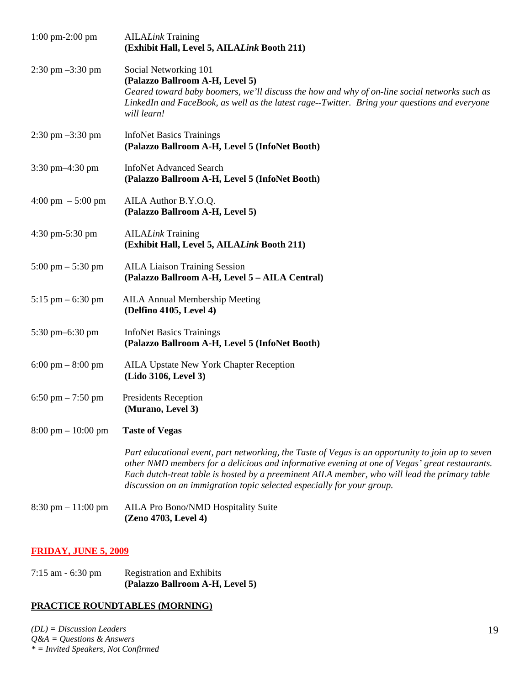| $1:00 \text{ pm-}2:00 \text{ pm}$    | <b>AILALink Training</b><br>(Exhibit Hall, Level 5, AILALink Booth 211)                                                                                                                                                                                                                                                                                                       |
|--------------------------------------|-------------------------------------------------------------------------------------------------------------------------------------------------------------------------------------------------------------------------------------------------------------------------------------------------------------------------------------------------------------------------------|
| $2:30 \text{ pm } -3:30 \text{ pm}$  | Social Networking 101<br>(Palazzo Ballroom A-H, Level 5)<br>Geared toward baby boomers, we'll discuss the how and why of on-line social networks such as<br>LinkedIn and FaceBook, as well as the latest rage--Twitter. Bring your questions and everyone<br>will learn!                                                                                                      |
| $2:30 \text{ pm } -3:30 \text{ pm}$  | <b>InfoNet Basics Trainings</b><br>(Palazzo Ballroom A-H, Level 5 (InfoNet Booth)                                                                                                                                                                                                                                                                                             |
| 3:30 pm-4:30 pm                      | <b>InfoNet Advanced Search</b><br>(Palazzo Ballroom A-H, Level 5 (InfoNet Booth)                                                                                                                                                                                                                                                                                              |
| $4:00 \text{ pm } -5:00 \text{ pm }$ | AILA Author B.Y.O.Q.<br>(Palazzo Ballroom A-H, Level 5)                                                                                                                                                                                                                                                                                                                       |
| 4:30 pm-5:30 pm                      | <b>AILALink Training</b><br>(Exhibit Hall, Level 5, AILALink Booth 211)                                                                                                                                                                                                                                                                                                       |
| $5:00 \text{ pm} - 5:30 \text{ pm}$  | <b>AILA Liaison Training Session</b><br>(Palazzo Ballroom A-H, Level 5 - AILA Central)                                                                                                                                                                                                                                                                                        |
| $5:15$ pm $-6:30$ pm                 | <b>AILA Annual Membership Meeting</b><br>(Delfino 4105, Level 4)                                                                                                                                                                                                                                                                                                              |
| 5:30 pm-6:30 pm                      | <b>InfoNet Basics Trainings</b><br>(Palazzo Ballroom A-H, Level 5 (InfoNet Booth)                                                                                                                                                                                                                                                                                             |
| $6:00 \text{ pm} - 8:00 \text{ pm}$  | <b>AILA Upstate New York Chapter Reception</b><br>(Lido 3106, Level 3)                                                                                                                                                                                                                                                                                                        |
| 6:50 pm $- 7:50$ pm                  | Presidents Reception<br>(Murano, Level 3)                                                                                                                                                                                                                                                                                                                                     |
| $8:00 \text{ pm} - 10:00 \text{ pm}$ | <b>Taste of Vegas</b>                                                                                                                                                                                                                                                                                                                                                         |
|                                      | Part educational event, part networking, the Taste of Vegas is an opportunity to join up to seven<br>other NMD members for a delicious and informative evening at one of Vegas' great restaurants.<br>Each dutch-treat table is hosted by a preeminent AILA member, who will lead the primary table<br>discussion on an immigration topic selected especially for your group. |
| $8:30 \text{ pm} - 11:00 \text{ pm}$ | AILA Pro Bono/NMD Hospitality Suite<br>(Zeno 4703, Level 4)                                                                                                                                                                                                                                                                                                                   |

# **FRIDAY, JUNE 5, 2009**

| $7:15$ am $-6:30$ pm | <b>Registration and Exhibits</b> |  |  |
|----------------------|----------------------------------|--|--|
|                      | (Palazzo Ballroom A-H, Level 5)  |  |  |

# **PRACTICE ROUNDTABLES (MORNING)**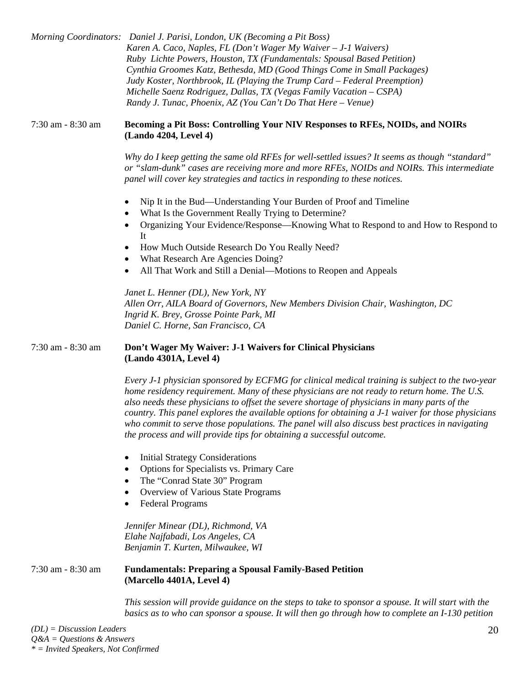|                   | Morning Coordinators: Daniel J. Parisi, London, UK (Becoming a Pit Boss)<br>Karen A. Caco, Naples, FL (Don't Wager My Waiver - J-1 Waivers)<br>Ruby Lichte Powers, Houston, TX (Fundamentals: Spousal Based Petition)<br>Cynthia Groomes Katz, Bethesda, MD (Good Things Come in Small Packages)<br>Judy Koster, Northbrook, IL (Playing the Trump Card - Federal Preemption)<br>Michelle Saenz Rodriguez, Dallas, TX (Vegas Family Vacation - CSPA)<br>Randy J. Tunac, Phoenix, AZ (You Can't Do That Here – Venue)                                                             |
|-------------------|----------------------------------------------------------------------------------------------------------------------------------------------------------------------------------------------------------------------------------------------------------------------------------------------------------------------------------------------------------------------------------------------------------------------------------------------------------------------------------------------------------------------------------------------------------------------------------|
| 7:30 am - 8:30 am | Becoming a Pit Boss: Controlling Your NIV Responses to RFEs, NOIDs, and NOIRs<br>(Lando 4204, Level 4)                                                                                                                                                                                                                                                                                                                                                                                                                                                                           |
|                   | Why do I keep getting the same old RFEs for well-settled issues? It seems as though "standard"<br>or "slam-dunk" cases are receiving more and more RFEs, NOIDs and NOIRs. This intermediate<br>panel will cover key strategies and tactics in responding to these notices.                                                                                                                                                                                                                                                                                                       |
|                   | Nip It in the Bud—Understanding Your Burden of Proof and Timeline<br>$\bullet$<br>What Is the Government Really Trying to Determine?<br>Organizing Your Evidence/Response—Knowing What to Respond to and How to Respond to                                                                                                                                                                                                                                                                                                                                                       |
|                   | It<br>How Much Outside Research Do You Really Need?<br>٠<br>What Research Are Agencies Doing?<br>٠                                                                                                                                                                                                                                                                                                                                                                                                                                                                               |
|                   | All That Work and Still a Denial-Motions to Reopen and Appeals<br>$\bullet$                                                                                                                                                                                                                                                                                                                                                                                                                                                                                                      |
|                   | Janet L. Henner (DL), New York, NY<br>Allen Orr, AILA Board of Governors, New Members Division Chair, Washington, DC<br>Ingrid K. Brey, Grosse Pointe Park, MI<br>Daniel C. Horne, San Francisco, CA                                                                                                                                                                                                                                                                                                                                                                             |
| 7:30 am - 8:30 am | Don't Wager My Waiver: J-1 Waivers for Clinical Physicians<br>(Lando 4301A, Level 4)                                                                                                                                                                                                                                                                                                                                                                                                                                                                                             |
|                   | Every J-1 physician sponsored by ECFMG for clinical medical training is subject to the two-year<br>home residency requirement. Many of these physicians are not ready to return home. The U.S.<br>also needs these physicians to offset the severe shortage of physicians in many parts of the<br>country. This panel explores the available options for obtaining a J-1 waiver for those physicians<br>who commit to serve those populations. The panel will also discuss best practices in navigating<br>the process and will provide tips for obtaining a successful outcome. |
|                   | <b>Initial Strategy Considerations</b><br>$\bullet$<br>Options for Specialists vs. Primary Care<br>$\bullet$<br>The "Conrad State 30" Program<br>$\bullet$<br>Overview of Various State Programs<br>٠<br><b>Federal Programs</b><br>٠                                                                                                                                                                                                                                                                                                                                            |
|                   | Jennifer Minear (DL), Richmond, VA<br>Elahe Najfabadi, Los Angeles, CA<br>Benjamin T. Kurten, Milwaukee, WI                                                                                                                                                                                                                                                                                                                                                                                                                                                                      |
| 7:30 am - 8:30 am | <b>Fundamentals: Preparing a Spousal Family-Based Petition</b><br>(Marcello 4401A, Level 4)                                                                                                                                                                                                                                                                                                                                                                                                                                                                                      |
|                   | This session will provide guidance on the steps to take to sponsor a spouse. It will start with the<br>basics as to who can sponsor a spouse. It will then go through how to complete an I-130 petition                                                                                                                                                                                                                                                                                                                                                                          |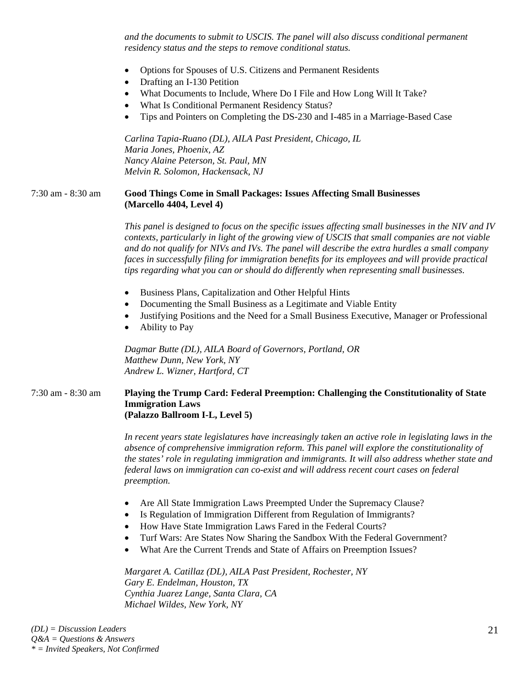*and the documents to submit to USCIS. The panel will also discuss conditional permanent residency status and the steps to remove conditional status.* 

- Options for Spouses of U.S. Citizens and Permanent Residents
- Drafting an I-130 Petition
- What Documents to Include, Where Do I File and How Long Will It Take?
- What Is Conditional Permanent Residency Status?
- Tips and Pointers on Completing the DS-230 and I-485 in a Marriage-Based Case

*Carlina Tapia-Ruano (DL), AILA Past President, Chicago, IL Maria Jones, Phoenix, AZ Nancy Alaine Peterson, St. Paul, MN Melvin R. Solomon, Hackensack, NJ* 

#### 7:30 am - 8:30 am **Good Things Come in Small Packages: Issues Affecting Small Businesses (Marcello 4404, Level 4)**

*This panel is designed to focus on the specific issues affecting small businesses in the NIV and IV contexts, particularly in light of the growing view of USCIS that small companies are not viable and do not qualify for NIVs and IVs. The panel will describe the extra hurdles a small company faces in successfully filing for immigration benefits for its employees and will provide practical tips regarding what you can or should do differently when representing small businesses.* 

- Business Plans, Capitalization and Other Helpful Hints
- Documenting the Small Business as a Legitimate and Viable Entity
- Justifying Positions and the Need for a Small Business Executive, Manager or Professional
- Ability to Pay

*Dagmar Butte (DL), AILA Board of Governors, Portland, OR Matthew Dunn, New York, NY Andrew L. Wizner, Hartford, CT* 

#### 7:30 am - 8:30 am **Playing the Trump Card: Federal Preemption: Challenging the Constitutionality of State Immigration Laws (Palazzo Ballroom I-L, Level 5)**

*In recent years state legislatures have increasingly taken an active role in legislating laws in the absence of comprehensive immigration reform. This panel will explore the constitutionality of the states' role in regulating immigration and immigrants. It will also address whether state and federal laws on immigration can co-exist and will address recent court cases on federal preemption.* 

- Are All State Immigration Laws Preempted Under the Supremacy Clause?
- Is Regulation of Immigration Different from Regulation of Immigrants?
- How Have State Immigration Laws Fared in the Federal Courts?
- Turf Wars: Are States Now Sharing the Sandbox With the Federal Government?
- What Are the Current Trends and State of Affairs on Preemption Issues?

*Margaret A. Catillaz (DL), AILA Past President, Rochester, NY Gary E. Endelman, Houston, TX Cynthia Juarez Lange, Santa Clara, CA Michael Wildes, New York, NY*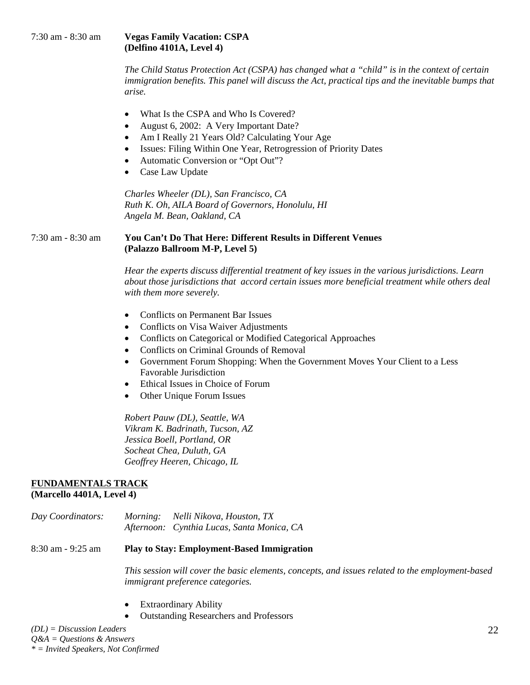### 7:30 am - 8:30 am **Vegas Family Vacation: CSPA (Delfino 4101A, Level 4)**

*The Child Status Protection Act (CSPA) has changed what a "child" is in the context of certain immigration benefits. This panel will discuss the Act, practical tips and the inevitable bumps that arise.* 

- What Is the CSPA and Who Is Covered?
- August 6, 2002: A Very Important Date?
- Am I Really 21 Years Old? Calculating Your Age
- Issues: Filing Within One Year, Retrogression of Priority Dates
- Automatic Conversion or "Opt Out"?
- Case Law Update

*Charles Wheeler (DL), San Francisco, CA Ruth K. Oh, AILA Board of Governors, Honolulu, HI Angela M. Bean, Oakland, CA* 

#### 7:30 am - 8:30 am **You Can't Do That Here: Different Results in Different Venues (Palazzo Ballroom M-P, Level 5)**

*Hear the experts discuss differential treatment of key issues in the various jurisdictions. Learn about those jurisdictions that accord certain issues more beneficial treatment while others deal with them more severely.* 

- Conflicts on Permanent Bar Issues
- Conflicts on Visa Waiver Adjustments
- Conflicts on Categorical or Modified Categorical Approaches
- Conflicts on Criminal Grounds of Removal
- Government Forum Shopping: When the Government Moves Your Client to a Less Favorable Jurisdiction
- Ethical Issues in Choice of Forum
- Other Unique Forum Issues

*Robert Pauw (DL), Seattle, WA Vikram K. Badrinath, Tucson, AZ Jessica Boell, Portland, OR Socheat Chea, Duluth, GA Geoffrey Heeren, Chicago, IL* 

#### **FUNDAMENTALS TRACK**

## **(Marcello 4401A, Level 4)**

| Day Coordinators: | <i>Morning:</i> | Nelli Nikova, Houston, TX                  |
|-------------------|-----------------|--------------------------------------------|
|                   |                 | Afternoon: Cynthia Lucas, Santa Monica, CA |

8:30 am - 9:25 am **Play to Stay: Employment-Based Immigration** 

*This session will cover the basic elements, concepts, and issues related to the employment-based immigrant preference categories.* 

- **Extraordinary Ability**
- Outstanding Researchers and Professors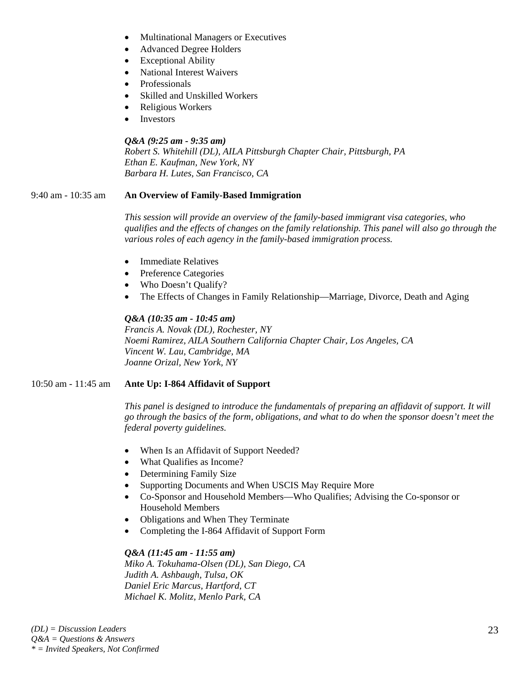- Multinational Managers or Executives
- Advanced Degree Holders
- Exceptional Ability
- National Interest Waivers
- Professionals
- Skilled and Unskilled Workers
- Religious Workers
- Investors

### *Q&A (9:25 am - 9:35 am)*

*Robert S. Whitehill (DL), AILA Pittsburgh Chapter Chair, Pittsburgh, PA Ethan E. Kaufman, New York, NY Barbara H. Lutes, San Francisco, CA* 

#### 9:40 am - 10:35 am **An Overview of Family-Based Immigration**

*This session will provide an overview of the family-based immigrant visa categories, who qualifies and the effects of changes on the family relationship. This panel will also go through the various roles of each agency in the family-based immigration process.* 

- Immediate Relatives
- Preference Categories
- Who Doesn't Qualify?
- The Effects of Changes in Family Relationship—Marriage, Divorce, Death and Aging

## *Q&A (10:35 am - 10:45 am)*

*Francis A. Novak (DL), Rochester, NY Noemi Ramirez, AILA Southern California Chapter Chair, Los Angeles, CA Vincent W. Lau, Cambridge, MA Joanne Orizal, New York, NY* 

#### 10:50 am - 11:45 am **Ante Up: I-864 Affidavit of Support**

*This panel is designed to introduce the fundamentals of preparing an affidavit of support. It will go through the basics of the form, obligations, and what to do when the sponsor doesn't meet the federal poverty guidelines.* 

- When Is an Affidavit of Support Needed?
- What Qualifies as Income?
- Determining Family Size
- Supporting Documents and When USCIS May Require More
- Co-Sponsor and Household Members—Who Qualifies; Advising the Co-sponsor or Household Members
- Obligations and When They Terminate
- Completing the I-864 Affidavit of Support Form

#### *Q&A (11:45 am - 11:55 am)*

*Miko A. Tokuhama-Olsen (DL), San Diego, CA Judith A. Ashbaugh, Tulsa, OK Daniel Eric Marcus, Hartford, CT Michael K. Molitz, Menlo Park, CA*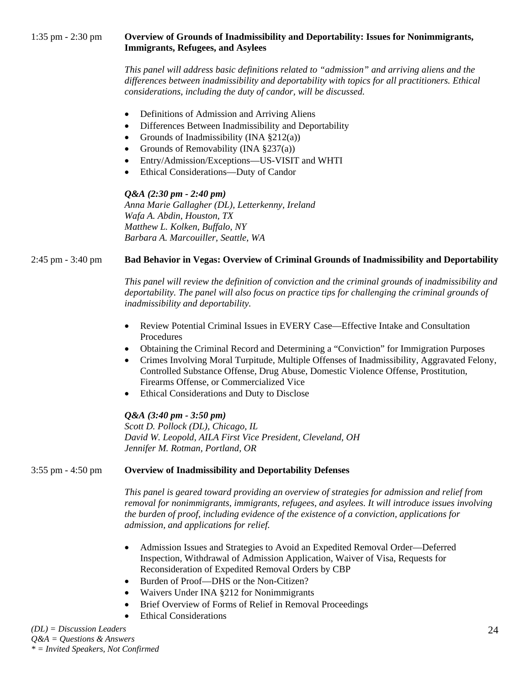*This panel will address basic definitions related to "admission" and arriving aliens and the differences between inadmissibility and deportability with topics for all practitioners. Ethical considerations, including the duty of candor, will be discussed.* 

- Definitions of Admission and Arriving Aliens
- Differences Between Inadmissibility and Deportability
- Grounds of Inadmissibility (INA  $\S 212(a)$ )
- Grounds of Removability (INA  $\S 237(a)$ )
- Entry/Admission/Exceptions—US-VISIT and WHTI
- Ethical Considerations—Duty of Candor

#### *Q&A (2:30 pm - 2:40 pm)*

*Anna Marie Gallagher (DL), Letterkenny, Ireland Wafa A. Abdin, Houston, TX Matthew L. Kolken, Buffalo, NY Barbara A. Marcouiller, Seattle, WA* 

# 2:45 pm - 3:40 pm **Bad Behavior in Vegas: Overview of Criminal Grounds of Inadmissibility and Deportability**

*This panel will review the definition of conviction and the criminal grounds of inadmissibility and deportability. The panel will also focus on practice tips for challenging the criminal grounds of inadmissibility and deportability.* 

- Review Potential Criminal Issues in EVERY Case—Effective Intake and Consultation Procedures
- Obtaining the Criminal Record and Determining a "Conviction" for Immigration Purposes
- Crimes Involving Moral Turpitude, Multiple Offenses of Inadmissibility, Aggravated Felony, Controlled Substance Offense, Drug Abuse, Domestic Violence Offense, Prostitution, Firearms Offense, or Commercialized Vice
- Ethical Considerations and Duty to Disclose

#### *Q&A (3:40 pm - 3:50 pm)*

*Scott D. Pollock (DL), Chicago, IL David W. Leopold, AILA First Vice President, Cleveland, OH Jennifer M. Rotman, Portland, OR* 

#### 3:55 pm - 4:50 pm **Overview of Inadmissibility and Deportability Defenses**

*This panel is geared toward providing an overview of strategies for admission and relief from removal for nonimmigrants, immigrants, refugees, and asylees. It will introduce issues involving the burden of proof, including evidence of the existence of a conviction, applications for admission, and applications for relief.* 

- Admission Issues and Strategies to Avoid an Expedited Removal Order—Deferred Inspection, Withdrawal of Admission Application, Waiver of Visa, Requests for Reconsideration of Expedited Removal Orders by CBP
- Burden of Proof—DHS or the Non-Citizen?
- Waivers Under INA §212 for Nonimmigrants
- Brief Overview of Forms of Relief in Removal Proceedings
- **Ethical Considerations**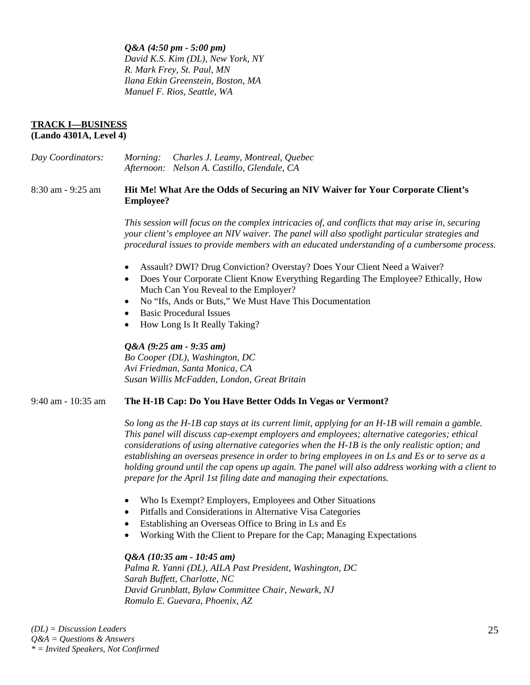*Q&A (4:50 pm - 5:00 pm) David K.S. Kim (DL), New York, NY R. Mark Frey, St. Paul, MN Ilana Etkin Greenstein, Boston, MA Manuel F. Rios, Seattle, WA* 

#### **TRACK I—BUSINESS (Lando 4301A, Level 4)**

*Day Coordinators: Morning: Charles J. Leamy, Montreal, Quebec Afternoon: Nelson A. Castillo, Glendale, CA* 

#### 8:30 am - 9:25 am **Hit Me! What Are the Odds of Securing an NIV Waiver for Your Corporate Client's Employee?**

*This session will focus on the complex intricacies of, and conflicts that may arise in, securing your client's employee an NIV waiver. The panel will also spotlight particular strategies and procedural issues to provide members with an educated understanding of a cumbersome process.* 

- Assault? DWI? Drug Conviction? Overstay? Does Your Client Need a Waiver?
- Does Your Corporate Client Know Everything Regarding The Employee? Ethically, How Much Can You Reveal to the Employer?
- No "Ifs, Ands or Buts," We Must Have This Documentation
- Basic Procedural Issues
- How Long Is It Really Taking?

#### *Q&A (9:25 am - 9:35 am)*

*Bo Cooper (DL), Washington, DC Avi Friedman, Santa Monica, CA Susan Willis McFadden, London, Great Britain* 

#### 9:40 am - 10:35 am **The H-1B Cap: Do You Have Better Odds In Vegas or Vermont?**

*So long as the H-1B cap stays at its current limit, applying for an H-1B will remain a gamble. This panel will discuss cap-exempt employers and employees; alternative categories; ethical considerations of using alternative categories when the H-1B is the only realistic option; and establishing an overseas presence in order to bring employees in on Ls and Es or to serve as a holding ground until the cap opens up again. The panel will also address working with a client to prepare for the April 1st filing date and managing their expectations.* 

- Who Is Exempt? Employers, Employees and Other Situations
- Pitfalls and Considerations in Alternative Visa Categories
- Establishing an Overseas Office to Bring in Ls and Es
- Working With the Client to Prepare for the Cap; Managing Expectations

#### *Q&A (10:35 am - 10:45 am)*

*Palma R. Yanni (DL), AILA Past President, Washington, DC Sarah Buffett, Charlotte, NC David Grunblatt, Bylaw Committee Chair, Newark, NJ Romulo E. Guevara, Phoenix, AZ*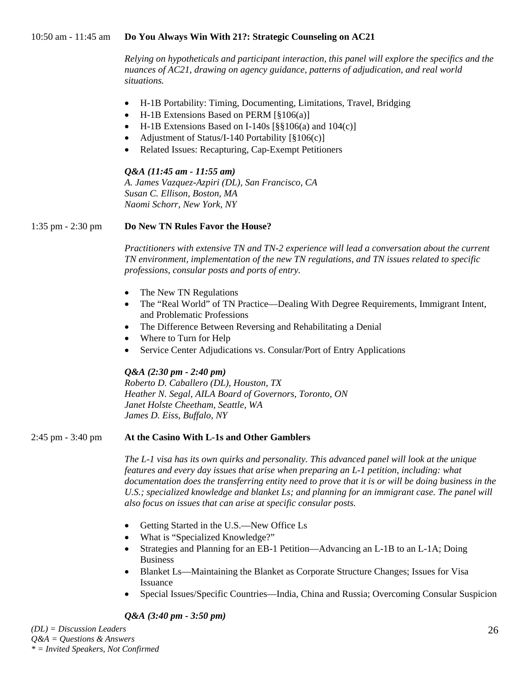#### 10:50 am - 11:45 am **Do You Always Win With 21?: Strategic Counseling on AC21**

*Relying on hypotheticals and participant interaction, this panel will explore the specifics and the nuances of AC21, drawing on agency guidance, patterns of adjudication, and real world situations.* 

- H-1B Portability: Timing, Documenting, Limitations, Travel, Bridging
- H-1B Extensions Based on PERM [§106(a)]
- H-1B Extensions Based on I-140s [§§106(a) and 104(c)]
- Adjustment of Status/I-140 Portability [§106(c)]
- Related Issues: Recapturing, Cap-Exempt Petitioners

#### *Q&A (11:45 am - 11:55 am)*

*A. James Vazquez-Azpiri (DL), San Francisco, CA Susan C. Ellison, Boston, MA Naomi Schorr, New York, NY* 

## 1:35 pm - 2:30 pm **Do New TN Rules Favor the House?**

*Practitioners with extensive TN and TN-2 experience will lead a conversation about the current TN environment, implementation of the new TN regulations, and TN issues related to specific professions, consular posts and ports of entry.* 

- The New TN Regulations
- The "Real World" of TN Practice—Dealing With Degree Requirements, Immigrant Intent, and Problematic Professions
- The Difference Between Reversing and Rehabilitating a Denial
- Where to Turn for Help
- Service Center Adjudications vs. Consular/Port of Entry Applications

#### *Q&A (2:30 pm - 2:40 pm)*

*Roberto D. Caballero (DL), Houston, TX Heather N. Segal, AILA Board of Governors, Toronto, ON Janet Holste Cheetham, Seattle, WA James D. Eiss, Buffalo, NY* 

#### 2:45 pm - 3:40 pm **At the Casino With L-1s and Other Gamblers**

*The L-1 visa has its own quirks and personality. This advanced panel will look at the unique features and every day issues that arise when preparing an L-1 petition, including: what documentation does the transferring entity need to prove that it is or will be doing business in the*  U.S.; specialized knowledge and blanket Ls; and planning for an immigrant case. The panel will *also focus on issues that can arise at specific consular posts.* 

- Getting Started in the U.S.—New Office Ls
- What is "Specialized Knowledge?"
- Strategies and Planning for an EB-1 Petition—Advancing an L-1B to an L-1A; Doing Business
- Blanket Ls—Maintaining the Blanket as Corporate Structure Changes; Issues for Visa Issuance
- Special Issues/Specific Countries—India, China and Russia; Overcoming Consular Suspicion

# *Q&A (3:40 pm - 3:50 pm)*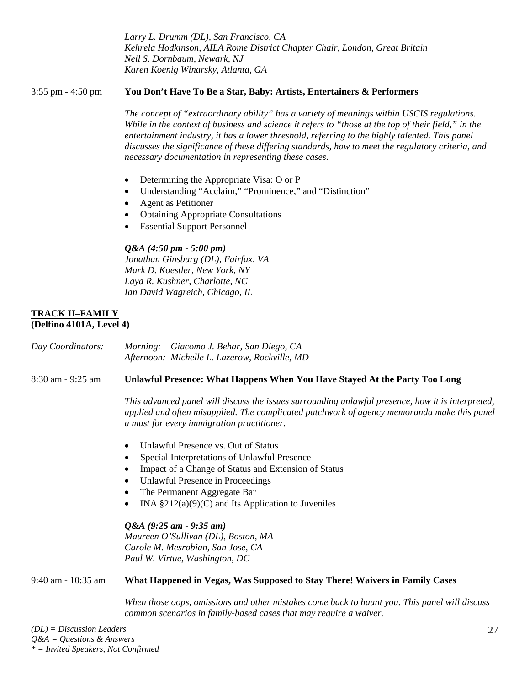*Larry L. Drumm (DL), San Francisco, CA Kehrela Hodkinson, AILA Rome District Chapter Chair, London, Great Britain Neil S. Dornbaum, Newark, NJ Karen Koenig Winarsky, Atlanta, GA* 

#### 3:55 pm - 4:50 pm **You Don't Have To Be a Star, Baby: Artists, Entertainers & Performers**

*The concept of "extraordinary ability" has a variety of meanings within USCIS regulations. While in the context of business and science it refers to "those at the top of their field," in the entertainment industry, it has a lower threshold, referring to the highly talented. This panel discusses the significance of these differing standards, how to meet the regulatory criteria, and necessary documentation in representing these cases.* 

- Determining the Appropriate Visa: O or P
- Understanding "Acclaim," "Prominence," and "Distinction"
- Agent as Petitioner
- Obtaining Appropriate Consultations
- **Essential Support Personnel**

## *Q&A (4:50 pm - 5:00 pm)*

*Jonathan Ginsburg (DL), Fairfax, VA Mark D. Koestler, New York, NY Laya R. Kushner, Charlotte, NC Ian David Wagreich, Chicago, IL* 

#### **TRACK II–FAMILY (Delfino 4101A, Level 4)**

*Day Coordinators: Morning: Giacomo J. Behar, San Diego, CA Afternoon: Michelle L. Lazerow, Rockville, MD* 

#### 8:30 am - 9:25 am **Unlawful Presence: What Happens When You Have Stayed At the Party Too Long**

*This advanced panel will discuss the issues surrounding unlawful presence, how it is interpreted, applied and often misapplied. The complicated patchwork of agency memoranda make this panel a must for every immigration practitioner.* 

- Unlawful Presence vs. Out of Status
- Special Interpretations of Unlawful Presence
- Impact of a Change of Status and Extension of Status
- Unlawful Presence in Proceedings
- The Permanent Aggregate Bar
- INA  $\S212(a)(9)(C)$  and Its Application to Juveniles

*Q&A (9:25 am - 9:35 am) Maureen O'Sullivan (DL), Boston, MA Carole M. Mesrobian, San Jose, CA Paul W. Virtue, Washington, DC* 

# 9:40 am - 10:35 am **What Happened in Vegas, Was Supposed to Stay There! Waivers in Family Cases**

*When those oops, omissions and other mistakes come back to haunt you. This panel will discuss common scenarios in family-based cases that may require a waiver.*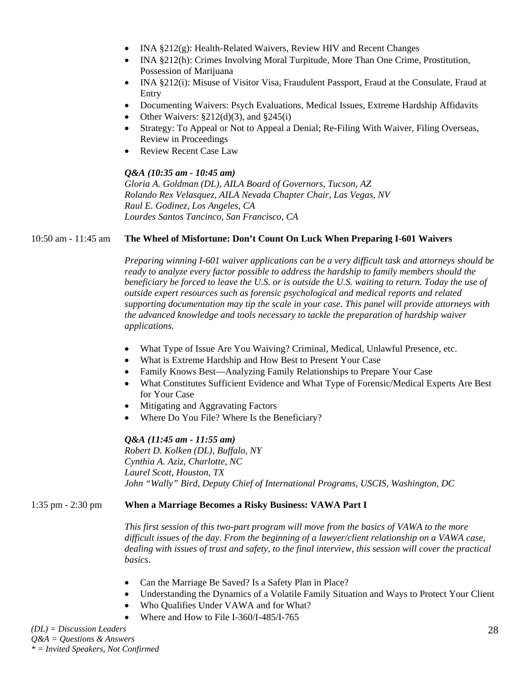- INA §212(g): Health-Related Waivers, Review HIV and Recent Changes
- INA §212(h): Crimes Involving Moral Turpitude, More Than One Crime, Prostitution, Possession of Marijuana
- INA §212(i): Misuse of Visitor Visa, Fraudulent Passport, Fraud at the Consulate, Fraud at Entry
- Documenting Waivers: Psych Evaluations, Medical Issues, Extreme Hardship Affidavits
- Other Waivers:  $\S212(d)(3)$ , and  $\S245(i)$
- Strategy: To Appeal or Not to Appeal a Denial; Re-Filing With Waiver, Filing Overseas, Review in Proceedings
- Review Recent Case Law

#### *Q&A (10:35 am - 10:45 am)*

*Gloria A. Goldman (DL), AILA Board of Governors, Tucson, AZ Rolando Rex Velasquez, AILA Nevada Chapter Chair, Las Vegas, NV Raul E. Godinez, Los Angeles, CA Lourdes Santos Tancinco, San Francisco, CA* 

## 10:50 am - 11:45 am **The Wheel of Misfortune: Don't Count On Luck When Preparing I-601 Waivers**

*Preparing winning I-601 waiver applications can be a very difficult task and attorneys should be ready to analyze every factor possible to address the hardship to family members should the beneficiary be forced to leave the U.S. or is outside the U.S. waiting to return. Today the use of outside expert resources such as forensic psychological and medical reports and related supporting documentation may tip the scale in your case. This panel will provide attorneys with the advanced knowledge and tools necessary to tackle the preparation of hardship waiver applications.* 

- What Type of Issue Are You Waiving? Criminal, Medical, Unlawful Presence, etc.
- What is Extreme Hardship and How Best to Present Your Case
- Family Knows Best—Analyzing Family Relationships to Prepare Your Case
- What Constitutes Sufficient Evidence and What Type of Forensic/Medical Experts Are Best for Your Case
- Mitigating and Aggravating Factors
- Where Do You File? Where Is the Beneficiary?

# *Q&A (11:45 am - 11:55 am)*

*Robert D. Kolken (DL), Buffalo, NY Cynthia A. Aziz, Charlotte, NC Laurel Scott, Houston, TX John "Wally" Bird, Deputy Chief of International Programs, USCIS, Washington, DC* 

#### 1:35 pm - 2:30 pm **When a Marriage Becomes a Risky Business: VAWA Part I**

*This first session of this two-part program will move from the basics of VAWA to the more difficult issues of the day. From the beginning of a lawyer/client relationship on a VAWA case, dealing with issues of trust and safety, to the final interview, this session will cover the practical basics.* 

- Can the Marriage Be Saved? Is a Safety Plan in Place?
- Understanding the Dynamics of a Volatile Family Situation and Ways to Protect Your Client
- Who Qualifies Under VAWA and for What?
- Where and How to File I-360/I-485/I-765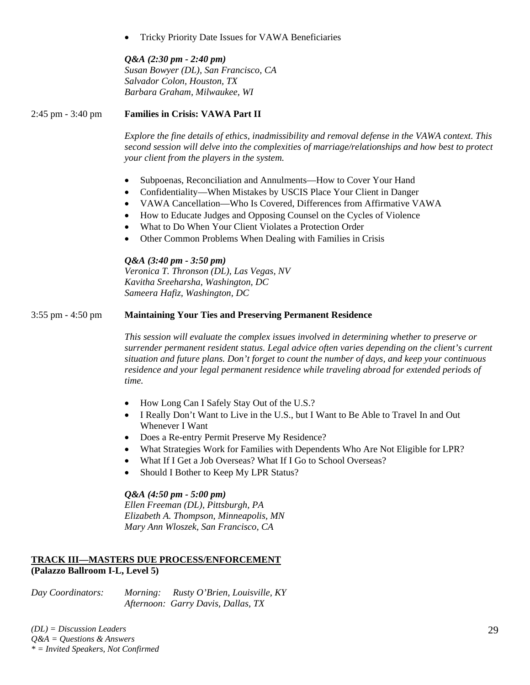• Tricky Priority Date Issues for VAWA Beneficiaries

*Q&A (2:30 pm - 2:40 pm) Susan Bowyer (DL), San Francisco, CA Salvador Colon, Houston, TX Barbara Graham, Milwaukee, WI* 

## 2:45 pm - 3:40 pm **Families in Crisis: VAWA Part II**

*Explore the fine details of ethics, inadmissibility and removal defense in the VAWA context. This second session will delve into the complexities of marriage/relationships and how best to protect your client from the players in the system.* 

- Subpoenas, Reconciliation and Annulments—How to Cover Your Hand
- Confidentiality—When Mistakes by USCIS Place Your Client in Danger
- VAWA Cancellation—Who Is Covered, Differences from Affirmative VAWA
- How to Educate Judges and Opposing Counsel on the Cycles of Violence
- What to Do When Your Client Violates a Protection Order
- Other Common Problems When Dealing with Families in Crisis

*Q&A (3:40 pm - 3:50 pm)* 

*Veronica T. Thronson (DL), Las Vegas, NV Kavitha Sreeharsha, Washington, DC Sameera Hafiz, Washington, DC* 

#### 3:55 pm - 4:50 pm **Maintaining Your Ties and Preserving Permanent Residence**

*This session will evaluate the complex issues involved in determining whether to preserve or surrender permanent resident status. Legal advice often varies depending on the client's current situation and future plans. Don't forget to count the number of days, and keep your continuous residence and your legal permanent residence while traveling abroad for extended periods of time.* 

- How Long Can I Safely Stay Out of the U.S.?
- I Really Don't Want to Live in the U.S., but I Want to Be Able to Travel In and Out Whenever I Want
- Does a Re-entry Permit Preserve My Residence?
- What Strategies Work for Families with Dependents Who Are Not Eligible for LPR?
- What If I Get a Job Overseas? What If I Go to School Overseas?
- Should I Bother to Keep My LPR Status?

#### *Q&A (4:50 pm - 5:00 pm)*

*Ellen Freeman (DL), Pittsburgh, PA Elizabeth A. Thompson, Minneapolis, MN Mary Ann Wloszek, San Francisco, CA* 

# **TRACK III—MASTERS DUE PROCESS/ENFORCEMENT (Palazzo Ballroom I-L, Level 5)**

*Day Coordinators: Morning: Rusty O'Brien, Louisville, KY Afternoon: Garry Davis, Dallas, TX*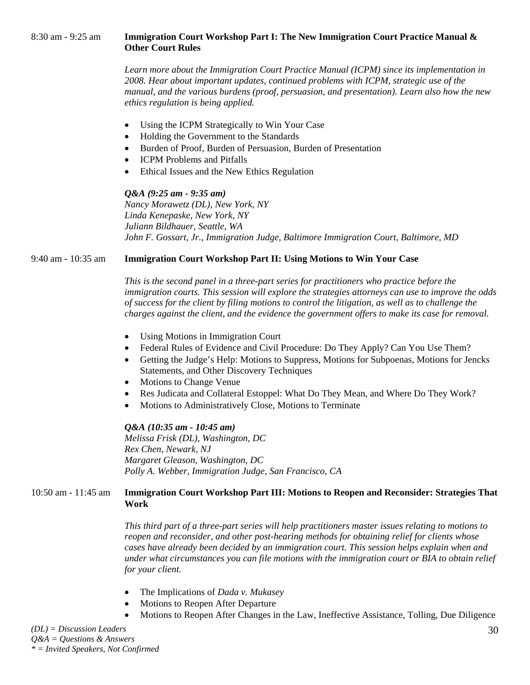*Learn more about the Immigration Court Practice Manual (ICPM) since its implementation in 2008. Hear about important updates, continued problems with ICPM, strategic use of the manual, and the various burdens (proof, persuasion, and presentation). Learn also how the new ethics regulation is being applied.* 

- Using the ICPM Strategically to Win Your Case
- Holding the Government to the Standards
- Burden of Proof, Burden of Persuasion, Burden of Presentation
- ICPM Problems and Pitfalls
- Ethical Issues and the New Ethics Regulation

#### *Q&A (9:25 am - 9:35 am)*

*Nancy Morawetz (DL), New York, NY Linda Kenepaske, New York, NY Juliann Bildhauer, Seattle, WA John F. Gossart, Jr., Immigration Judge, Baltimore Immigration Court, Baltimore, MD* 

## 9:40 am - 10:35 am **Immigration Court Workshop Part II: Using Motions to Win Your Case**

*This is the second panel in a three-part series for practitioners who practice before the immigration courts. This session will explore the strategies attorneys can use to improve the odds of success for the client by filing motions to control the litigation, as well as to challenge the charges against the client, and the evidence the government offers to make its case for removal.* 

- Using Motions in Immigration Court
- Federal Rules of Evidence and Civil Procedure: Do They Apply? Can You Use Them?
- Getting the Judge's Help: Motions to Suppress, Motions for Subpoenas, Motions for Jencks Statements, and Other Discovery Techniques
- Motions to Change Venue
- Res Judicata and Collateral Estoppel: What Do They Mean, and Where Do They Work?
- Motions to Administratively Close, Motions to Terminate

#### *Q&A (10:35 am - 10:45 am)*

*Melissa Frisk (DL), Washington, DC Rex Chen, Newark, NJ Margaret Gleason, Washington, DC Polly A. Webber, Immigration Judge, San Francisco, CA* 

# 10:50 am - 11:45 am **Immigration Court Workshop Part III: Motions to Reopen and Reconsider: Strategies That Work**

*This third part of a three-part series will help practitioners master issues relating to motions to reopen and reconsider, and other post-hearing methods for obtaining relief for clients whose cases have already been decided by an immigration court. This session helps explain when and under what circumstances you can file motions with the immigration court or BIA to obtain relief for your client.* 

- The Implications of *Dada v. Mukasey*
- Motions to Reopen After Departure
- Motions to Reopen After Changes in the Law, Ineffective Assistance, Tolling, Due Diligence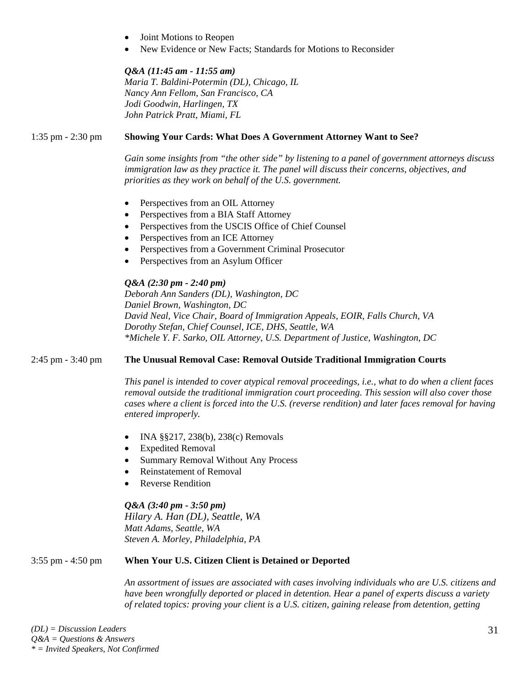- Joint Motions to Reopen
- New Evidence or New Facts; Standards for Motions to Reconsider

#### *Q&A (11:45 am - 11:55 am)*

*Maria T. Baldini-Potermin (DL), Chicago, IL Nancy Ann Fellom, San Francisco, CA Jodi Goodwin, Harlingen, TX John Patrick Pratt, Miami, FL* 

#### 1:35 pm - 2:30 pm **Showing Your Cards: What Does A Government Attorney Want to See?**

*Gain some insights from "the other side" by listening to a panel of government attorneys discuss immigration law as they practice it. The panel will discuss their concerns, objectives, and priorities as they work on behalf of the U.S. government.* 

- Perspectives from an OIL Attorney
- Perspectives from a BIA Staff Attorney
- Perspectives from the USCIS Office of Chief Counsel
- Perspectives from an ICE Attorney
- Perspectives from a Government Criminal Prosecutor
- Perspectives from an Asylum Officer

#### *Q&A (2:30 pm - 2:40 pm)*

*Deborah Ann Sanders (DL), Washington, DC Daniel Brown, Washington, DC David Neal, Vice Chair, Board of Immigration Appeals, EOIR, Falls Church, VA Dorothy Stefan, Chief Counsel, ICE, DHS, Seattle, WA \*Michele Y. F. Sarko, OIL Attorney, U.S. Department of Justice, Washington, DC* 

2:45 pm - 3:40 pm **The Unusual Removal Case: Removal Outside Traditional Immigration Courts** 

*This panel is intended to cover atypical removal proceedings, i.e., what to do when a client faces removal outside the traditional immigration court proceeding. This session will also cover those cases where a client is forced into the U.S. (reverse rendition) and later faces removal for having entered improperly.* 

- INA §§217, 238(b), 238(c) Removals
- Expedited Removal
- Summary Removal Without Any Process
- Reinstatement of Removal
- Reverse Rendition

#### *Q&A (3:40 pm - 3:50 pm)*

*Hilary A. Han (DL), Seattle, WA Matt Adams, Seattle, WA Steven A. Morley, Philadelphia, PA* 

#### 3:55 pm - 4:50 pm **When Your U.S. Citizen Client is Detained or Deported**

*An assortment of issues are associated with cases involving individuals who are U.S. citizens and have been wrongfully deported or placed in detention. Hear a panel of experts discuss a variety of related topics: proving your client is a U.S. citizen, gaining release from detention, getting*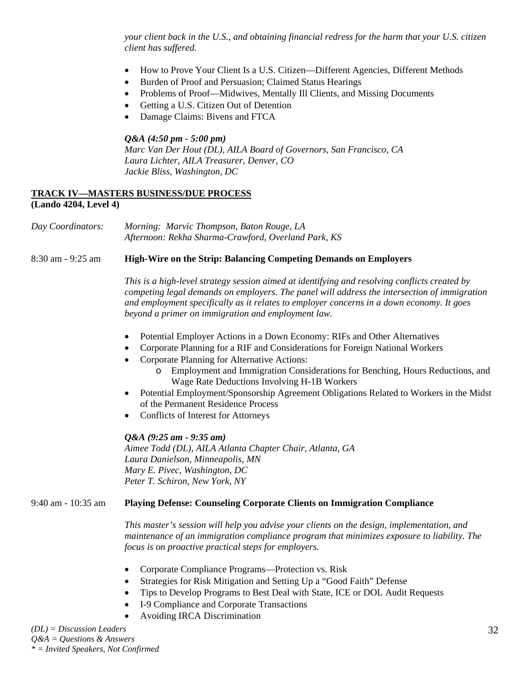*your client back in the U.S., and obtaining financial redress for the harm that your U.S. citizen client has suffered.* 

- How to Prove Your Client Is a U.S. Citizen—Different Agencies, Different Methods
- Burden of Proof and Persuasion; Claimed Status Hearings
- Problems of Proof—Midwives, Mentally Ill Clients, and Missing Documents
- Getting a U.S. Citizen Out of Detention
- Damage Claims: Bivens and FTCA

#### *Q&A (4:50 pm - 5:00 pm)*

*Marc Van Der Hout (DL), AILA Board of Governors, San Francisco, CA Laura Lichter, AILA Treasurer, Denver, CO Jackie Bliss, Washington, DC* 

#### **TRACK IV—MASTERS BUSINESS/DUE PROCESS (Lando 4204, Level 4)**

*Day Coordinators: Morning: Marvic Thompson, Baton Rouge, LA Afternoon: Rekha Sharma-Crawford, Overland Park, KS* 

#### 8:30 am - 9:25 am **High-Wire on the Strip: Balancing Competing Demands on Employers**

*This is a high-level strategy session aimed at identifying and resolving conflicts created by competing legal demands on employers. The panel will address the intersection of immigration and employment specifically as it relates to employer concerns in a down economy. It goes beyond a primer on immigration and employment law.* 

- Potential Employer Actions in a Down Economy: RIFs and Other Alternatives
- Corporate Planning for a RIF and Considerations for Foreign National Workers
- Corporate Planning for Alternative Actions:
	- o Employment and Immigration Considerations for Benching, Hours Reductions, and Wage Rate Deductions Involving H-1B Workers
- Potential Employment/Sponsorship Agreement Obligations Related to Workers in the Midst of the Permanent Residence Process
- Conflicts of Interest for Attorneys

#### *Q&A (9:25 am - 9:35 am)*

*Aimee Todd (DL), AILA Atlanta Chapter Chair, Atlanta, GA Laura Danielson, Minneapolis, MN Mary E. Pivec, Washington, DC Peter T. Schiron, New York, NY*

#### 9:40 am - 10:35 am **Playing Defense: Counseling Corporate Clients on Immigration Compliance**

*This master's session will help you advise your clients on the design, implementation, and maintenance of an immigration compliance program that minimizes exposure to liability. The focus is on proactive practical steps for employers.* 

- Corporate Compliance Programs—Protection vs. Risk
- Strategies for Risk Mitigation and Setting Up a "Good Faith" Defense
- Tips to Develop Programs to Best Deal with State, ICE or DOL Audit Requests
- I-9 Compliance and Corporate Transactions
- Avoiding IRCA Discrimination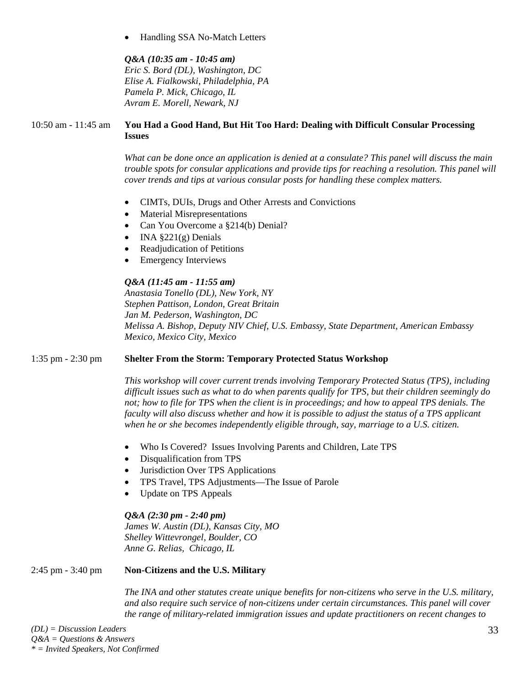• Handling SSA No-Match Letters

*Q&A (10:35 am - 10:45 am) Eric S. Bord (DL), Washington, DC Elise A. Fialkowski, Philadelphia, PA Pamela P. Mick, Chicago, IL Avram E. Morell, Newark, NJ* 

## 10:50 am - 11:45 am **You Had a Good Hand, But Hit Too Hard: Dealing with Difficult Consular Processing Issues**

*What can be done once an application is denied at a consulate? This panel will discuss the main trouble spots for consular applications and provide tips for reaching a resolution. This panel will cover trends and tips at various consular posts for handling these complex matters.* 

- CIMTs, DUIs, Drugs and Other Arrests and Convictions
- Material Misrepresentations
- Can You Overcome a §214(b) Denial?
- INA  $\S221(g)$  Denials
- Readjudication of Petitions
- **Emergency Interviews**

# *Q&A (11:45 am - 11:55 am)*

*Anastasia Tonello (DL), New York, NY Stephen Pattison, London, Great Britain Jan M. Pederson, Washington, DC Melissa A. Bishop, Deputy NIV Chief, U.S. Embassy, State Department, American Embassy Mexico, Mexico City, Mexico* 

# 1:35 pm - 2:30 pm **Shelter From the Storm: Temporary Protected Status Workshop**

*This workshop will cover current trends involving Temporary Protected Status (TPS), including difficult issues such as what to do when parents qualify for TPS, but their children seemingly do not; how to file for TPS when the client is in proceedings; and how to appeal TPS denials. The faculty will also discuss whether and how it is possible to adjust the status of a TPS applicant when he or she becomes independently eligible through, say, marriage to a U.S. citizen.* 

- Who Is Covered? Issues Involving Parents and Children, Late TPS
- Disqualification from TPS
- Jurisdiction Over TPS Applications
- TPS Travel, TPS Adjustments—The Issue of Parole
- Update on TPS Appeals

*Q&A (2:30 pm - 2:40 pm) James W. Austin (DL), Kansas City, MO Shelley Wittevrongel, Boulder, CO Anne G. Relias, Chicago, IL* 

# 2:45 pm - 3:40 pm **Non-Citizens and the U.S. Military**

*The INA and other statutes create unique benefits for non-citizens who serve in the U.S. military, and also require such service of non-citizens under certain circumstances. This panel will cover the range of military-related immigration issues and update practitioners on recent changes to*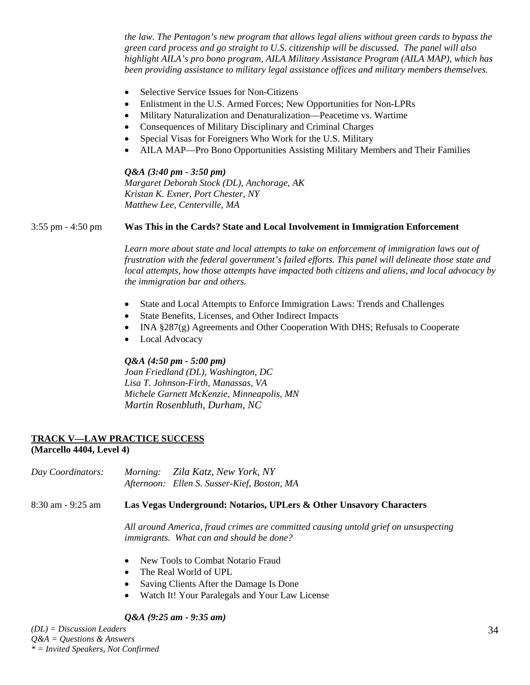*the law. The Pentagon's new program that allows legal aliens without green cards to bypass the green card process and go straight to U.S. citizenship will be discussed. The panel will also highlight AILA's pro bono program, AILA Military Assistance Program (AILA MAP), which has been providing assistance to military legal assistance offices and military members themselves.* 

- Selective Service Issues for Non-Citizens
- Enlistment in the U.S. Armed Forces; New Opportunities for Non-LPRs
- Military Naturalization and Denaturalization—Peacetime vs. Wartime
- Consequences of Military Disciplinary and Criminal Charges
- Special Visas for Foreigners Who Work for the U.S. Military
- AILA MAP—Pro Bono Opportunities Assisting Military Members and Their Families

*Q&A (3:40 pm - 3:50 pm) Margaret Deborah Stock (DL), Anchorage, AK Kristan K. Exner, Port Chester, NY Matthew Lee, Centerville, MA* 

#### 3:55 pm - 4:50 pm **Was This in the Cards? State and Local Involvement in Immigration Enforcement**

Learn more about state and local attempts to take on enforcement of immigration laws out of *frustration with the federal government's failed efforts. This panel will delineate those state and local attempts, how those attempts have impacted both citizens and aliens, and local advocacy by the immigration bar and others.* 

- State and Local Attempts to Enforce Immigration Laws: Trends and Challenges
- State Benefits, Licenses, and Other Indirect Impacts
- INA §287(g) Agreements and Other Cooperation With DHS; Refusals to Cooperate
- Local Advocacy

## *Q&A (4:50 pm - 5:00 pm)*

*Joan Friedland (DL), Washington, DC Lisa T. Johnson-Firth, Manassas, VA Michele Garnett McKenzie, Minneapolis, MN Martin Rosenbluth, Durham, NC*

# **TRACK V—LAW PRACTICE SUCCESS**

#### **(Marcello 4404, Level 4)**

*Day Coordinators: Morning: Zila Katz, New York, NY Afternoon: Ellen S. Susser-Kief, Boston, MA*

8:30 am - 9:25 am **Las Vegas Underground: Notarios, UPLers & Other Unsavory Characters**

*All around America, fraud crimes are committed causing untold grief on unsuspecting immigrants. What can and should be done?* 

- New Tools to Combat Notario Fraud
- The Real World of UPL
- Saving Clients After the Damage Is Done
- Watch It! Your Paralegals and Your Law License

# *Q&A (9:25 am - 9:35 am)*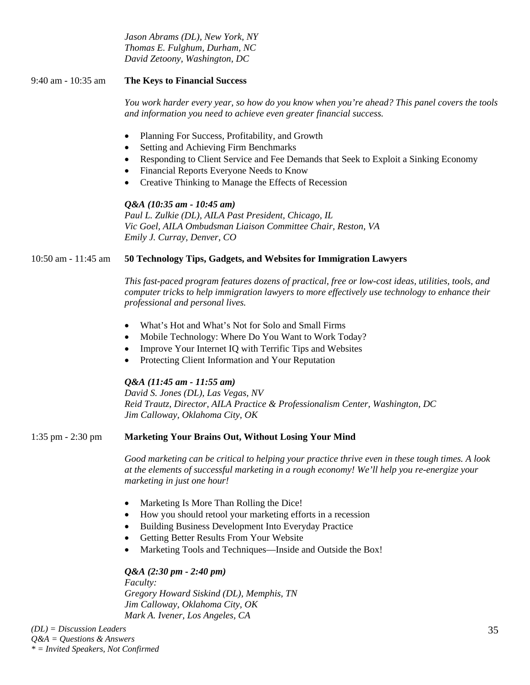*Jason Abrams (DL), New York, NY Thomas E. Fulghum, Durham, NC David Zetoony, Washington, DC* 

# 9:40 am - 10:35 am **The Keys to Financial Success**

*You work harder every year, so how do you know when you're ahead? This panel covers the tools and information you need to achieve even greater financial success.* 

- Planning For Success, Profitability, and Growth
- Setting and Achieving Firm Benchmarks
- Responding to Client Service and Fee Demands that Seek to Exploit a Sinking Economy
- Financial Reports Everyone Needs to Know
- Creative Thinking to Manage the Effects of Recession

# *Q&A (10:35 am - 10:45 am)*

*Paul L. Zulkie (DL), AILA Past President, Chicago, IL Vic Goel, AILA Ombudsman Liaison Committee Chair, Reston, VA Emily J. Curray, Denver, CO* 

# 10:50 am - 11:45 am **50 Technology Tips, Gadgets, and Websites for Immigration Lawyers**

*This fast-paced program features dozens of practical, free or low-cost ideas, utilities, tools, and computer tricks to help immigration lawyers to more effectively use technology to enhance their professional and personal lives.* 

- What's Hot and What's Not for Solo and Small Firms
- Mobile Technology: Where Do You Want to Work Today?
- Improve Your Internet IQ with Terrific Tips and Websites
- Protecting Client Information and Your Reputation

# *Q&A (11:45 am - 11:55 am)*

*David S. Jones (DL), Las Vegas, NV Reid Trautz, Director, AILA Practice & Professionalism Center, Washington, DC Jim Calloway, Oklahoma City, OK* 

# 1:35 pm - 2:30 pm **Marketing Your Brains Out, Without Losing Your Mind**

*Good marketing can be critical to helping your practice thrive even in these tough times. A look at the elements of successful marketing in a rough economy! We'll help you re-energize your marketing in just one hour!* 

- Marketing Is More Than Rolling the Dice!
- How you should retool your marketing efforts in a recession
- Building Business Development Into Everyday Practice
- Getting Better Results From Your Website
- Marketing Tools and Techniques—Inside and Outside the Box!

# *Q&A (2:30 pm - 2:40 pm)*

*Faculty: Gregory Howard Siskind (DL), Memphis, TN Jim Calloway, Oklahoma City, OK Mark A. Ivener, Los Angeles, CA*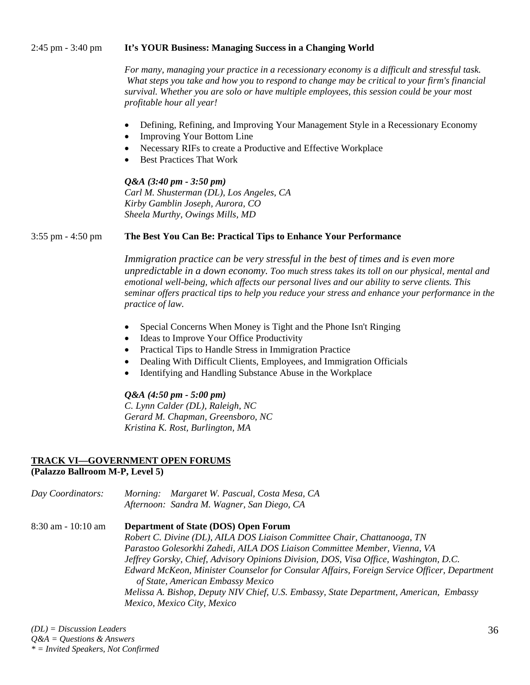#### 2:45 pm - 3:40 pm **It's YOUR Business: Managing Success in a Changing World**

*For many, managing your practice in a recessionary economy is a difficult and stressful task. What steps you take and how you to respond to change may be critical to your firm's financial survival. Whether you are solo or have multiple employees, this session could be your most profitable hour all year!* 

- Defining, Refining, and Improving Your Management Style in a Recessionary Economy
- Improving Your Bottom Line
- Necessary RIFs to create a Productive and Effective Workplace
- Best Practices That Work

*Q&A (3:40 pm - 3:50 pm) Carl M. Shusterman (DL), Los Angeles, CA Kirby Gamblin Joseph, Aurora, CO Sheela Murthy, Owings Mills, MD* 

#### 3:55 pm - 4:50 pm **The Best You Can Be: Practical Tips to Enhance Your Performance**

*Immigration practice can be very stressful in the best of times and is even more unpredictable in a down economy. Too much stress takes its toll on our physical, mental and emotional well-being, which affects our personal lives and our ability to serve clients. This seminar offers practical tips to help you reduce your stress and enhance your performance in the practice of law.* 

- Special Concerns When Money is Tight and the Phone Isn't Ringing
- Ideas to Improve Your Office Productivity
- Practical Tips to Handle Stress in Immigration Practice
- Dealing With Difficult Clients, Employees, and Immigration Officials
- Identifying and Handling Substance Abuse in the Workplace

#### *Q&A (4:50 pm - 5:00 pm)*

*C. Lynn Calder (DL), Raleigh, NC Gerard M. Chapman, Greensboro, NC Kristina K. Rost, Burlington, MA* 

#### **TRACK VI—GOVERNMENT OPEN FORUMS (Palazzo Ballroom M-P, Level 5)**

*Day Coordinators: Morning: Margaret W. Pascual, Costa Mesa, CA Afternoon: Sandra M. Wagner, San Diego, CA* 

## 8:30 am - 10:10 am **Department of State (DOS) Open Forum**  *Robert C. Divine (DL), AILA DOS Liaison Committee Chair, Chattanooga, TN Parastoo Golesorkhi Zahedi, AILA DOS Liaison Committee Member, Vienna, VA Jeffrey Gorsky, Chief, Advisory Opinions Division, DOS, Visa Office, Washington, D.C. Edward McKeon, Minister Counselor for Consular Affairs, Foreign Service Officer, Department of State, American Embassy Mexico Melissa A. Bishop, Deputy NIV Chief, U.S. Embassy, State Department, American, Embassy Mexico, Mexico City, Mexico*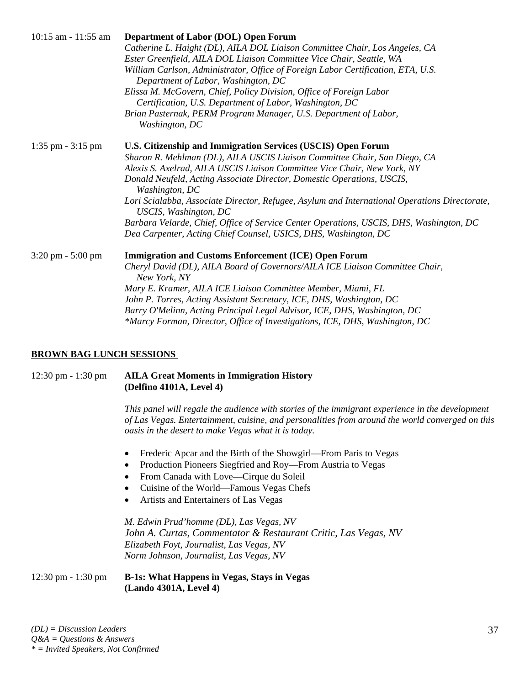| $10:15$ am $-11:55$ am              | Department of Labor (DOL) Open Forum                                                                                   |
|-------------------------------------|------------------------------------------------------------------------------------------------------------------------|
|                                     | Catherine L. Haight (DL), AILA DOL Liaison Committee Chair, Los Angeles, CA                                            |
|                                     | Ester Greenfield, AILA DOL Liaison Committee Vice Chair, Seattle, WA                                                   |
|                                     | William Carlson, Administrator, Office of Foreign Labor Certification, ETA, U.S.                                       |
|                                     | Department of Labor, Washington, DC                                                                                    |
|                                     | Elissa M. McGovern, Chief, Policy Division, Office of Foreign Labor                                                    |
|                                     | Certification, U.S. Department of Labor, Washington, DC                                                                |
|                                     | Brian Pasternak, PERM Program Manager, U.S. Department of Labor,                                                       |
|                                     | Washington, DC                                                                                                         |
| $1:35$ pm $-3:15$ pm                | U.S. Citizenship and Immigration Services (USCIS) Open Forum                                                           |
|                                     | Sharon R. Mehlman (DL), AILA USCIS Liaison Committee Chair, San Diego, CA                                              |
|                                     | Alexis S. Axelrad, AILA USCIS Liaison Committee Vice Chair, New York, NY                                               |
|                                     | Donald Neufeld, Acting Associate Director, Domestic Operations, USCIS,<br>Washington, DC                               |
|                                     | Lori Scialabba, Associate Director, Refugee, Asylum and International Operations Directorate,<br>USCIS, Washington, DC |
|                                     | Barbara Velarde, Chief, Office of Service Center Operations, USCIS, DHS, Washington, DC                                |
|                                     | Dea Carpenter, Acting Chief Counsel, USICS, DHS, Washington, DC                                                        |
| $3:20 \text{ pm} - 5:00 \text{ pm}$ | <b>Immigration and Customs Enforcement (ICE) Open Forum</b>                                                            |
|                                     | Cheryl David (DL), AILA Board of Governors/AILA ICE Liaison Committee Chair,<br>New York, NY                           |
|                                     | Mary E. Kramer, AILA ICE Liaison Committee Member, Miami, FL                                                           |
|                                     | John P. Torres, Acting Assistant Secretary, ICE, DHS, Washington, DC                                                   |
|                                     | Barry O'Melinn, Acting Principal Legal Advisor, ICE, DHS, Washington, DC                                               |
|                                     | *Marcy Forman, Director, Office of Investigations, ICE, DHS, Washington, DC                                            |

#### **BROWN BAG LUNCH SESSIONS**

12:30 pm - 1:30 pm **AILA Great Moments in Immigration History (Delfino 4101A, Level 4)** 

> *This panel will regale the audience with stories of the immigrant experience in the development of Las Vegas. Entertainment, cuisine, and personalities from around the world converged on this oasis in the desert to make Vegas what it is today.*

- Frederic Apcar and the Birth of the Showgirl—From Paris to Vegas
- Production Pioneers Siegfried and Roy—From Austria to Vegas
- From Canada with Love—Cirque du Soleil
- Cuisine of the World—Famous Vegas Chefs
- Artists and Entertainers of Las Vegas

*M. Edwin Prud'homme (DL), Las Vegas, NV John A. Curtas, Commentator & Restaurant Critic, Las Vegas, NV Elizabeth Foyt, Journalist, Las Vegas, NV Norm Johnson, Journalist, Las Vegas, NV* 

12:30 pm - 1:30 pm **B-1s: What Happens in Vegas, Stays in Vegas (Lando 4301A, Level 4)**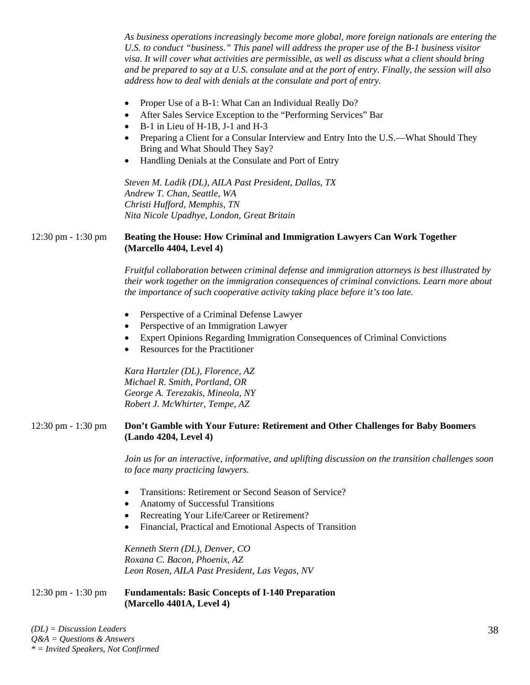*As business operations increasingly become more global, more foreign nationals are entering the U.S. to conduct "business." This panel will address the proper use of the B-1 business visitor visa. It will cover what activities are permissible, as well as discuss what a client should bring and be prepared to say at a U.S. consulate and at the port of entry. Finally, the session will also address how to deal with denials at the consulate and port of entry.* 

- Proper Use of a B-1: What Can an Individual Really Do?
- After Sales Service Exception to the "Performing Services" Bar
- B-1 in Lieu of H-1B, J-1 and H-3
- Preparing a Client for a Consular Interview and Entry Into the U.S.—What Should They Bring and What Should They Say?
- Handling Denials at the Consulate and Port of Entry

*Steven M. Ladik (DL), AILA Past President, Dallas, TX Andrew T. Chan, Seattle, WA Christi Hufford, Memphis, TN Nita Nicole Upadhye, London, Great Britain* 

# 12:30 pm - 1:30 pm **Beating the House: How Criminal and Immigration Lawyers Can Work Together (Marcello 4404, Level 4)**

*Fruitful collaboration between criminal defense and immigration attorneys is best illustrated by their work together on the immigration consequences of criminal convictions. Learn more about the importance of such cooperative activity taking place before it's too late.* 

- Perspective of a Criminal Defense Lawyer
- Perspective of an Immigration Lawyer
- Expert Opinions Regarding Immigration Consequences of Criminal Convictions
- Resources for the Practitioner

*Kara Hartzler (DL), Florence, AZ Michael R. Smith, Portland, OR George A. Terezakis, Mineola, NY Robert J. McWhirter, Tempe, AZ* 

#### 12:30 pm - 1:30 pm **Don't Gamble with Your Future: Retirement and Other Challenges for Baby Boomers (Lando 4204, Level 4)**

*Join us for an interactive, informative, and uplifting discussion on the transition challenges soon to face many practicing lawyers.* 

- Transitions: Retirement or Second Season of Service?
- Anatomy of Successful Transitions
- Recreating Your Life/Career or Retirement?
- Financial, Practical and Emotional Aspects of Transition

*Kenneth Stern (DL), Denver, CO Roxana C. Bacon, Phoenix, AZ Leon Rosen, AILA Past President, Las Vegas, NV* 

## 12:30 pm - 1:30 pm **Fundamentals: Basic Concepts of I-140 Preparation (Marcello 4401A, Level 4)**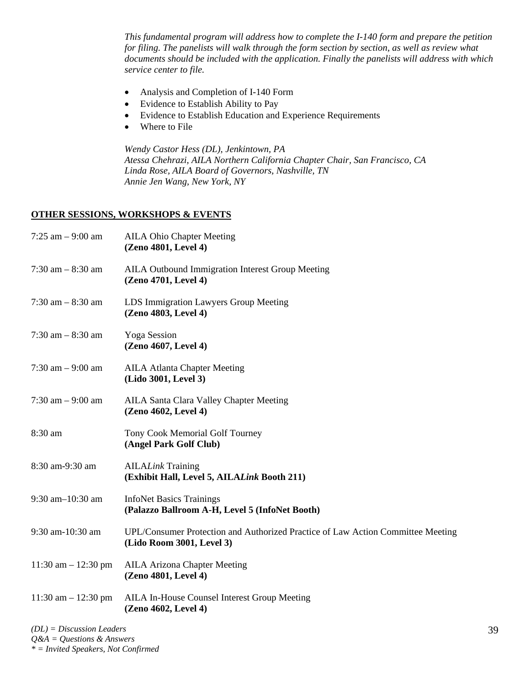*This fundamental program will address how to complete the I-140 form and prepare the petition for filing. The panelists will walk through the form section by section, as well as review what documents should be included with the application. Finally the panelists will address with which service center to file.* 

- Analysis and Completion of I-140 Form
- Evidence to Establish Ability to Pay
- Evidence to Establish Education and Experience Requirements
- Where to File

*Wendy Castor Hess (DL), Jenkintown, PA Atessa Chehrazi, AILA Northern California Chapter Chair, San Francisco, CA Linda Rose, AILA Board of Governors, Nashville, TN Annie Jen Wang, New York, NY* 

## **OTHER SESSIONS, WORKSHOPS & EVENTS**

| 7:25 am $-9:00$ am      | <b>AILA Ohio Chapter Meeting</b><br>(Zeno 4801, Level 4)                                                     |
|-------------------------|--------------------------------------------------------------------------------------------------------------|
| $7:30$ am $-8:30$ am    | <b>AILA Outbound Immigration Interest Group Meeting</b><br>(Zeno 4701, Level 4)                              |
| $7:30$ am $-8:30$ am    | LDS Immigration Lawyers Group Meeting<br>(Zeno 4803, Level 4)                                                |
| $7:30$ am $-8:30$ am    | <b>Yoga Session</b><br>(Zeno 4607, Level 4)                                                                  |
| 7:30 am $-9:00$ am      | <b>AILA Atlanta Chapter Meeting</b><br>(Lido 3001, Level 3)                                                  |
| $7:30$ am $-9:00$ am    | <b>AILA Santa Clara Valley Chapter Meeting</b><br>(Zeno 4602, Level 4)                                       |
| 8:30 am                 | Tony Cook Memorial Golf Tourney<br>(Angel Park Golf Club)                                                    |
| 8:30 am-9:30 am         | <b>AILALink Training</b><br>(Exhibit Hall, Level 5, AILALink Booth 211)                                      |
| 9:30 am-10:30 am        | <b>InfoNet Basics Trainings</b><br>(Palazzo Ballroom A-H, Level 5 (InfoNet Booth)                            |
| 9:30 am-10:30 am        | UPL/Consumer Protection and Authorized Practice of Law Action Committee Meeting<br>(Lido Room 3001, Level 3) |
| $11:30$ am $- 12:30$ pm | <b>AILA Arizona Chapter Meeting</b><br>(Zeno 4801, Level 4)                                                  |
| $11:30$ am $- 12:30$ pm | AILA In-House Counsel Interest Group Meeting<br>(Zeno 4602, Level 4)                                         |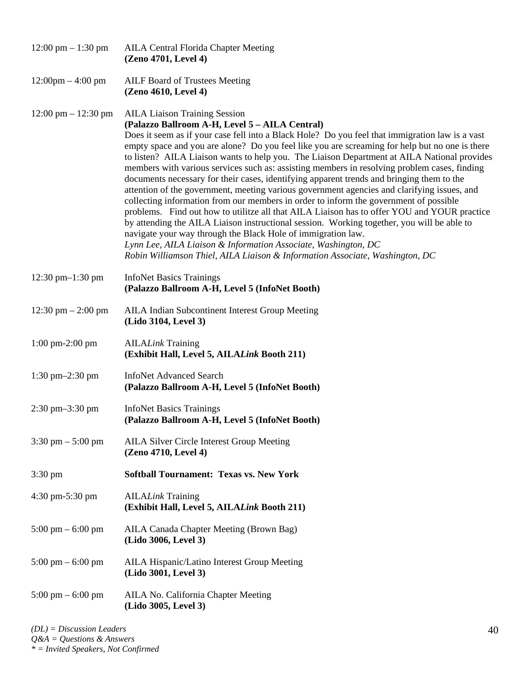| $12:00 \text{ pm} - 1:30 \text{ pm}$  | AILA Central Florida Chapter Meeting<br>(Zeno 4701, Level 4)                                                                                                                                                                                                                                                                                                                                                                                                                                                                                                                                                                                                                                                                                                                                                                                                                                                                                                                                                                                                                                                                                                                                   |
|---------------------------------------|------------------------------------------------------------------------------------------------------------------------------------------------------------------------------------------------------------------------------------------------------------------------------------------------------------------------------------------------------------------------------------------------------------------------------------------------------------------------------------------------------------------------------------------------------------------------------------------------------------------------------------------------------------------------------------------------------------------------------------------------------------------------------------------------------------------------------------------------------------------------------------------------------------------------------------------------------------------------------------------------------------------------------------------------------------------------------------------------------------------------------------------------------------------------------------------------|
| $12:00 \text{pm} - 4:00 \text{pm}$    | AILF Board of Trustees Meeting<br>(Zeno 4610, Level 4)                                                                                                                                                                                                                                                                                                                                                                                                                                                                                                                                                                                                                                                                                                                                                                                                                                                                                                                                                                                                                                                                                                                                         |
| $12:00 \text{ pm} - 12:30 \text{ pm}$ | <b>AILA Liaison Training Session</b><br>(Palazzo Ballroom A-H, Level 5 - AILA Central)<br>Does it seem as if your case fell into a Black Hole? Do you feel that immigration law is a vast<br>empty space and you are alone? Do you feel like you are screaming for help but no one is there<br>to listen? AILA Liaison wants to help you. The Liaison Department at AILA National provides<br>members with various services such as: assisting members in resolving problem cases, finding<br>documents necessary for their cases, identifying apparent trends and bringing them to the<br>attention of the government, meeting various government agencies and clarifying issues, and<br>collecting information from our members in order to inform the government of possible<br>problems. Find out how to utilitze all that AILA Liaison has to offer YOU and YOUR practice<br>by attending the AILA Liaison instructional session. Working together, you will be able to<br>navigate your way through the Black Hole of immigration law.<br>Lynn Lee, AILA Liaison & Information Associate, Washington, DC<br>Robin Williamson Thiel, AILA Liaison & Information Associate, Washington, DC |
| 12:30 pm $-1:30$ pm                   | <b>InfoNet Basics Trainings</b><br>(Palazzo Ballroom A-H, Level 5 (InfoNet Booth)                                                                                                                                                                                                                                                                                                                                                                                                                                                                                                                                                                                                                                                                                                                                                                                                                                                                                                                                                                                                                                                                                                              |
| 12:30 pm $-$ 2:00 pm                  | AILA Indian Subcontinent Interest Group Meeting<br>(Lido 3104, Level 3)                                                                                                                                                                                                                                                                                                                                                                                                                                                                                                                                                                                                                                                                                                                                                                                                                                                                                                                                                                                                                                                                                                                        |
| $1:00 \text{ pm-}2:00 \text{ pm}$     | <b>AILALink Training</b><br>(Exhibit Hall, Level 5, AILALink Booth 211)                                                                                                                                                                                                                                                                                                                                                                                                                                                                                                                                                                                                                                                                                                                                                                                                                                                                                                                                                                                                                                                                                                                        |
| $1:30 \text{ pm} - 2:30 \text{ pm}$   | <b>InfoNet Advanced Search</b><br>(Palazzo Ballroom A-H, Level 5 (InfoNet Booth)                                                                                                                                                                                                                                                                                                                                                                                                                                                                                                                                                                                                                                                                                                                                                                                                                                                                                                                                                                                                                                                                                                               |
| $2:30 \text{ pm} - 3:30 \text{ pm}$   | <b>InfoNet Basics Trainings</b><br>(Palazzo Ballroom A-H, Level 5 (InfoNet Booth)                                                                                                                                                                                                                                                                                                                                                                                                                                                                                                                                                                                                                                                                                                                                                                                                                                                                                                                                                                                                                                                                                                              |
| $3:30 \text{ pm} - 5:00 \text{ pm}$   | <b>AILA Silver Circle Interest Group Meeting</b><br>(Zeno 4710, Level 4)                                                                                                                                                                                                                                                                                                                                                                                                                                                                                                                                                                                                                                                                                                                                                                                                                                                                                                                                                                                                                                                                                                                       |
| $3:30 \text{ pm}$                     | <b>Softball Tournament: Texas vs. New York</b>                                                                                                                                                                                                                                                                                                                                                                                                                                                                                                                                                                                                                                                                                                                                                                                                                                                                                                                                                                                                                                                                                                                                                 |
| 4:30 pm-5:30 pm                       | <b>AILALink Training</b><br>(Exhibit Hall, Level 5, AILALink Booth 211)                                                                                                                                                                                                                                                                                                                                                                                                                                                                                                                                                                                                                                                                                                                                                                                                                                                                                                                                                                                                                                                                                                                        |
| $5:00 \text{ pm} - 6:00 \text{ pm}$   | AILA Canada Chapter Meeting (Brown Bag)<br>(Lido 3006, Level 3)                                                                                                                                                                                                                                                                                                                                                                                                                                                                                                                                                                                                                                                                                                                                                                                                                                                                                                                                                                                                                                                                                                                                |
| $5:00 \text{ pm} - 6:00 \text{ pm}$   | AILA Hispanic/Latino Interest Group Meeting<br>(Lido 3001, Level 3)                                                                                                                                                                                                                                                                                                                                                                                                                                                                                                                                                                                                                                                                                                                                                                                                                                                                                                                                                                                                                                                                                                                            |
| $5:00 \text{ pm} - 6:00 \text{ pm}$   | AILA No. California Chapter Meeting<br>(Lido 3005, Level 3)                                                                                                                                                                                                                                                                                                                                                                                                                                                                                                                                                                                                                                                                                                                                                                                                                                                                                                                                                                                                                                                                                                                                    |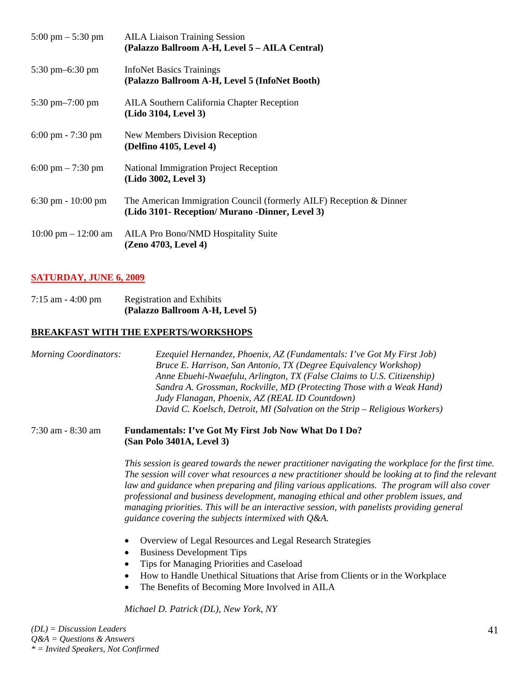| $5:00 \text{ pm} - 5:30 \text{ pm}$   | <b>AILA Liaison Training Session</b><br>(Palazzo Ballroom A-H, Level 5 - AILA Central)                                 |
|---------------------------------------|------------------------------------------------------------------------------------------------------------------------|
| 5:30 pm $-6:30$ pm                    | <b>InfoNet Basics Trainings</b><br>(Palazzo Ballroom A-H, Level 5 (InfoNet Booth)                                      |
| $5:30$ pm $-7:00$ pm                  | <b>AILA Southern California Chapter Reception</b><br>(Lido 3104, Level 3)                                              |
| $6:00 \text{ pm} - 7:30 \text{ pm}$   | New Members Division Reception<br>(Delfino 4105, Level 4)                                                              |
| 6:00 pm $- 7:30$ pm                   | National Immigration Project Reception<br>(Lido 3002, Level 3)                                                         |
| $6:30 \text{ pm} - 10:00 \text{ pm}$  | The American Immigration Council (formerly AILF) Reception & Dinner<br>(Lido 3101- Reception/ Murano -Dinner, Level 3) |
| $10:00 \text{ pm} - 12:00 \text{ am}$ | <b>AILA Pro Bono/NMD Hospitality Suite</b><br>(Zeno 4703, Level 4)                                                     |

# **SATURDAY, JUNE 6, 2009**

7:15 am - 4:00 pm Registration and Exhibits  **(Palazzo Ballroom A-H, Level 5)**

# **BREAKFAST WITH THE EXPERTS/WORKSHOPS**

*Morning Coordinators: Ezequiel Hernandez, Phoenix, AZ (Fundamentals: I've Got My First Job) Bruce E. Harrison, San Antonio, TX (Degree Equivalency Workshop) Anne Ebuehi-Nwaefulu, Arlington, TX (False Claims to U.S. Citizenship) Sandra A. Grossman, Rockville, MD (Protecting Those with a Weak Hand) Judy Flanagan, Phoenix, AZ (REAL ID Countdown) David C. Koelsch, Detroit, MI (Salvation on the Strip – Religious Workers)*

#### 7:30 am - 8:30 am **Fundamentals: I've Got My First Job Now What Do I Do? (San Polo 3401A, Level 3)**

*This session is geared towards the newer practitioner navigating the workplace for the first time. The session will cover what resources a new practitioner should be looking at to find the relevant law and guidance when preparing and filing various applications. The program will also cover professional and business development, managing ethical and other problem issues, and managing priorities. This will be an interactive session, with panelists providing general guidance covering the subjects intermixed with Q&A.* 

- Overview of Legal Resources and Legal Research Strategies
- Business Development Tips
- Tips for Managing Priorities and Caseload
- How to Handle Unethical Situations that Arise from Clients or in the Workplace
- The Benefits of Becoming More Involved in AILA

*Michael D. Patrick (DL), New York, NY*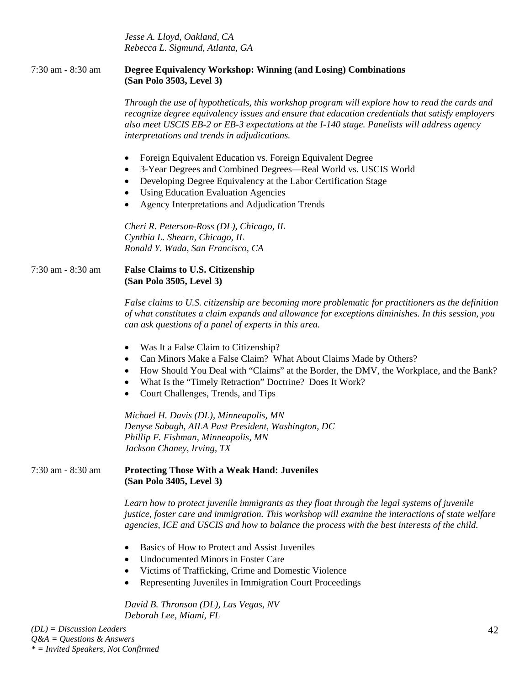*Jesse A. Lloyd, Oakland, CA Rebecca L. Sigmund, Atlanta, GA* 

*Q&A = Questions & Answers \* = Invited Speakers, Not Confirmed*

| 7:30 am - 8:30 am           | Degree Equivalency Workshop: Winning (and Losing) Combinations<br>(San Polo 3503, Level 3)                                                                                                                                                                                                                                                           |
|-----------------------------|------------------------------------------------------------------------------------------------------------------------------------------------------------------------------------------------------------------------------------------------------------------------------------------------------------------------------------------------------|
|                             | Through the use of hypotheticals, this workshop program will explore how to read the cards and<br>recognize degree equivalency issues and ensure that education credentials that satisfy employers<br>also meet USCIS EB-2 or EB-3 expectations at the I-140 stage. Panelists will address agency<br>interpretations and trends in adjudications.    |
|                             | Foreign Equivalent Education vs. Foreign Equivalent Degree<br>$\bullet$<br>3-Year Degrees and Combined Degrees-Real World vs. USCIS World<br>٠<br>Developing Degree Equivalency at the Labor Certification Stage<br>٠<br><b>Using Education Evaluation Agencies</b><br>$\bullet$<br>Agency Interpretations and Adjudication Trends<br>$\bullet$      |
|                             | Cheri R. Peterson-Ross (DL), Chicago, IL<br>Cynthia L. Shearn, Chicago, IL<br>Ronald Y. Wada, San Francisco, CA                                                                                                                                                                                                                                      |
| 7:30 am - 8:30 am           | <b>False Claims to U.S. Citizenship</b><br>(San Polo 3505, Level 3)                                                                                                                                                                                                                                                                                  |
|                             | False claims to U.S. citizenship are becoming more problematic for practitioners as the definition<br>of what constitutes a claim expands and allowance for exceptions diminishes. In this session, you<br>can ask questions of a panel of experts in this area.                                                                                     |
|                             | Was It a False Claim to Citizenship?<br>٠<br>Can Minors Make a False Claim? What About Claims Made by Others?<br>$\bullet$<br>How Should You Deal with "Claims" at the Border, the DMV, the Workplace, and the Bank?<br>$\bullet$<br>What Is the "Timely Retraction" Doctrine? Does It Work?<br>٠<br>Court Challenges, Trends, and Tips<br>$\bullet$ |
|                             | Michael H. Davis (DL), Minneapolis, MN<br>Denyse Sabagh, AILA Past President, Washington, DC<br>Phillip F. Fishman, Minneapolis, MN<br>Jackson Chaney, Irving, TX                                                                                                                                                                                    |
| 7:30 am - 8:30 am           | <b>Protecting Those With a Weak Hand: Juveniles</b><br>(San Polo 3405, Level 3)                                                                                                                                                                                                                                                                      |
|                             | Learn how to protect juvenile immigrants as they float through the legal systems of juvenile<br>justice, foster care and immigration. This workshop will examine the interactions of state welfare<br>agencies, ICE and USCIS and how to balance the process with the best interests of the child.                                                   |
|                             | Basics of How to Protect and Assist Juveniles<br><b>Undocumented Minors in Foster Care</b><br>Victims of Trafficking, Crime and Domestic Violence<br>Representing Juveniles in Immigration Court Proceedings<br>$\bullet$                                                                                                                            |
|                             | David B. Thronson (DL), Las Vegas, NV<br>Deborah Lee, Miami, FL                                                                                                                                                                                                                                                                                      |
| $(DL) = Discussion$ Leaders | 42                                                                                                                                                                                                                                                                                                                                                   |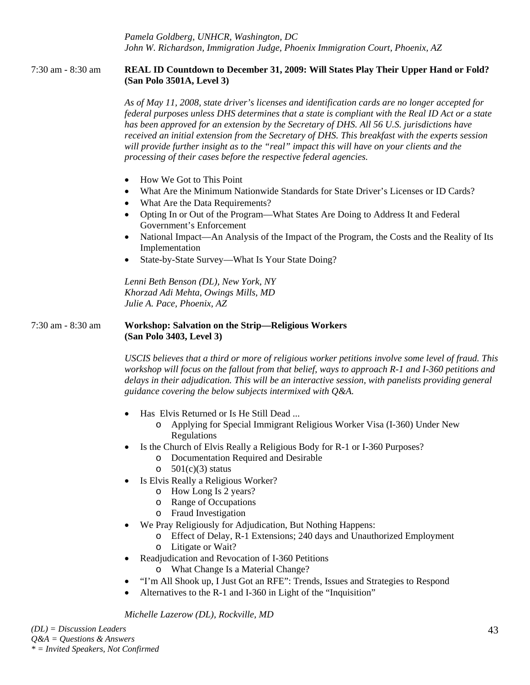*Pamela Goldberg, UNHCR, Washington, DC John W. Richardson, Immigration Judge, Phoenix Immigration Court, Phoenix, AZ* 

### 7:30 am - 8:30 am **REAL ID Countdown to December 31, 2009: Will States Play Their Upper Hand or Fold? (San Polo 3501A, Level 3)**

*As of May 11, 2008, state driver's licenses and identification cards are no longer accepted for federal purposes unless DHS determines that a state is compliant with the Real ID Act or a state has been approved for an extension by the Secretary of DHS. All 56 U.S. jurisdictions have received an initial extension from the Secretary of DHS. This breakfast with the experts session will provide further insight as to the "real" impact this will have on your clients and the processing of their cases before the respective federal agencies.* 

- How We Got to This Point
- What Are the Minimum Nationwide Standards for State Driver's Licenses or ID Cards?
- What Are the Data Requirements?
- Opting In or Out of the Program—What States Are Doing to Address It and Federal Government's Enforcement
- National Impact—An Analysis of the Impact of the Program, the Costs and the Reality of Its Implementation
- State-by-State Survey—What Is Your State Doing?

*Lenni Beth Benson (DL), New York, NY Khorzad Adi Mehta, Owings Mills, MD Julie A. Pace, Phoenix, AZ* 

#### 7:30 am - 8:30 am **Workshop: Salvation on the Strip—Religious Workers (San Polo 3403, Level 3)**

*USCIS believes that a third or more of religious worker petitions involve some level of fraud. This workshop will focus on the fallout from that belief, ways to approach R-1 and I-360 petitions and delays in their adjudication. This will be an interactive session, with panelists providing general guidance covering the below subjects intermixed with Q&A.* 

- Has Elvis Returned or Is He Still Dead ...
	- o Applying for Special Immigrant Religious Worker Visa (I-360) Under New Regulations
- Is the Church of Elvis Really a Religious Body for R-1 or I-360 Purposes?
	- o Documentation Required and Desirable
	- o  $501(c)(3)$  status
- Is Elvis Really a Religious Worker?
	- o How Long Is 2 years?
	- o Range of Occupations
	- o Fraud Investigation
- We Pray Religiously for Adjudication, But Nothing Happens:
	- o Effect of Delay, R-1 Extensions; 240 days and Unauthorized Employment o Litigate or Wait?
- Readjudication and Revocation of I-360 Petitions
	- o What Change Is a Material Change?
- "I'm All Shook up, I Just Got an RFE": Trends, Issues and Strategies to Respond
- Alternatives to the R-1 and I-360 in Light of the "Inquisition"

*Michelle Lazerow (DL), Rockville, MD*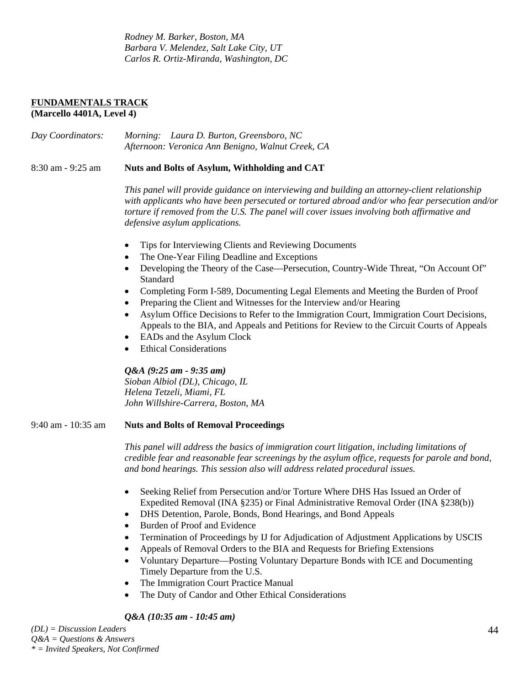*Rodney M. Barker, Boston, MA Barbara V. Melendez, Salt Lake City, UT Carlos R. Ortiz-Miranda, Washington, DC* 

#### **FUNDAMENTALS TRACK (Marcello 4401A, Level 4)**

*Day Coordinators: Morning: Laura D. Burton, Greensboro, NC Afternoon: Veronica Ann Benigno, Walnut Creek, CA* 

8:30 am - 9:25 am **Nuts and Bolts of Asylum, Withholding and CAT**

*This panel will provide guidance on interviewing and building an attorney-client relationship with applicants who have been persecuted or tortured abroad and/or who fear persecution and/or torture if removed from the U.S. The panel will cover issues involving both affirmative and defensive asylum applications.* 

- Tips for Interviewing Clients and Reviewing Documents
- The One-Year Filing Deadline and Exceptions
- Developing the Theory of the Case—Persecution, Country-Wide Threat, "On Account Of" Standard
- Completing Form I-589, Documenting Legal Elements and Meeting the Burden of Proof
- Preparing the Client and Witnesses for the Interview and/or Hearing
- Asylum Office Decisions to Refer to the Immigration Court, Immigration Court Decisions, Appeals to the BIA, and Appeals and Petitions for Review to the Circuit Courts of Appeals
- EADs and the Asylum Clock
- **Ethical Considerations**

#### *Q&A (9:25 am - 9:35 am)*

*Sioban Albiol (DL), Chicago, IL Helena Tetzeli, Miami, FL John Willshire-Carrera, Boston, MA* 

#### 9:40 am - 10:35 am **Nuts and Bolts of Removal Proceedings**

*This panel will address the basics of immigration court litigation, including limitations of credible fear and reasonable fear screenings by the asylum office, requests for parole and bond, and bond hearings. This session also will address related procedural issues.* 

- Seeking Relief from Persecution and/or Torture Where DHS Has Issued an Order of Expedited Removal (INA §235) or Final Administrative Removal Order (INA §238(b))
- DHS Detention, Parole, Bonds, Bond Hearings, and Bond Appeals
- Burden of Proof and Evidence
- Termination of Proceedings by IJ for Adjudication of Adjustment Applications by USCIS
- Appeals of Removal Orders to the BIA and Requests for Briefing Extensions
- Voluntary Departure—Posting Voluntary Departure Bonds with ICE and Documenting Timely Departure from the U.S.
- The Immigration Court Practice Manual
- The Duty of Candor and Other Ethical Considerations

# *Q&A (10:35 am - 10:45 am)*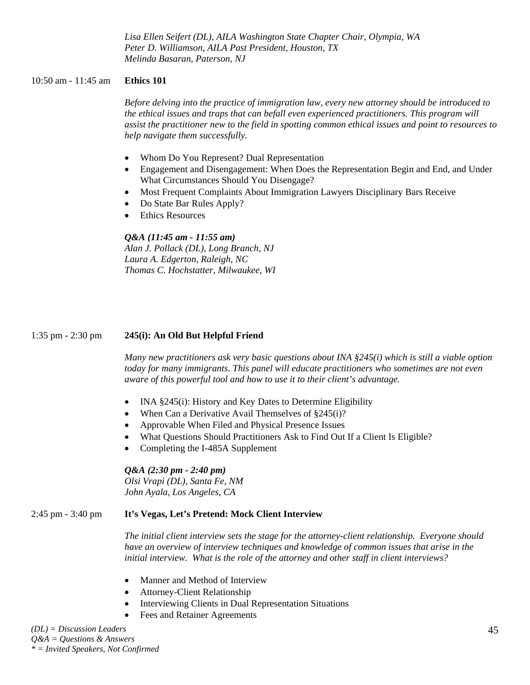*Lisa Ellen Seifert (DL), AILA Washington State Chapter Chair, Olympia, WA Peter D. Williamson, AILA Past President, Houston, TX Melinda Basaran, Paterson, NJ* 

#### 10:50 am - 11:45 am **Ethics 101**

*Before delving into the practice of immigration law, every new attorney should be introduced to the ethical issues and traps that can befall even experienced practitioners. This program will assist the practitioner new to the field in spotting common ethical issues and point to resources to help navigate them successfully.* 

- Whom Do You Represent? Dual Representation
- Engagement and Disengagement: When Does the Representation Begin and End, and Under What Circumstances Should You Disengage?
- Most Frequent Complaints About Immigration Lawyers Disciplinary Bars Receive
- Do State Bar Rules Apply?
- **Ethics Resources**

#### *Q&A (11:45 am - 11:55 am)*

*Alan J. Pollack (DL), Long Branch, NJ Laura A. Edgerton, Raleigh, NC Thomas C. Hochstatter, Milwaukee, WI* 

#### 1:35 pm - 2:30 pm **245(i): An Old But Helpful Friend**

*Many new practitioners ask very basic questions about INA §245(i) which is still a viable option today for many immigrants. This panel will educate practitioners who sometimes are not even aware of this powerful tool and how to use it to their client's advantage.* 

- INA §245(i): History and Key Dates to Determine Eligibility
- When Can a Derivative Avail Themselves of §245(i)?
- Approvable When Filed and Physical Presence Issues
- What Questions Should Practitioners Ask to Find Out If a Client Is Eligible?
- Completing the I-485A Supplement

*Q&A (2:30 pm - 2:40 pm) Olsi Vrapi (DL), Santa Fe, NM John Ayala, Los Angeles, CA* 

#### 2:45 pm - 3:40 pm **It's Vegas, Let's Pretend: Mock Client Interview**

*The initial client interview sets the stage for the attorney-client relationship. Everyone should have an overview of interview techniques and knowledge of common issues that arise in the initial interview. What is the role of the attorney and other staff in client interviews?* 

- Manner and Method of Interview
- Attorney-Client Relationship
- Interviewing Clients in Dual Representation Situations
- Fees and Retainer Agreements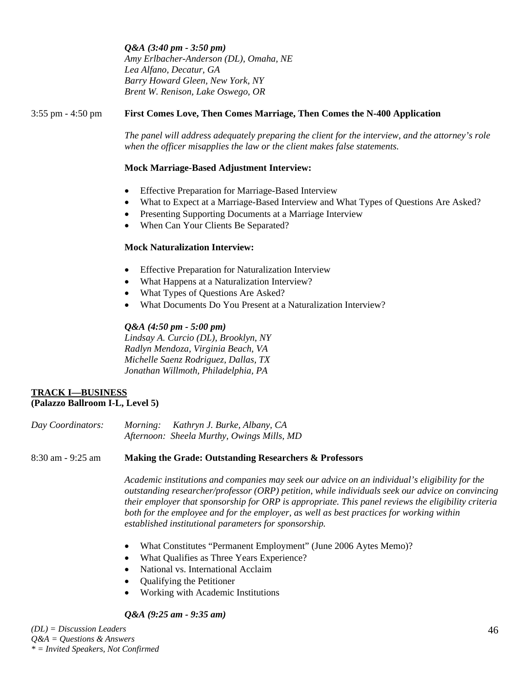*Q&A (3:40 pm - 3:50 pm) Amy Erlbacher-Anderson (DL), Omaha, NE Lea Alfano, Decatur, GA Barry Howard Gleen, New York, NY Brent W. Renison, Lake Oswego, OR* 

## 3:55 pm - 4:50 pm **First Comes Love, Then Comes Marriage, Then Comes the N-400 Application**

*The panel will address adequately preparing the client for the interview, and the attorney's role when the officer misapplies the law or the client makes false statements.* 

#### **Mock Marriage-Based Adjustment Interview:**

- Effective Preparation for Marriage-Based Interview
- What to Expect at a Marriage-Based Interview and What Types of Questions Are Asked?
- Presenting Supporting Documents at a Marriage Interview
- When Can Your Clients Be Separated?

## **Mock Naturalization Interview:**

- Effective Preparation for Naturalization Interview
- What Happens at a Naturalization Interview?
- What Types of Questions Are Asked?
- What Documents Do You Present at a Naturalization Interview?

# *Q&A (4:50 pm - 5:00 pm)*

*Lindsay A. Curcio (DL), Brooklyn, NY Radlyn Mendoza, Virginia Beach, VA Michelle Saenz Rodriguez, Dallas, TX Jonathan Willmoth, Philadelphia, PA* 

#### **TRACK I—BUSINESS (Palazzo Ballroom I-L, Level 5)**

| Day Coordinators: | <i>Morning:</i> | Kathryn J. Burke, Albany, CA               |
|-------------------|-----------------|--------------------------------------------|
|                   |                 | Afternoon: Sheela Murthy, Owings Mills, MD |

#### 8:30 am - 9:25 am **Making the Grade: Outstanding Researchers & Professors**

*Academic institutions and companies may seek our advice on an individual's eligibility for the outstanding researcher/professor (ORP) petition, while individuals seek our advice on convincing their employer that sponsorship for ORP is appropriate. This panel reviews the eligibility criteria both for the employee and for the employer, as well as best practices for working within established institutional parameters for sponsorship.* 

- What Constitutes "Permanent Employment" (June 2006 Aytes Memo)?
- What Qualifies as Three Years Experience?
- National vs. International Acclaim
- Qualifying the Petitioner
- Working with Academic Institutions

#### *Q&A (9:25 am - 9:35 am)*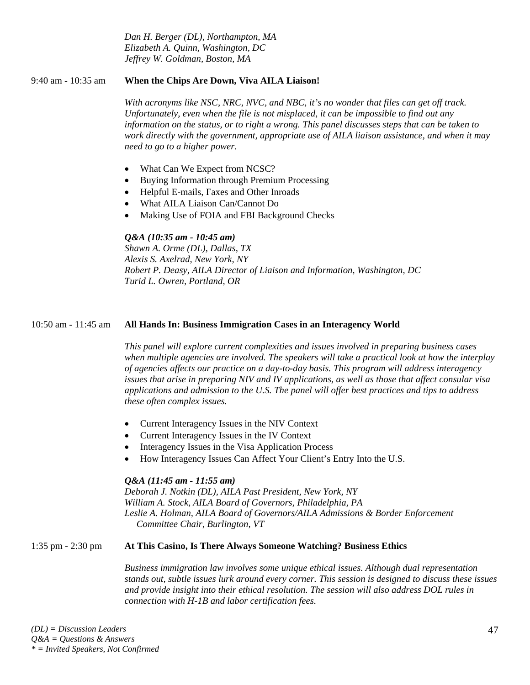*Dan H. Berger (DL), Northampton, MA Elizabeth A. Quinn, Washington, DC Jeffrey W. Goldman, Boston, MA* 

# 9:40 am - 10:35 am **When the Chips Are Down, Viva AILA Liaison!**

*With acronyms like NSC, NRC, NVC, and NBC, it's no wonder that files can get off track. Unfortunately, even when the file is not misplaced, it can be impossible to find out any information on the status, or to right a wrong. This panel discusses steps that can be taken to work directly with the government, appropriate use of AILA liaison assistance, and when it may need to go to a higher power.* 

- What Can We Expect from NCSC?
- Buying Information through Premium Processing
- Helpful E-mails, Faxes and Other Inroads
- What AILA Liaison Can/Cannot Do
- Making Use of FOIA and FBI Background Checks

# *Q&A (10:35 am - 10:45 am)*

*Shawn A. Orme (DL), Dallas, TX Alexis S. Axelrad, New York, NY Robert P. Deasy, AILA Director of Liaison and Information, Washington, DC Turid L. Owren, Portland, OR* 

# 10:50 am - 11:45 am **All Hands In: Business Immigration Cases in an Interagency World**

*This panel will explore current complexities and issues involved in preparing business cases when multiple agencies are involved. The speakers will take a practical look at how the interplay of agencies affects our practice on a day-to-day basis. This program will address interagency issues that arise in preparing NIV and IV applications, as well as those that affect consular visa applications and admission to the U.S. The panel will offer best practices and tips to address these often complex issues.* 

- Current Interagency Issues in the NIV Context
- Current Interagency Issues in the IV Context
- Interagency Issues in the Visa Application Process
- How Interagency Issues Can Affect Your Client's Entry Into the U.S.

# *Q&A (11:45 am - 11:55 am)*

*Deborah J. Notkin (DL), AILA Past President, New York, NY William A. Stock, AILA Board of Governors, Philadelphia, PA*  Leslie A. Holman, AILA Board of Governors/AILA Admissions & Border Enforcement  *Committee Chair, Burlington, VT* 

# 1:35 pm - 2:30 pm **At This Casino, Is There Always Someone Watching? Business Ethics**

*Business immigration law involves some unique ethical issues. Although dual representation stands out, subtle issues lurk around every corner. This session is designed to discuss these issues and provide insight into their ethical resolution. The session will also address DOL rules in connection with H-1B and labor certification fees.*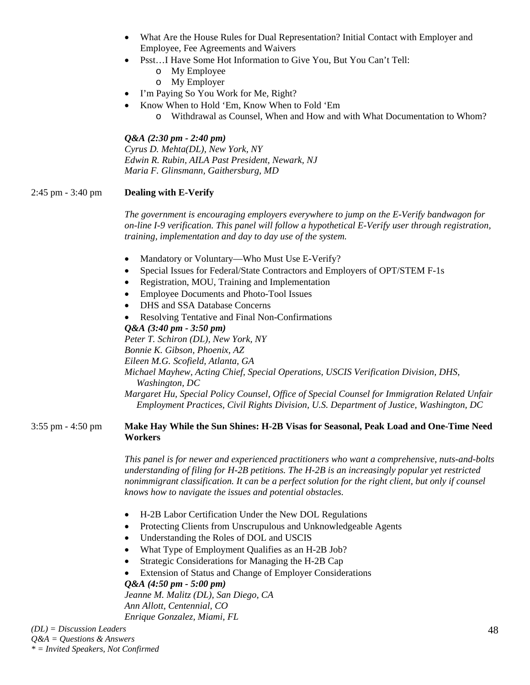- What Are the House Rules for Dual Representation? Initial Contact with Employer and Employee, Fee Agreements and Waivers
- Psst…I Have Some Hot Information to Give You, But You Can't Tell:
	- o My Employee
	- o My Employer
- I'm Paying So You Work for Me, Right?
	- Know When to Hold 'Em, Know When to Fold 'Em
		- o Withdrawal as Counsel, When and How and with What Documentation to Whom?

#### *Q&A (2:30 pm - 2:40 pm)*

*Cyrus D. Mehta(DL), New York, NY Edwin R. Rubin, AILA Past President, Newark, NJ Maria F. Glinsmann, Gaithersburg, MD* 

## 2:45 pm - 3:40 pm **Dealing with E-Verify**

*The government is encouraging employers everywhere to jump on the E-Verify bandwagon for on-line I-9 verification. This panel will follow a hypothetical E-Verify user through registration, training, implementation and day to day use of the system.* 

- Mandatory or Voluntary—Who Must Use E-Verify?
- Special Issues for Federal/State Contractors and Employers of OPT/STEM F-1s
- Registration, MOU, Training and Implementation
- Employee Documents and Photo-Tool Issues
- DHS and SSA Database Concerns
- Resolving Tentative and Final Non-Confirmations

*Q&A (3:40 pm - 3:50 pm) Peter T. Schiron (DL), New York, NY Bonnie K. Gibson, Phoenix, AZ Eileen M.G. Scofield, Atlanta, GA Michael Mayhew, Acting Chief, Special Operations, USCIS Verification Division, DHS, Washington, DC Margaret Hu, Special Policy Counsel, Office of Special Counsel for Immigration Related Unfair Employment Practices, Civil Rights Division, U.S. Department of Justice, Washington, DC* 

#### 3:55 pm - 4:50 pm **Make Hay While the Sun Shines: H-2B Visas for Seasonal, Peak Load and One-Time Need Workers**

*This panel is for newer and experienced practitioners who want a comprehensive, nuts-and-bolts understanding of filing for H-2B petitions. The H-2B is an increasingly popular yet restricted nonimmigrant classification. It can be a perfect solution for the right client, but only if counsel knows how to navigate the issues and potential obstacles.* 

- H-2B Labor Certification Under the New DOL Regulations
- Protecting Clients from Unscrupulous and Unknowledgeable Agents
- Understanding the Roles of DOL and USCIS
- What Type of Employment Qualifies as an H-2B Job?
- Strategic Considerations for Managing the H-2B Cap
- Extension of Status and Change of Employer Considerations

#### *Q&A (4:50 pm - 5:00 pm)*

*Jeanne M. Malitz (DL), San Diego, CA Ann Allott, Centennial, CO Enrique Gonzalez, Miami, FL*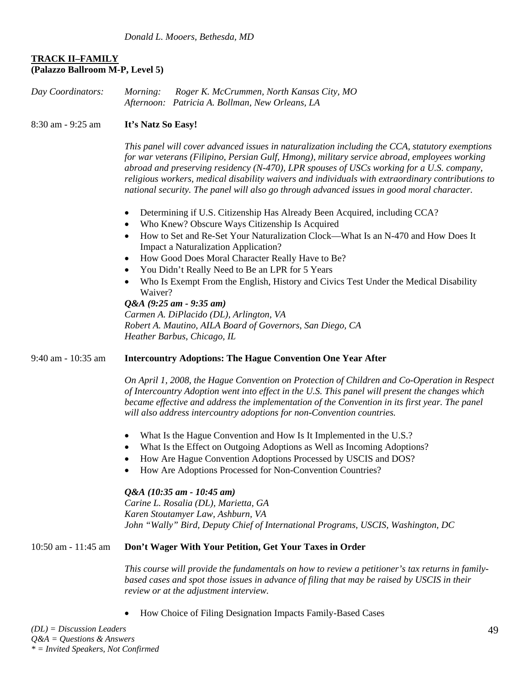# **TRACK II–FAMILY (Palazzo Ballroom M-P, Level 5)**

| Day Coordinators:       | Roger K. McCrummen, North Kansas City, MO<br>Morning:<br>Afternoon: Patricia A. Bollman, New Orleans, LA                                                                                                                                                                                                                                                                                                                                                                                          |
|-------------------------|---------------------------------------------------------------------------------------------------------------------------------------------------------------------------------------------------------------------------------------------------------------------------------------------------------------------------------------------------------------------------------------------------------------------------------------------------------------------------------------------------|
| 8:30 am - 9:25 am       | It's Natz So Easy!                                                                                                                                                                                                                                                                                                                                                                                                                                                                                |
|                         | This panel will cover advanced issues in naturalization including the CCA, statutory exemptions<br>for war veterans (Filipino, Persian Gulf, Hmong), military service abroad, employees working<br>abroad and preserving residency $(N-470)$ , LPR spouses of USCs working for a U.S. company,<br>religious workers, medical disability waivers and individuals with extraordinary contributions to<br>national security. The panel will also go through advanced issues in good moral character. |
|                         | Determining if U.S. Citizenship Has Already Been Acquired, including CCA?                                                                                                                                                                                                                                                                                                                                                                                                                         |
|                         | Who Knew? Obscure Ways Citizenship Is Acquired<br>$\bullet$<br>How to Set and Re-Set Your Naturalization Clock—What Is an N-470 and How Does It<br><b>Impact a Naturalization Application?</b><br>How Good Does Moral Character Really Have to Be?<br>٠                                                                                                                                                                                                                                           |
|                         | You Didn't Really Need to Be an LPR for 5 Years<br>Who Is Exempt From the English, History and Civics Test Under the Medical Disability<br>Waiver?                                                                                                                                                                                                                                                                                                                                                |
|                         | $Q&A(9:25 \text{ am} - 9:35 \text{ am})$                                                                                                                                                                                                                                                                                                                                                                                                                                                          |
|                         | Carmen A. DiPlacido (DL), Arlington, VA                                                                                                                                                                                                                                                                                                                                                                                                                                                           |
|                         | Robert A. Mautino, AILA Board of Governors, San Diego, CA<br>Heather Barbus, Chicago, IL                                                                                                                                                                                                                                                                                                                                                                                                          |
| 9:40 am - 10:35 am      | <b>Intercountry Adoptions: The Hague Convention One Year After</b>                                                                                                                                                                                                                                                                                                                                                                                                                                |
|                         | On April 1, 2008, the Hague Convention on Protection of Children and Co-Operation in Respect<br>of Intercountry Adoption went into effect in the U.S. This panel will present the changes which<br>became effective and address the implementation of the Convention in its first year. The panel<br>will also address intercountry adoptions for non-Convention countries.                                                                                                                       |
|                         | What Is the Hague Convention and How Is It Implemented in the U.S.?<br>What Is the Effect on Outgoing Adoptions as Well as Incoming Adoptions?<br>$\bullet$<br>How Are Hague Convention Adoptions Processed by USCIS and DOS?<br>How Are Adoptions Processed for Non-Convention Countries?                                                                                                                                                                                                        |
|                         | Q&A (10:35 am - 10:45 am)<br>Carine L. Rosalia (DL), Marietta, GA<br>Karen Stoutamyer Law, Ashburn, VA<br>John "Wally" Bird, Deputy Chief of International Programs, USCIS, Washington, DC                                                                                                                                                                                                                                                                                                        |
| $10:50$ am - $11:45$ am | Don't Wager With Your Petition, Get Your Taxes in Order                                                                                                                                                                                                                                                                                                                                                                                                                                           |
|                         | This course will provide the fundamentals on how to review a petitioner's tax returns in family-                                                                                                                                                                                                                                                                                                                                                                                                  |

*This course will provide the fundamentals on how to review a petitioner's tax returns in family*based cases and spot those issues in advance of filing that may be raised by USCIS in their *review or at the adjustment interview.* 

• How Choice of Filing Designation Impacts Family-Based Cases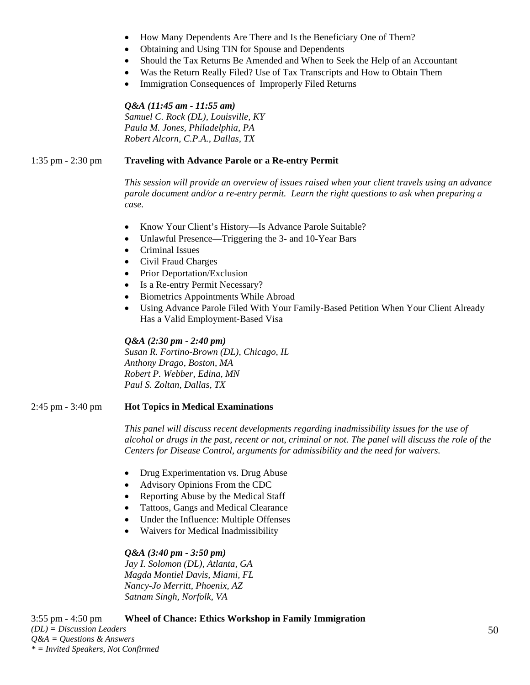- How Many Dependents Are There and Is the Beneficiary One of Them?
- Obtaining and Using TIN for Spouse and Dependents
- Should the Tax Returns Be Amended and When to Seek the Help of an Accountant
- Was the Return Really Filed? Use of Tax Transcripts and How to Obtain Them
- Immigration Consequences of Improperly Filed Returns

#### *Q&A (11:45 am - 11:55 am)*

*Samuel C. Rock (DL), Louisville, KY Paula M. Jones, Philadelphia, PA Robert Alcorn, C.P.A., Dallas, TX* 

### 1:35 pm - 2:30 pm **Traveling with Advance Parole or a Re-entry Permit**

*This session will provide an overview of issues raised when your client travels using an advance parole document and/or a re-entry permit. Learn the right questions to ask when preparing a case.* 

- Know Your Client's History—Is Advance Parole Suitable?
- Unlawful Presence—Triggering the 3- and 10-Year Bars
- Criminal Issues
- Civil Fraud Charges
- Prior Deportation/Exclusion
- Is a Re-entry Permit Necessary?
- Biometrics Appointments While Abroad
- Using Advance Parole Filed With Your Family-Based Petition When Your Client Already Has a Valid Employment-Based Visa

*Q&A (2:30 pm - 2:40 pm) Susan R. Fortino-Brown (DL), Chicago, IL Anthony Drago, Boston, MA Robert P. Webber, Edina, MN Paul S. Zoltan, Dallas, TX* 

#### 2:45 pm - 3:40 pm **Hot Topics in Medical Examinations**

*This panel will discuss recent developments regarding inadmissibility issues for the use of alcohol or drugs in the past, recent or not, criminal or not. The panel will discuss the role of the Centers for Disease Control, arguments for admissibility and the need for waivers.* 

- Drug Experimentation vs. Drug Abuse
- Advisory Opinions From the CDC
- Reporting Abuse by the Medical Staff
- Tattoos, Gangs and Medical Clearance
- Under the Influence: Multiple Offenses
- Waivers for Medical Inadmissibility

#### *Q&A (3:40 pm - 3:50 pm)*

*Jay I. Solomon (DL), Atlanta, GA Magda Montiel Davis, Miami, FL Nancy-Jo Merritt, Phoenix, AZ Satnam Singh, Norfolk, VA* 

3:55 pm - 4:50 pm **Wheel of Chance: Ethics Workshop in Family Immigration**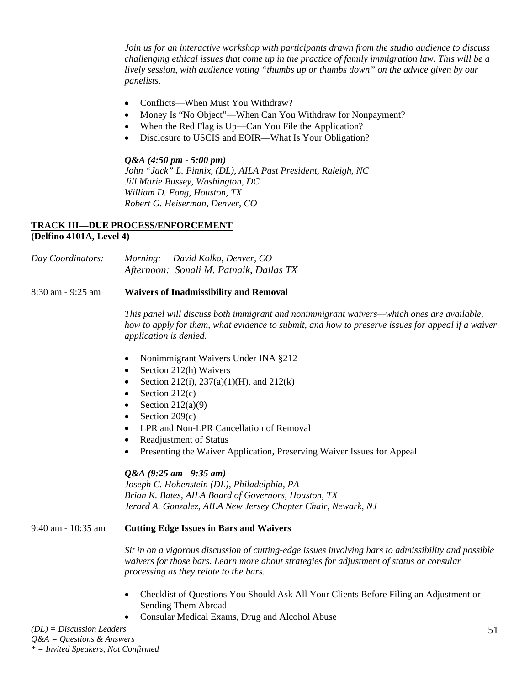*Join us for an interactive workshop with participants drawn from the studio audience to discuss challenging ethical issues that come up in the practice of family immigration law. This will be a lively session, with audience voting "thumbs up or thumbs down" on the advice given by our panelists.* 

- Conflicts—When Must You Withdraw?
- Money Is "No Object"—When Can You Withdraw for Nonpayment?
- When the Red Flag is Up—Can You File the Application?
- Disclosure to USCIS and EOIR—What Is Your Obligation?

#### *Q&A (4:50 pm - 5:00 pm)*

*John "Jack" L. Pinnix, (DL), AILA Past President, Raleigh, NC Jill Marie Bussey, Washington, DC William D. Fong, Houston, TX Robert G. Heiserman, Denver, CO* 

#### **TRACK III—DUE PROCESS/ENFORCEMENT (Delfino 4101A, Level 4)**

*Day Coordinators: Morning: David Kolko, Denver, CO Afternoon: Sonali M. Patnaik, Dallas TX* 

#### 8:30 am - 9:25 am **Waivers of Inadmissibility and Removal**

*This panel will discuss both immigrant and nonimmigrant waivers—which ones are available, how to apply for them, what evidence to submit, and how to preserve issues for appeal if a waiver application is denied.* 

- Nonimmigrant Waivers Under INA §212
- Section 212(h) Waivers
- Section 212(i), 237(a)(1)(H), and 212(k)
- Section  $212(c)$
- Section  $212(a)(9)$
- Section  $209(c)$
- LPR and Non-LPR Cancellation of Removal
- Readjustment of Status
- Presenting the Waiver Application, Preserving Waiver Issues for Appeal

#### *Q&A (9:25 am - 9:35 am)*

*Joseph C. Hohenstein (DL), Philadelphia, PA Brian K. Bates, AILA Board of Governors, Houston, TX Jerard A. Gonzalez, AILA New Jersey Chapter Chair, Newark, NJ* 

## 9:40 am - 10:35 am **Cutting Edge Issues in Bars and Waivers**

*Sit in on a vigorous discussion of cutting-edge issues involving bars to admissibility and possible waivers for those bars. Learn more about strategies for adjustment of status or consular processing as they relate to the bars.* 

- Checklist of Questions You Should Ask All Your Clients Before Filing an Adjustment or Sending Them Abroad
- Consular Medical Exams, Drug and Alcohol Abuse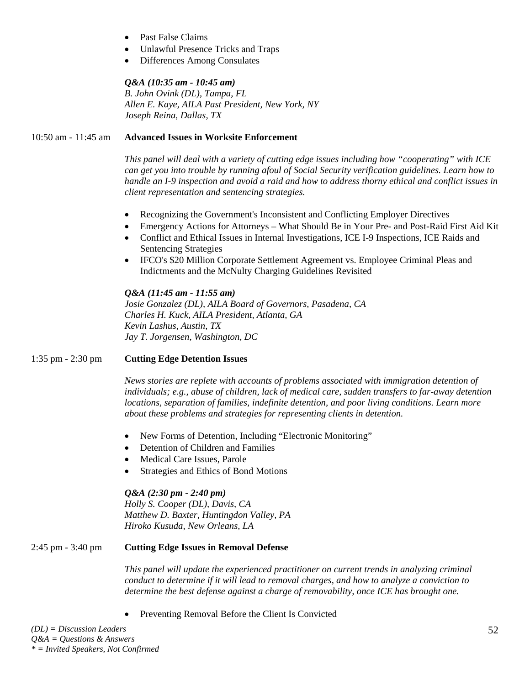- Past False Claims
- Unlawful Presence Tricks and Traps
- Differences Among Consulates

### *Q&A (10:35 am - 10:45 am)*

*B. John Ovink (DL), Tampa, FL Allen E. Kaye, AILA Past President, New York, NY Joseph Reina, Dallas, TX* 

#### 10:50 am - 11:45 am **Advanced Issues in Worksite Enforcement**

*This panel will deal with a variety of cutting edge issues including how "cooperating" with ICE can get you into trouble by running afoul of Social Security verification guidelines. Learn how to handle an I-9 inspection and avoid a raid and how to address thorny ethical and conflict issues in client representation and sentencing strategies.* 

- Recognizing the Government's Inconsistent and Conflicting Employer Directives
- Emergency Actions for Attorneys What Should Be in Your Pre- and Post-Raid First Aid Kit
- Conflict and Ethical Issues in Internal Investigations, ICE I-9 Inspections, ICE Raids and Sentencing Strategies
- IFCO's \$20 Million Corporate Settlement Agreement vs. Employee Criminal Pleas and Indictments and the McNulty Charging Guidelines Revisited

## *Q&A (11:45 am - 11:55 am)*

*Josie Gonzalez (DL), AILA Board of Governors, Pasadena, CA Charles H. Kuck, AILA President, Atlanta, GA Kevin Lashus, Austin, TX Jay T. Jorgensen, Washington, DC* 

# 1:35 pm - 2:30 pm **Cutting Edge Detention Issues**

*News stories are replete with accounts of problems associated with immigration detention of individuals; e.g., abuse of children, lack of medical care, sudden transfers to far-away detention locations, separation of families, indefinite detention, and poor living conditions. Learn more about these problems and strategies for representing clients in detention.* 

- New Forms of Detention, Including "Electronic Monitoring"
- Detention of Children and Families
- Medical Care Issues, Parole
- Strategies and Ethics of Bond Motions

#### *Q&A (2:30 pm - 2:40 pm)*

*Holly S. Cooper (DL), Davis, CA Matthew D. Baxter, Huntingdon Valley, PA Hiroko Kusuda, New Orleans, LA* 

#### 2:45 pm - 3:40 pm **Cutting Edge Issues in Removal Defense**

*This panel will update the experienced practitioner on current trends in analyzing criminal conduct to determine if it will lead to removal charges, and how to analyze a conviction to determine the best defense against a charge of removability, once ICE has brought one.* 

• Preventing Removal Before the Client Is Convicted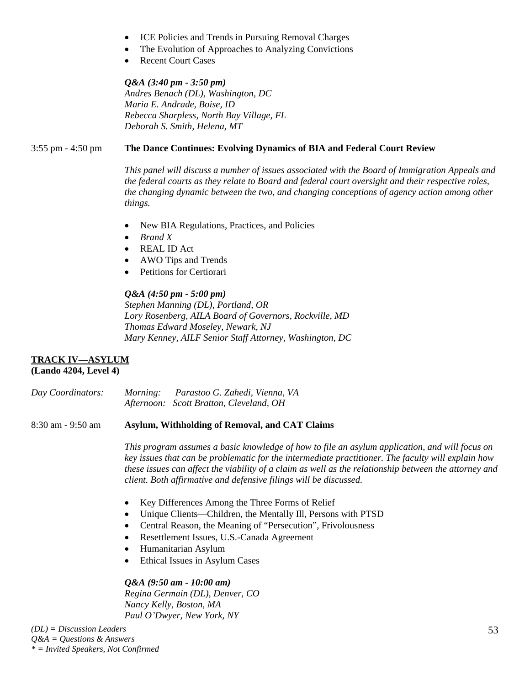- ICE Policies and Trends in Pursuing Removal Charges
- The Evolution of Approaches to Analyzing Convictions
- Recent Court Cases

# *Q&A (3:40 pm - 3:50 pm)*

*Andres Benach (DL), Washington, DC Maria E. Andrade, Boise, ID Rebecca Sharpless, North Bay Village, FL Deborah S. Smith, Helena, MT*

## 3:55 pm - 4:50 pm **The Dance Continues: Evolving Dynamics of BIA and Federal Court Review**

*This panel will discuss a number of issues associated with the Board of Immigration Appeals and the federal courts as they relate to Board and federal court oversight and their respective roles, the changing dynamic between the two, and changing conceptions of agency action among other things.* 

- New BIA Regulations, Practices, and Policies
- *Brand X*
- REAL ID Act
- AWO Tips and Trends
- Petitions for Certiorari

#### *Q&A (4:50 pm - 5:00 pm)*

*Stephen Manning (DL), Portland, OR Lory Rosenberg, AILA Board of Governors, Rockville, MD Thomas Edward Moseley, Newark, NJ Mary Kenney, AILF Senior Staff Attorney, Washington, DC* 

#### **TRACK IV—ASYLUM (Lando 4204, Level 4)**

| Day Coordinators: | <i>Morning:</i> | Parastoo G. Zahedi, Vienna, VA          |
|-------------------|-----------------|-----------------------------------------|
|                   |                 | Afternoon: Scott Bratton, Cleveland, OH |

#### 8:30 am - 9:50 am **Asylum, Withholding of Removal, and CAT Claims**

*This program assumes a basic knowledge of how to file an asylum application, and will focus on key issues that can be problematic for the intermediate practitioner. The faculty will explain how these issues can affect the viability of a claim as well as the relationship between the attorney and client. Both affirmative and defensive filings will be discussed.* 

- Key Differences Among the Three Forms of Relief
- Unique Clients—Children, the Mentally Ill, Persons with PTSD
- Central Reason, the Meaning of "Persecution", Frivolousness
- Resettlement Issues, U.S.-Canada Agreement
- Humanitarian Asylum
- Ethical Issues in Asylum Cases

# *Q&A (9:50 am - 10:00 am)*

*Regina Germain (DL), Denver, CO Nancy Kelly, Boston, MA Paul O'Dwyer, New York, NY*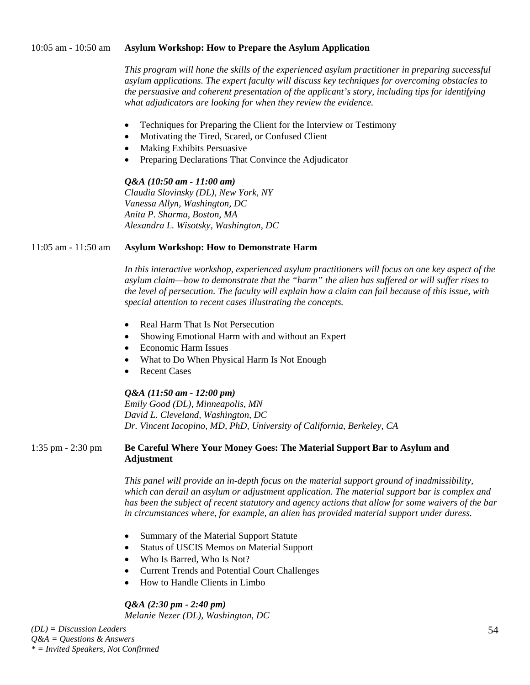#### 10:05 am - 10:50 am **Asylum Workshop: How to Prepare the Asylum Application**

*This program will hone the skills of the experienced asylum practitioner in preparing successful asylum applications. The expert faculty will discuss key techniques for overcoming obstacles to the persuasive and coherent presentation of the applicant's story, including tips for identifying what adjudicators are looking for when they review the evidence.* 

- Techniques for Preparing the Client for the Interview or Testimony
- Motivating the Tired, Scared, or Confused Client
- Making Exhibits Persuasive
- Preparing Declarations That Convince the Adjudicator

#### *Q&A (10:50 am - 11:00 am)*

*Claudia Slovinsky (DL), New York, NY Vanessa Allyn, Washington, DC Anita P. Sharma, Boston, MA Alexandra L. Wisotsky, Washington, DC* 

## 11:05 am - 11:50 am **Asylum Workshop: How to Demonstrate Harm**

*In this interactive workshop, experienced asylum practitioners will focus on one key aspect of the asylum claim—how to demonstrate that the "harm" the alien has suffered or will suffer rises to the level of persecution. The faculty will explain how a claim can fail because of this issue, with special attention to recent cases illustrating the concepts.* 

- Real Harm That Is Not Persecution
- Showing Emotional Harm with and without an Expert
- Economic Harm Issues
- What to Do When Physical Harm Is Not Enough
- **Recent Cases**

#### *Q&A (11:50 am - 12:00 pm)*

*Emily Good (DL), Minneapolis, MN David L. Cleveland, Washington, DC Dr. Vincent Iacopino, MD, PhD, University of California, Berkeley, CA* 

#### 1:35 pm - 2:30 pm **Be Careful Where Your Money Goes: The Material Support Bar to Asylum and Adjustment**

*This panel will provide an in-depth focus on the material support ground of inadmissibility, which can derail an asylum or adjustment application. The material support bar is complex and has been the subject of recent statutory and agency actions that allow for some waivers of the bar in circumstances where, for example, an alien has provided material support under duress.* 

- Summary of the Material Support Statute
- Status of USCIS Memos on Material Support
- Who Is Barred, Who Is Not?
- Current Trends and Potential Court Challenges
- How to Handle Clients in Limbo

# *Q&A (2:30 pm - 2:40 pm)*

*Melanie Nezer (DL), Washington, DC*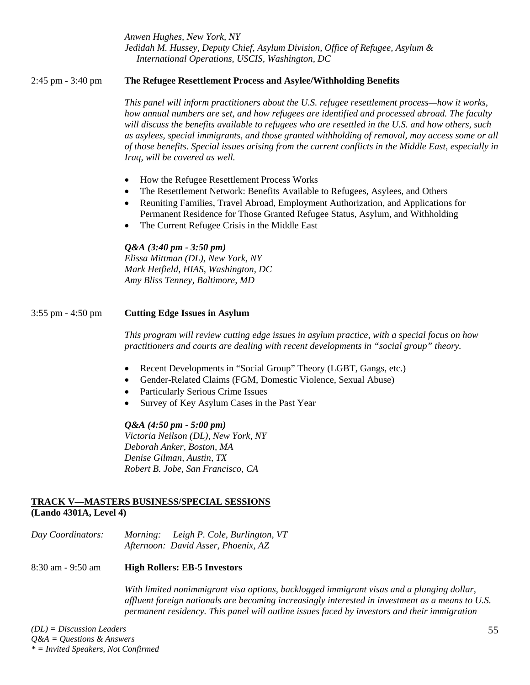*Anwen Hughes, New York, NY Jedidah M. Hussey, Deputy Chief, Asylum Division, Office of Refugee, Asylum & International Operations, USCIS, Washington, DC* 

## 2:45 pm - 3:40 pm **The Refugee Resettlement Process and Asylee/Withholding Benefits**

*This panel will inform practitioners about the U.S. refugee resettlement process—how it works, how annual numbers are set, and how refugees are identified and processed abroad. The faculty will discuss the benefits available to refugees who are resettled in the U.S. and how others, such as asylees, special immigrants, and those granted withholding of removal, may access some or all of those benefits. Special issues arising from the current conflicts in the Middle East, especially in Iraq, will be covered as well.* 

- How the Refugee Resettlement Process Works
- The Resettlement Network: Benefits Available to Refugees, Asylees, and Others
- Reuniting Families, Travel Abroad, Employment Authorization, and Applications for Permanent Residence for Those Granted Refugee Status, Asylum, and Withholding
- The Current Refugee Crisis in the Middle East

## *Q&A (3:40 pm - 3:50 pm)*

*Elissa Mittman (DL), New York, NY Mark Hetfield, HIAS, Washington, DC Amy Bliss Tenney, Baltimore, MD* 

## 3:55 pm - 4:50 pm **Cutting Edge Issues in Asylum**

*This program will review cutting edge issues in asylum practice, with a special focus on how practitioners and courts are dealing with recent developments in "social group" theory.* 

- Recent Developments in "Social Group" Theory (LGBT, Gangs, etc.)
- Gender-Related Claims (FGM, Domestic Violence, Sexual Abuse)
- Particularly Serious Crime Issues
- Survey of Key Asylum Cases in the Past Year

# *Q&A (4:50 pm - 5:00 pm)*

*Victoria Neilson (DL), New York, NY Deborah Anker, Boston, MA Denise Gilman, Austin, TX Robert B. Jobe, San Francisco, CA* 

#### **TRACK V—MASTERS BUSINESS/SPECIAL SESSIONS (Lando 4301A, Level 4)**

*Day Coordinators: Morning: Leigh P. Cole, Burlington, VT Afternoon: David Asser, Phoenix, AZ*

# 8:30 am - 9:50 am **High Rollers: EB-5 Investors**

*With limited nonimmigrant visa options, backlogged immigrant visas and a plunging dollar, affluent foreign nationals are becoming increasingly interested in investment as a means to U.S. permanent residency. This panel will outline issues faced by investors and their immigration*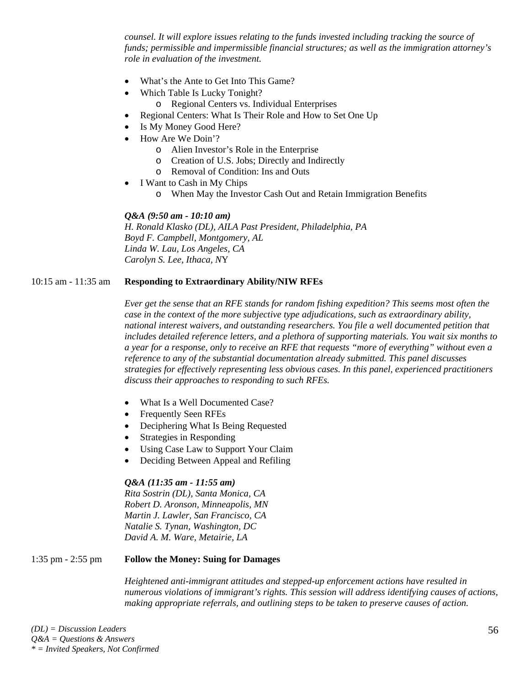*counsel. It will explore issues relating to the funds invested including tracking the source of funds; permissible and impermissible financial structures; as well as the immigration attorney's role in evaluation of the investment.* 

- What's the Ante to Get Into This Game?
- Which Table Is Lucky Tonight?
	- o Regional Centers vs. Individual Enterprises
- Regional Centers: What Is Their Role and How to Set One Up
- Is My Money Good Here?
- How Are We Doin'?
	- o Alien Investor's Role in the Enterprise
	- o Creation of U.S. Jobs; Directly and Indirectly
	- o Removal of Condition: Ins and Outs
- I Want to Cash in My Chips
	- o When May the Investor Cash Out and Retain Immigration Benefits

#### *Q&A (9:50 am - 10:10 am)*

*H. Ronald Klasko (DL), AILA Past President, Philadelphia, PA Boyd F. Campbell, Montgomery, AL Linda W. Lau, Los Angeles, CA Carolyn S. Lee, Ithaca, N*Y

#### 10:15 am - 11:35 am **Responding to Extraordinary Ability/NIW RFEs**

*Ever get the sense that an RFE stands for random fishing expedition? This seems most often the case in the context of the more subjective type adjudications, such as extraordinary ability, national interest waivers, and outstanding researchers. You file a well documented petition that includes detailed reference letters, and a plethora of supporting materials. You wait six months to a year for a response, only to receive an RFE that requests "more of everything" without even a reference to any of the substantial documentation already submitted. This panel discusses strategies for effectively representing less obvious cases. In this panel, experienced practitioners discuss their approaches to responding to such RFEs.* 

- What Is a Well Documented Case?
- Frequently Seen RFEs
- Deciphering What Is Being Requested
- Strategies in Responding
- Using Case Law to Support Your Claim
- Deciding Between Appeal and Refiling

#### *Q&A (11:35 am - 11:55 am)*

*Rita Sostrin (DL), Santa Monica, CA Robert D. Aronson, Minneapolis, MN Martin J. Lawler, San Francisco, CA Natalie S. Tynan, Washington, DC David A. M. Ware, Metairie, LA* 

#### 1:35 pm - 2:55 pm **Follow the Money: Suing for Damages**

*Heightened anti-immigrant attitudes and stepped-up enforcement actions have resulted in numerous violations of immigrant's rights. This session will address identifying causes of actions, making appropriate referrals, and outlining steps to be taken to preserve causes of action.*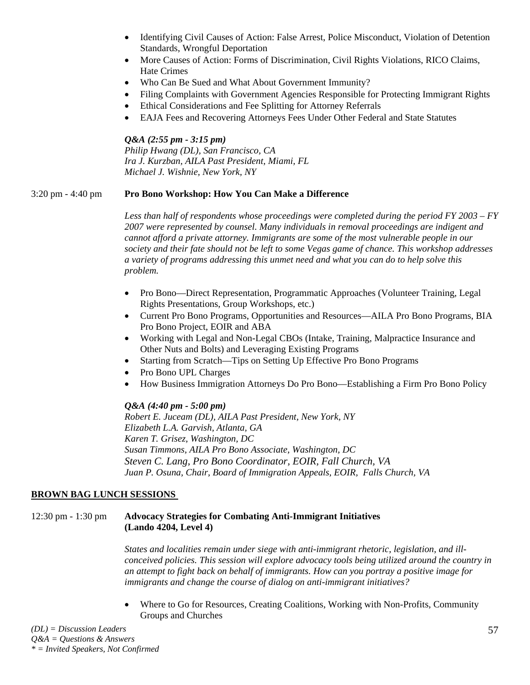- Identifying Civil Causes of Action: False Arrest, Police Misconduct, Violation of Detention Standards, Wrongful Deportation
- More Causes of Action: Forms of Discrimination, Civil Rights Violations, RICO Claims, Hate Crimes
- Who Can Be Sued and What About Government Immunity?
- Filing Complaints with Government Agencies Responsible for Protecting Immigrant Rights
- Ethical Considerations and Fee Splitting for Attorney Referrals
- EAJA Fees and Recovering Attorneys Fees Under Other Federal and State Statutes

## *Q&A (2:55 pm - 3:15 pm)*

*Philip Hwang (DL), San Francisco, CA Ira J. Kurzban, AILA Past President, Miami, FL Michael J. Wishnie, New York, NY* 

# 3:20 pm - 4:40 pm **Pro Bono Workshop: How You Can Make a Difference**

*Less than half of respondents whose proceedings were completed during the period FY 2003 – FY 2007 were represented by counsel. Many individuals in removal proceedings are indigent and cannot afford a private attorney. Immigrants are some of the most vulnerable people in our society and their fate should not be left to some Vegas game of chance. This workshop addresses a variety of programs addressing this unmet need and what you can do to help solve this problem.* 

- Pro Bono—Direct Representation, Programmatic Approaches (Volunteer Training, Legal Rights Presentations, Group Workshops, etc.)
- Current Pro Bono Programs, Opportunities and Resources—AILA Pro Bono Programs, BIA Pro Bono Project, EOIR and ABA
- Working with Legal and Non-Legal CBOs (Intake, Training, Malpractice Insurance and Other Nuts and Bolts) and Leveraging Existing Programs
- Starting from Scratch—Tips on Setting Up Effective Pro Bono Programs
- Pro Bono UPL Charges
- How Business Immigration Attorneys Do Pro Bono—Establishing a Firm Pro Bono Policy

# *Q&A (4:40 pm - 5:00 pm)*

*Robert E. Juceam (DL), AILA Past President, New York, NY Elizabeth L.A. Garvish, Atlanta, GA Karen T. Grisez, Washington, DC Susan Timmons, AILA Pro Bono Associate, Washington, DC Steven C. Lang, Pro Bono Coordinator, EOIR, Fall Church, VA Juan P. Osuna, Chair, Board of Immigration Appeals, EOIR, Falls Church, VA* 

# **BROWN BAG LUNCH SESSIONS**

# 12:30 pm - 1:30 pm **Advocacy Strategies for Combating Anti-Immigrant Initiatives (Lando 4204, Level 4)**

*States and localities remain under siege with anti-immigrant rhetoric, legislation, and illconceived policies. This session will explore advocacy tools being utilized around the country in an attempt to fight back on behalf of immigrants. How can you portray a positive image for immigrants and change the course of dialog on anti-immigrant initiatives?* 

• Where to Go for Resources, Creating Coalitions, Working with Non-Profits, Community Groups and Churches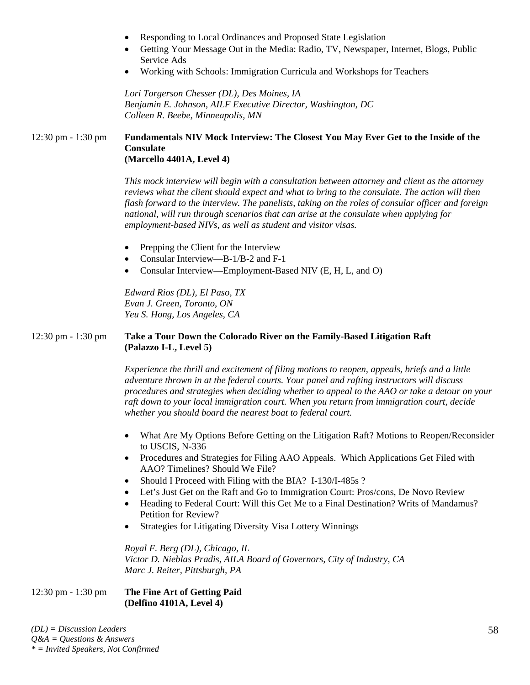- Responding to Local Ordinances and Proposed State Legislation
- Getting Your Message Out in the Media: Radio, TV, Newspaper, Internet, Blogs, Public Service Ads
- Working with Schools: Immigration Curricula and Workshops for Teachers

*Lori Torgerson Chesser (DL), Des Moines, IA Benjamin E. Johnson, AILF Executive Director, Washington, DC Colleen R. Beebe, Minneapolis, MN* 

#### 12:30 pm - 1:30 pm **Fundamentals NIV Mock Interview: The Closest You May Ever Get to the Inside of the Consulate (Marcello 4401A, Level 4)**

*This mock interview will begin with a consultation between attorney and client as the attorney reviews what the client should expect and what to bring to the consulate. The action will then flash forward to the interview. The panelists, taking on the roles of consular officer and foreign national, will run through scenarios that can arise at the consulate when applying for employment-based NIVs, as well as student and visitor visas.* 

- Prepping the Client for the Interview
- Consular Interview—B-1/B-2 and F-1
- Consular Interview—Employment-Based NIV (E, H, L, and O)

*Edward Rios (DL), El Paso, TX Evan J. Green, Toronto, ON Yeu S. Hong, Los Angeles, CA* 

## 12:30 pm - 1:30 pm **Take a Tour Down the Colorado River on the Family-Based Litigation Raft (Palazzo I-L, Level 5)**

*Experience the thrill and excitement of filing motions to reopen, appeals, briefs and a little adventure thrown in at the federal courts. Your panel and rafting instructors will discuss procedures and strategies when deciding whether to appeal to the AAO or take a detour on your raft down to your local immigration court. When you return from immigration court, decide whether you should board the nearest boat to federal court.* 

- What Are My Options Before Getting on the Litigation Raft? Motions to Reopen/Reconsider to USCIS, N-336
- Procedures and Strategies for Filing AAO Appeals. Which Applications Get Filed with AAO? Timelines? Should We File?
- Should I Proceed with Filing with the BIA? I-130/I-485s?
- Let's Just Get on the Raft and Go to Immigration Court: Pros/cons, De Novo Review
- Heading to Federal Court: Will this Get Me to a Final Destination? Writs of Mandamus? Petition for Review?
- Strategies for Litigating Diversity Visa Lottery Winnings

*Royal F. Berg (DL), Chicago, IL Victor D. Nieblas Pradis, AILA Board of Governors, City of Industry, CA Marc J. Reiter, Pittsburgh, PA* 

#### 12:30 pm - 1:30 pm **The Fine Art of Getting Paid (Delfino 4101A, Level 4)**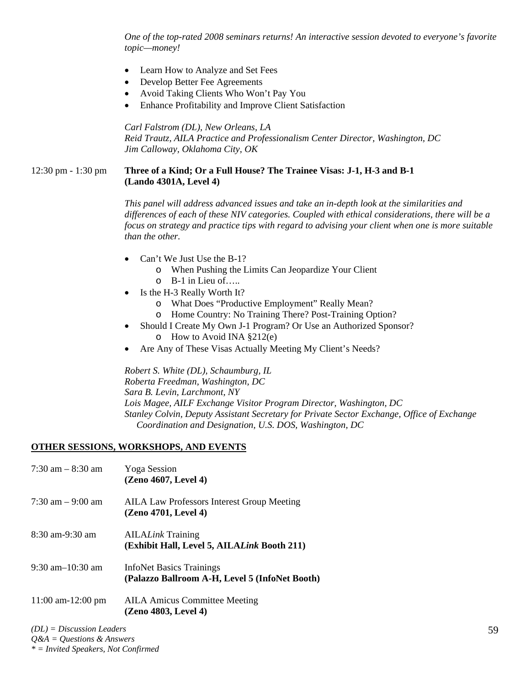*One of the top-rated 2008 seminars returns! An interactive session devoted to everyone's favorite topic—money!* 

- Learn How to Analyze and Set Fees
- Develop Better Fee Agreements
- Avoid Taking Clients Who Won't Pay You
- Enhance Profitability and Improve Client Satisfaction

*Carl Falstrom (DL), New Orleans, LA Reid Trautz, AILA Practice and Professionalism Center Director, Washington, DC Jim Calloway, Oklahoma City, OK* 

### 12:30 pm - 1:30 pm **Three of a Kind; Or a Full House? The Trainee Visas: J-1, H-3 and B-1 (Lando 4301A, Level 4)**

*This panel will address advanced issues and take an in-depth look at the similarities and differences of each of these NIV categories. Coupled with ethical considerations, there will be a focus on strategy and practice tips with regard to advising your client when one is more suitable than the other.* 

- Can't We Just Use the B-1?
	- o When Pushing the Limits Can Jeopardize Your Client
	- o B-1 in Lieu of…..
- Is the H-3 Really Worth It?
	- o What Does "Productive Employment" Really Mean?
	- o Home Country: No Training There? Post-Training Option?
	- Should I Create My Own J-1 Program? Or Use an Authorized Sponsor?
		- o How to Avoid INA §212(e)
- Are Any of These Visas Actually Meeting My Client's Needs?

*Robert S. White (DL), Schaumburg, IL Roberta Freedman, Washington, DC Sara B. Levin, Larchmont, NY Lois Magee, AILF Exchange Visitor Program Director, Washington, DC Stanley Colvin, Deputy Assistant Secretary for Private Sector Exchange, Office of Exchange Coordination and Designation, U.S. DOS, Washington, DC* 

#### **OTHER SESSIONS, WORKSHOPS, AND EVENTS**

| $7:30$ am $-8:30$ am   | <b>Yoga</b> Session<br>(Zeno 4607, Level 4)                                       |
|------------------------|-----------------------------------------------------------------------------------|
| $7:30$ am $-9:00$ am   | <b>AILA Law Professors Interest Group Meeting</b><br>(Zeno 4701, Level 4)         |
| $8:30$ am-9:30 am      | <b>AILALink Training</b><br>(Exhibit Hall, Level 5, AILALink Booth 211)           |
| $9:30$ am $-10:30$ am  | <b>InfoNet Basics Trainings</b><br>(Palazzo Ballroom A-H, Level 5 (InfoNet Booth) |
| $11:00$ am- $12:00$ pm | <b>AILA Amicus Committee Meeting</b><br>(Zeno 4803, Level 4)                      |